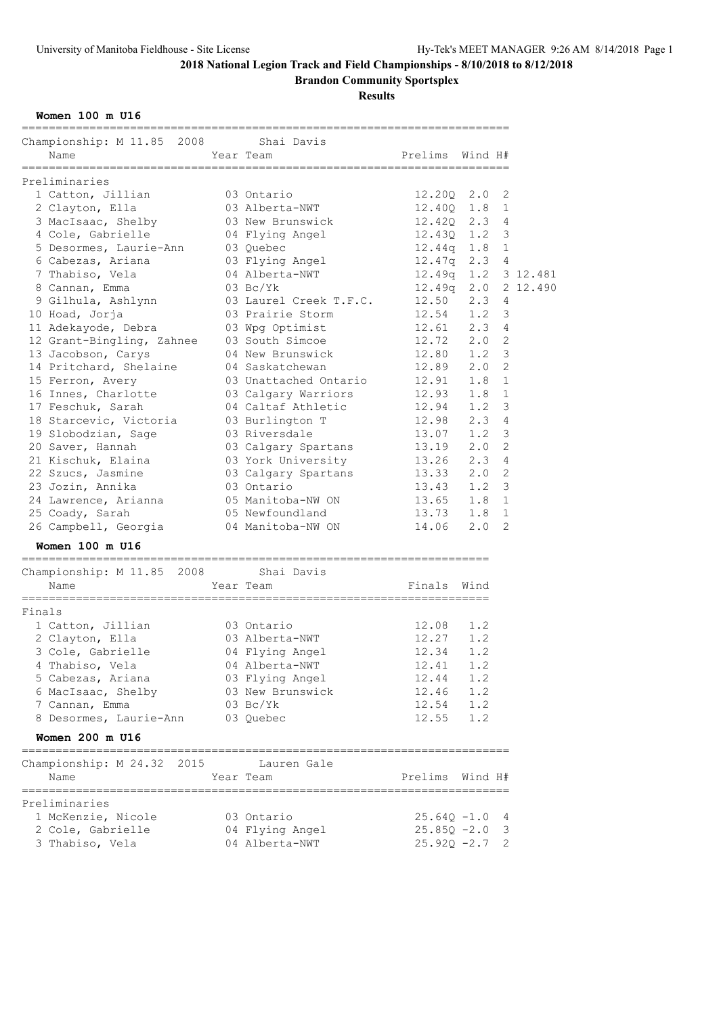**Brandon Community Sportsplex**

## **Results**

**Women 100 m U16**

|        | ----------------------------                       |                        |                          |                        |  |
|--------|----------------------------------------------------|------------------------|--------------------------|------------------------|--|
|        | Championship: M 11.85 2008 Shai Davis              |                        |                          |                        |  |
|        | Name                                               | Year Team              | Prelims Wind H#          |                        |  |
|        | ===============                                    |                        |                          |                        |  |
|        | Preliminaries                                      |                        |                          |                        |  |
|        | 1 Catton, Jillian                                  | 03 Ontario             | 12.200 2.0               | 2                      |  |
|        | 2 Clayton, Ella                                    | 03 Alberta-NWT         | 12.400 1.8               | 1                      |  |
|        | 3 MacIsaac, Shelby                                 | 03 New Brunswick       | $12.42Q$ $2.3$           | 4                      |  |
|        | 4 Cole, Gabrielle                                  | 04 Flying Angel        | 12.43Q 1.2               | 3                      |  |
|        | 5 Desormes, Laurie-Ann 03 Quebec                   |                        | 12.44q 1.8               | 1                      |  |
|        | 6 Cabezas, Ariana                                  | 03 Flying Angel        |                          | $12.47q$ 2.3 4         |  |
|        | 7 Thabiso, Vela                                    | 04 Alberta-NWT         |                          | 12.49q  1.2  3  12.481 |  |
|        | 8 Cannan, Emma                                     | $03$ Bc/Yk             |                          | 12.49q 2.0 2 12.490    |  |
|        | 9 Gilhula, Ashlynn                                 | 03 Laurel Creek T.F.C. | $12.50$ $2.3$            | 4                      |  |
|        | 10 Hoad, Jorja                                     | 03 Prairie Storm       | $12.54$ 1.2              | 3                      |  |
|        | 11 Adekayode, Debra                                | 03 Wpg Optimist        | $12.61$ $2.3$            | 4                      |  |
|        | 12 Grant-Bingling, Zahnee                          | 03 South Simcoe        | 12.72 2.0                | 2                      |  |
|        | 13 Jacobson, Carys                                 | 04 New Brunswick       | $12.80$ $1.2$            | 3                      |  |
|        | 14 Pritchard, Shelaine                             | 04 Saskatchewan        | 12.89 2.0                | $\overline{2}$         |  |
|        | 15 Ferron, Avery                                   | 03 Unattached Ontario  | 12.91                    | $\mathbf 1$<br>1.8     |  |
|        | 16 Innes, Charlotte                                | 03 Calgary Warriors    | 12.93 1.8                | $\mathbf{1}$           |  |
|        | 17 Feschuk, Sarah                                  | 04 Caltaf Athletic     | $12.94$ $1.2$            | 3                      |  |
|        | 18 Starcevic, Victoria                             | 03 Burlington T        | 12.98 2.3                | 4                      |  |
|        |                                                    | 03 Riversdale          | $13.07$ $1.2$            | 3                      |  |
|        | 19 Slobodzian, Sage                                |                        |                          | 2                      |  |
|        | 20 Saver, Hannah                                   | 03 Calgary Spartans    | 13.19 2.0                |                        |  |
|        | 21 Kischuk, Elaina                                 | 03 York University     | 13.26 2.3                | 4                      |  |
|        | 22 Szucs, Jasmine                                  | 03 Calgary Spartans    | $13.33$ $2.0$            | 2                      |  |
|        | 23 Jozin, Annika                                   | 03 Ontario             | 13.43 1.2                | 3                      |  |
|        | 24 Lawrence, Arianna                               | 05 Manitoba-NW ON      | 13.65 1.8                | 1                      |  |
|        | 25 Coady, Sarah                                    | 05 Newfoundland        | 13.73 1.8                | $\mathbf{1}$           |  |
|        | 26 Campbell, Georgia                               | 04 Manitoba-NW ON      | 14.06                    | 2<br>2.0               |  |
|        | Women 100 m U16<br>------------------------------- |                        |                          |                        |  |
|        | Championship: M 11.85 2008 Shai Davis              |                        |                          |                        |  |
|        | Name                                               | Year Team              | Finals Wind              |                        |  |
| Finals | ==================                                 |                        | ,,,,,,,,,,,,,,,,,,,,,,,, |                        |  |
|        | 1 Catton, Jillian                                  | 03 Ontario             | 12.08 1.2                |                        |  |
|        | 2 Clayton, Ella                                    | 03 Alberta-NWT         | $12.27$ 1.2              |                        |  |
|        | 3 Cole, Gabrielle                                  | 04 Flying Angel        | 12.34                    | 1.2                    |  |
|        | 4 Thabiso, Vela                                    | 04 Alberta-NWT         | 12.41                    | 1.2                    |  |
|        | 5 Cabezas, Ariana                                  | 03 Flying Angel        | 12.44                    | 1.2                    |  |
|        | 6 MacIsaac, Shelby                                 | 03 New Brunswick       | 12.46                    | 1.2                    |  |
|        | 7 Cannan, Emma                                     | $03 \text{ Bc/Yk}$     | $12.54$ 1.2              |                        |  |
|        | 8 Desormes, Laurie-Ann                             | 03 Quebec              | $12.55$ $1.2$            |                        |  |
|        | Women 200 m U16                                    |                        |                          |                        |  |
|        |                                                    |                        |                          |                        |  |
|        | Championship: M 24.32 2015                         | Lauren Gale            |                          |                        |  |
|        | Name                                               | Year Team              | Prelims Wind H#          |                        |  |
|        | Preliminaries                                      |                        |                          |                        |  |
|        | 1 McKenzie, Nicole                                 | 03 Ontario             | $25.64Q - 1.0$           | 4                      |  |
|        | 2 Cole, Gabrielle                                  | 04 Flying Angel        | $25.85Q - 2.0$           | 3                      |  |
|        | 3 Thabiso, Vela                                    | 04 Alberta-NWT         | $25.92Q - 2.7$           | 2                      |  |
|        |                                                    |                        |                          |                        |  |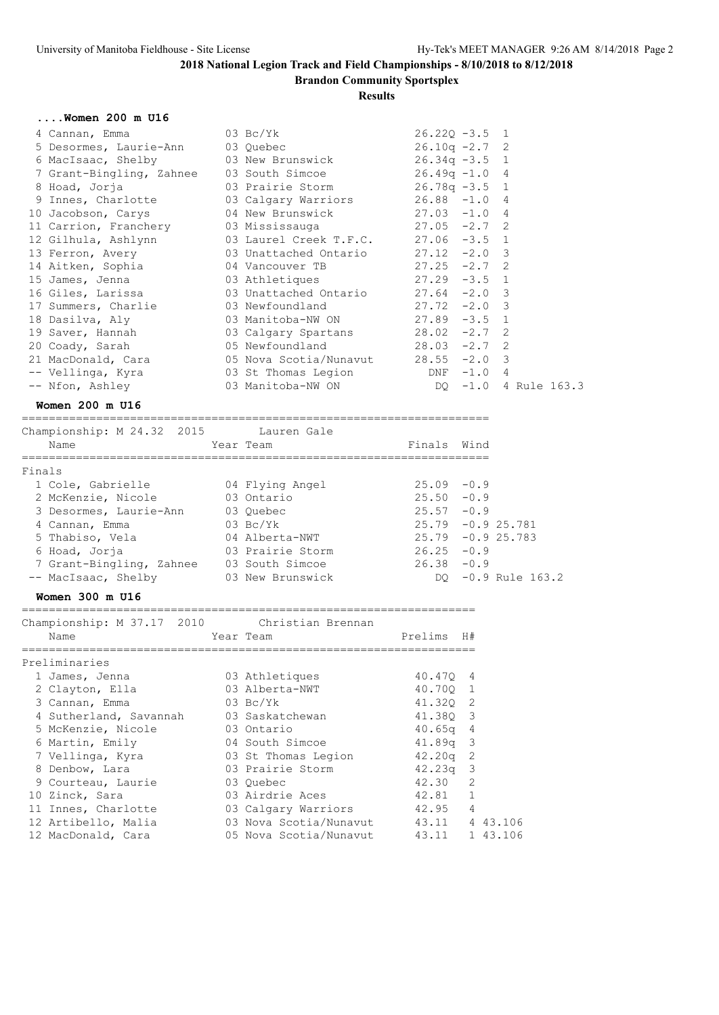**Brandon Community Sportsplex**

### **Results**

### **....Women 200 m U16**

| 4 Cannan, Emma                                                       | $03\thinspace$ Bc/Yk $03\thinspace$ | $26.220 - 3.5$ 1 |              |
|----------------------------------------------------------------------|-------------------------------------|------------------|--------------|
| 5 Desormes, Laurie-Ann 03 Quebec                                     |                                     | $26.10q -2.7$ 2  |              |
| 6 MacIsaac, Shelby 03 New Brunswick 26.34q -3.5 1                    |                                     |                  |              |
| 7 Grant-Bingling, Zahnee 03 South Simcoe 26.49q -1.0 4               |                                     |                  |              |
| 8 Hoad, Jorja               03 Prairie Storm           26.78q -3.5 1 |                                     |                  |              |
| 9 Innes, Charlotte 63 Calgary Warriors 26.88 -1.0 4                  |                                     |                  |              |
| 10 Jacobson, Carys 64 New Brunswick 27.03 -1.0 4                     |                                     |                  |              |
| 11 Carrion, Franchery 03 Mississauga 27.05 -2.7 2                    |                                     |                  |              |
| 12 Gilhula, Ashlynn 63 Laurel Creek T.F.C. 27.06 -3.5 1              |                                     |                  |              |
| 13 Ferron, Avery 63 Unattached Ontario 27.12 -2.0 3                  |                                     |                  |              |
| 14 Aitken, Sophia 64 Vancouver TB 27.25 -2.7 2                       |                                     |                  |              |
| 15 James, Jenna (a) 13 Athletiques (27.29 -3.5 1                     |                                     |                  |              |
| 16 Giles, Larissa $03$ Unattached Ontario 27.64 -2.0 3               |                                     |                  |              |
| 17 Summers, Charlie <b>33 Newfoundland</b> 27.72 -2.0 3              |                                     |                  |              |
| 18 Dasilva, Aly                                                      | 03 Manitoba-NW ON 27.89 -3.5 1      |                  |              |
| 19 Saver, Hannah                                                     | 03 Calgary Spartans 28.02 -2.7 2    |                  |              |
| 20 Coady, Sarah 65 Newfoundland 28.03 -2.7 2                         |                                     |                  |              |
| 21 MacDonald, Cara 65 Nova Scotia/Nunavut 28.55 -2.0 3               |                                     |                  |              |
| -- Vellinga, Kyra 63 St Thomas Legion 2008 DNF -1.0 4                |                                     |                  |              |
| -- Nfon, Ashley 03 Manitoba-NW ON DQ -1.0                            |                                     |                  | 4 Rule 163.3 |

#### **Women 200 m U16**

=====================================================================

| Championship: M 24.32 2015<br>Name | Lauren Gale<br>Year Team | Finals Wind         |
|------------------------------------|--------------------------|---------------------|
| Finals                             |                          |                     |
| 1 Cole, Gabrielle                  | 04 Flying Angel          | $25.09 - 0.9$       |
| 2 McKenzie, Nicole                 | 03 Ontario               | $25.50 - 0.9$       |
| 3 Desormes, Laurie-Ann             | 03 Ouebec                | $25.57 - 0.9$       |
| 4 Cannan, Emma                     | $03 \text{ Bc/Yk}$       | $25.79 - 0.925.781$ |
| 5 Thabiso, Vela                    | 04 Alberta-NWT           | $25.79 - 0.925.783$ |
| 6 Hoad, Jorja                      | 03 Prairie Storm         | $26.25 - 0.9$       |
| 7 Grant-Bingling, Zahnee           | 03 South Simcoe          | $26.38 - 0.9$       |
| -- MacIsaac, Shelby                | 03 New Brunswick         | DO -0.9 Rule 163.2  |

### **Women 300 m U16**

| Championship: M 37.17 2010 Christian Brennan |                        |            |                |          |
|----------------------------------------------|------------------------|------------|----------------|----------|
| Name                                         | Year Team              | Prelims H# |                |          |
|                                              |                        |            |                |          |
| Preliminaries                                |                        |            |                |          |
| 1 James, Jenna                               | 03 Athletiques         | 40.470 4   |                |          |
| 2 Clayton, Ella                              | 03 Alberta-NWT         | 40.700 1   |                |          |
| 3 Cannan, Emma                               | $03 \text{ Bc/Yk}$     | 41.320 2   |                |          |
| 4 Sutherland, Savannah                       | 03 Saskatchewan        | 41.380 3   |                |          |
| 5 McKenzie, Nicole                           | 03 Ontario             | $40.65q$ 4 |                |          |
| 6 Martin, Emily                              | 04 South Simcoe        | $41.89q$ 3 |                |          |
| 7 Vellinga, Kyra                             | 03 St Thomas Legion    | $42.20q$ 2 |                |          |
| 8 Denbow, Lara                               | 03 Prairie Storm       | $42.23q$ 3 |                |          |
| 9 Courteau, Laurie                           | 03 Ouebec              | 42.30      | 2              |          |
| 10 Zinck, Sara                               | 03 Airdrie Aces        | 42.81      | $\mathbf{1}$   |          |
| 11 Innes, Charlotte                          | 03 Calgary Warriors    | 42.95      | $\overline{4}$ |          |
| 12 Artibello, Malia                          | 03 Nova Scotia/Nunavut | 43.11      |                | 4 43,106 |
| 12 MacDonald, Cara                           | 05 Nova Scotia/Nunavut | 43.11      |                | 1 43.106 |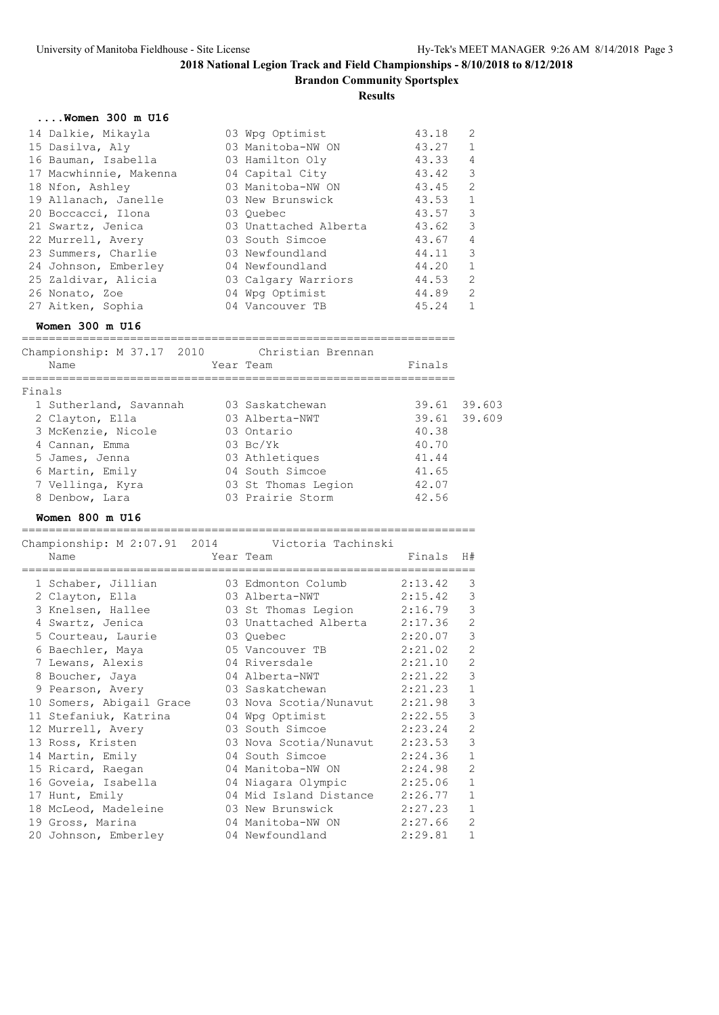**Brandon Community Sportsplex**

**Results**

|  | Women 300 m U16 |  |  |
|--|-----------------|--|--|
|  |                 |  |  |

| 14 Dalkie, Mikayla     | 03 Wpg Optimist       | 43.18 | 2                          |
|------------------------|-----------------------|-------|----------------------------|
| 15 Dasilva, Aly        | 03 Manitoba-NW ON     | 43.27 | 1                          |
| 16 Bauman, Isabella    | 03 Hamilton Oly       | 43.33 | $\overline{4}$             |
| 17 Macwhinnie, Makenna | 04 Capital City       | 43.42 | $\overline{\phantom{a}}$   |
| 18 Nfon, Ashley        | 03 Manitoba-NW ON     | 43.45 | $\overline{\phantom{0}}^2$ |
| 19 Allanach, Janelle   | 03 New Brunswick      | 43.53 | $\mathbf{1}$               |
| 20 Boccacci, Ilona     | 03 Ouebec             | 43.57 | $\overline{\mathbf{3}}$    |
| 21 Swartz, Jenica      | 03 Unattached Alberta | 43.62 | $\overline{\phantom{a}}$   |
| 22 Murrell, Avery      | 03 South Simcoe       | 43.67 | $\overline{4}$             |
| 23 Summers, Charlie    | 03 Newfoundland       | 44.11 | $\overline{\mathbf{3}}$    |
| 24 Johnson, Emberley   | 04 Newfoundland       | 44.20 | $\overline{1}$             |
| 25 Zaldivar, Alicia    | 03 Calgary Warriors   | 44.53 | 2                          |
| 26 Nonato, Zoe         | 04 Wpg Optimist       | 44.89 | - 2                        |
| 27 Aitken, Sophia      | 04 Vancouver TB       | 45.24 | 1                          |

### **Women 300 m U16**

| Championship: M 37.17 2010<br>Name | Christian Brennan<br>Year Team | Finals |              |
|------------------------------------|--------------------------------|--------|--------------|
| Finals                             |                                |        |              |
| 1 Sutherland, Savannah             | 03 Saskatchewan                |        | 39.61 39.603 |
| 2 Clayton, Ella                    | 03 Alberta-NWT                 |        | 39.61 39.609 |
| 3 McKenzie, Nicole                 | 03 Ontario                     | 40.38  |              |
| 4 Cannan, Emma                     | $03 \text{ Bc/Yk}$             | 40.70  |              |
| 5 James, Jenna                     | 03 Athletiques                 | 41.44  |              |
| 6 Martin, Emily                    | 04 South Simcoe                | 41.65  |              |
| 7 Vellinga, Kyra                   | 03 St Thomas Legion            | 42.07  |              |
|                                    |                                |        |              |

8 Denbow, Lara **03 Prairie Storm** 42.56

# **Women 800 m U16**

|                          | Championship: M 2:07.91 2014 Victoria Tachinski |         |                |
|--------------------------|-------------------------------------------------|---------|----------------|
| Name                     | Year Team                                       | Finals  | H#             |
| 1 Schaber, Jillian       | 03 Edmonton Columb                              | 2:13.42 | 3              |
| 2 Clayton, Ella          | 03 Alberta-NWT                                  | 2:15.42 | 3              |
| 3 Knelsen, Hallee        | 03 St Thomas Legion                             | 2:16.79 | 3              |
| 4 Swartz, Jenica         | 03 Unattached Alberta                           | 2:17.36 | $\overline{2}$ |
| 5 Courteau, Laurie       | 03 Ouebec                                       | 2:20.07 | 3              |
| 6 Baechler, Maya         | 05 Vancouver TB                                 | 2:21.02 | $\overline{2}$ |
| 7 Lewans, Alexis         | 04 Riversdale                                   | 2:21.10 | $\overline{2}$ |
| 8 Boucher, Jaya          | 04 Alberta-NWT                                  | 2:21.22 | 3              |
| 9 Pearson, Avery         | 03 Saskatchewan                                 | 2:21.23 | $\mathbf{1}$   |
| 10 Somers, Abigail Grace | 03 Nova Scotia/Nunavut                          | 2:21.98 | 3              |
| 11 Stefaniuk, Katrina    | 04 Wpg Optimist                                 | 2:22.55 | 3              |
| 12 Murrell, Avery        | 03 South Simcoe                                 | 2:23.24 | $\overline{2}$ |
| 13 Ross, Kristen         | 03 Nova Scotia/Nunavut                          | 2:23.53 | 3              |
| 14 Martin, Emily         | 04 South Simcoe                                 | 2:24.36 | $\mathbf 1$    |
| 15 Ricard, Raegan        | 04 Manitoba-NW ON                               | 2:24.98 | $\overline{2}$ |
| 16 Goveia, Isabella      | 04 Niagara Olympic                              | 2:25.06 | $\mathbf{1}$   |
| 17 Hunt, Emily           | 04 Mid Island Distance                          | 2:26.77 | $\mathbf{1}$   |
| 18 McLeod, Madeleine     | 03 New Brunswick                                | 2:27.23 | $\mathbf{1}$   |
| 19 Gross, Marina         | 04 Manitoba-NW ON                               | 2:27.66 | $\mathfrak{D}$ |
| 20 Johnson, Emberley     | 04 Newfoundland                                 | 2:29.81 | $\mathbf 1$    |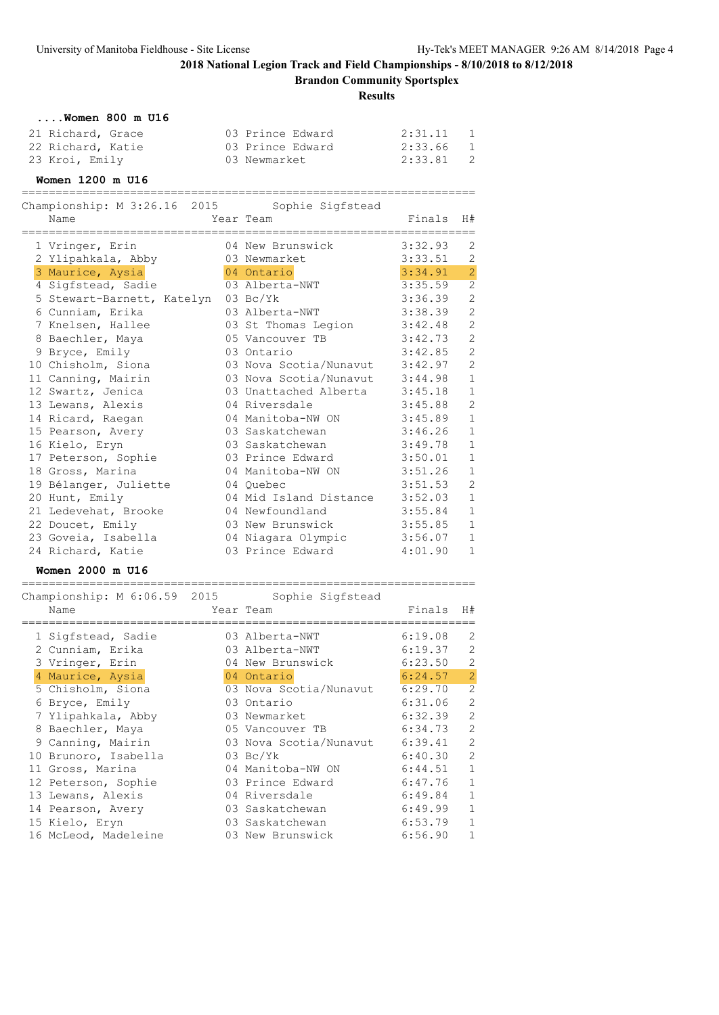# **2018 National Legion Track and Field Championships - 8/10/2018 to 8/12/2018 Brandon Community Sportsplex**

**Results**

| $\ldots$ . Women 800 m U16 |                  |                           |
|----------------------------|------------------|---------------------------|
| 21 Richard, Grace          | 03 Prince Edward | 2:31.11<br>$\overline{1}$ |
| 22 Richard, Katie          | 03 Prince Edward | $\overline{1}$<br>2:33.66 |
| 23 Kroi, Emily             | 03 Newmarket     | - 2<br>2:33.81            |

### **Women 1200 m U16**

| :===================<br>Championship: M 3:26.16 2015<br>Name | Sophie Sigfstead<br>Year Team | Finals  | H#             |
|--------------------------------------------------------------|-------------------------------|---------|----------------|
| 1 Vringer, Erin                                              | 04 New Brunswick              | 3:32.93 | 2              |
| 2 Ylipahkala, Abby                                           | 03 Newmarket                  | 3:33.51 | $\mathbf{2}$   |
| 3 Maurice, Aysia                                             | 04 Ontario                    | 3:34.91 | $\overline{2}$ |
| 4 Sigfstead, Sadie                                           | 03 Alberta-NWT                | 3:35.59 | $\overline{2}$ |
| 5 Stewart-Barnett, Katelyn                                   | $03 \text{ Bc/Yk}$            | 3:36.39 | $\overline{c}$ |
| 6 Cunniam, Erika                                             | 03 Alberta-NWT                | 3:38.39 | $\mathbf{2}$   |
| 7 Knelsen, Hallee                                            | 03 St Thomas Legion           | 3:42.48 | $\overline{c}$ |
| 8 Baechler, Maya                                             | 05 Vancouver TB               | 3:42.73 | $\overline{c}$ |
| 9 Bryce, Emily                                               | 03 Ontario                    | 3:42.85 | $\mathbf{2}$   |
| 10 Chisholm, Siona                                           | 03 Nova Scotia/Nunavut        | 3:42.97 | $\overline{c}$ |
| 11 Canning, Mairin                                           | 03 Nova Scotia/Nunavut        | 3:44.98 | $\mathbf{1}$   |
| 12 Swartz, Jenica                                            | 03 Unattached Alberta 3:45.18 |         | $\,1\,$        |
| 13 Lewans, Alexis                                            | 04 Riversdale                 | 3:45.88 | $\overline{c}$ |
| 14 Ricard, Raegan                                            | 04 Manitoba-NW ON             | 3:45.89 | $\mathbf{1}$   |
| 15 Pearson, Avery                                            | 03 Saskatchewan               | 3:46.26 | $\mathbf 1$    |
| 16 Kielo, Eryn                                               | 03 Saskatchewan               | 3:49.78 | $\mathbf{1}$   |
| 17 Peterson, Sophie                                          | 03 Prince Edward              | 3:50.01 | $\mathbf{1}$   |
| 18 Gross, Marina                                             | 04 Manitoba-NW ON             | 3:51.26 | $\mathbf 1$    |
| 19 Bélanger, Juliette                                        | 04 Ouebec                     | 3:51.53 | $\mathbf{2}$   |
| 20 Hunt, Emily                                               | 04 Mid Island Distance        | 3:52.03 | $\mathbf{1}$   |
| 21 Ledevehat, Brooke                                         | 04 Newfoundland               | 3:55.84 | $\,1\,$        |
| 22 Doucet, Emily                                             | 03 New Brunswick              | 3:55.85 | $\mathbf 1$    |
| 23 Goveia, Isabella                                          | 04 Niagara Olympic            | 3:56.07 | $\mathbf 1$    |
| 24 Richard, Katie                                            | 03 Prince Edward              | 4:01.90 | $\mathbf 1$    |

### **Women 2000 m U16**

| Name |                                                                                                                                                                                                                                                                                                                                            | Sophie Sigfstead | Finals                                                                                                                                                                                                                                                                                                                                                         | H#             |
|------|--------------------------------------------------------------------------------------------------------------------------------------------------------------------------------------------------------------------------------------------------------------------------------------------------------------------------------------------|------------------|----------------------------------------------------------------------------------------------------------------------------------------------------------------------------------------------------------------------------------------------------------------------------------------------------------------------------------------------------------------|----------------|
|      |                                                                                                                                                                                                                                                                                                                                            |                  |                                                                                                                                                                                                                                                                                                                                                                |                |
|      |                                                                                                                                                                                                                                                                                                                                            |                  | 6:19.08                                                                                                                                                                                                                                                                                                                                                        | 2              |
|      |                                                                                                                                                                                                                                                                                                                                            |                  | 6:19.37                                                                                                                                                                                                                                                                                                                                                        | 2              |
|      |                                                                                                                                                                                                                                                                                                                                            |                  | 6:23.50                                                                                                                                                                                                                                                                                                                                                        | $\overline{2}$ |
|      |                                                                                                                                                                                                                                                                                                                                            |                  | 6:24.57                                                                                                                                                                                                                                                                                                                                                        | $\overline{2}$ |
|      |                                                                                                                                                                                                                                                                                                                                            |                  | 6:29.70                                                                                                                                                                                                                                                                                                                                                        | 2              |
|      |                                                                                                                                                                                                                                                                                                                                            |                  | 6:31.06                                                                                                                                                                                                                                                                                                                                                        | $\overline{c}$ |
|      |                                                                                                                                                                                                                                                                                                                                            |                  | 6:32.39                                                                                                                                                                                                                                                                                                                                                        | $\overline{c}$ |
|      |                                                                                                                                                                                                                                                                                                                                            |                  | 6:34.73                                                                                                                                                                                                                                                                                                                                                        | $\overline{2}$ |
|      |                                                                                                                                                                                                                                                                                                                                            |                  | 6:39.41                                                                                                                                                                                                                                                                                                                                                        | $\overline{2}$ |
|      |                                                                                                                                                                                                                                                                                                                                            |                  | 6:40.30                                                                                                                                                                                                                                                                                                                                                        | $\overline{2}$ |
|      |                                                                                                                                                                                                                                                                                                                                            |                  | 6:44.51                                                                                                                                                                                                                                                                                                                                                        | $\mathbf{1}$   |
|      |                                                                                                                                                                                                                                                                                                                                            |                  | 6:47.76                                                                                                                                                                                                                                                                                                                                                        | $\mathbf{1}$   |
|      |                                                                                                                                                                                                                                                                                                                                            |                  | 6:49.84                                                                                                                                                                                                                                                                                                                                                        | $\mathbf{1}$   |
|      |                                                                                                                                                                                                                                                                                                                                            |                  | 6:49.99                                                                                                                                                                                                                                                                                                                                                        | $\mathbf{1}$   |
|      |                                                                                                                                                                                                                                                                                                                                            |                  | 6:53.79                                                                                                                                                                                                                                                                                                                                                        | $\mathbf{1}$   |
|      |                                                                                                                                                                                                                                                                                                                                            |                  | 6:56.90                                                                                                                                                                                                                                                                                                                                                        | $\mathbf{1}$   |
|      | 1 Sigfstead, Sadie<br>2 Cunniam, Erika<br>3 Vringer, Erin<br>4 Maurice, Aysia<br>5 Chisholm, Siona<br>6 Bryce, Emily<br>7 Ylipahkala, Abby<br>8 Baechler, Maya<br>9 Canning, Mairin<br>10 Brunoro, Isabella<br>11 Gross, Marina<br>12 Peterson, Sophie<br>13 Lewans, Alexis<br>14 Pearson, Avery<br>15 Kielo, Eryn<br>16 McLeod, Madeleine |                  | Championship: M 6:06.59 2015<br>Year Team<br>03 Alberta-NWT<br>03 Alberta-NWT<br>04 New Brunswick<br>04 Ontario<br>03 Nova Scotia/Nunavut<br>03 Ontario<br>03 Newmarket<br>05 Vancouver TB<br>03 Nova Scotia/Nunavut<br>$03 \text{ Bc/Yk}$<br>04 Manitoba-NW ON<br>03 Prince Edward<br>04 Riversdale<br>03 Saskatchewan<br>03 Saskatchewan<br>03 New Brunswick |                |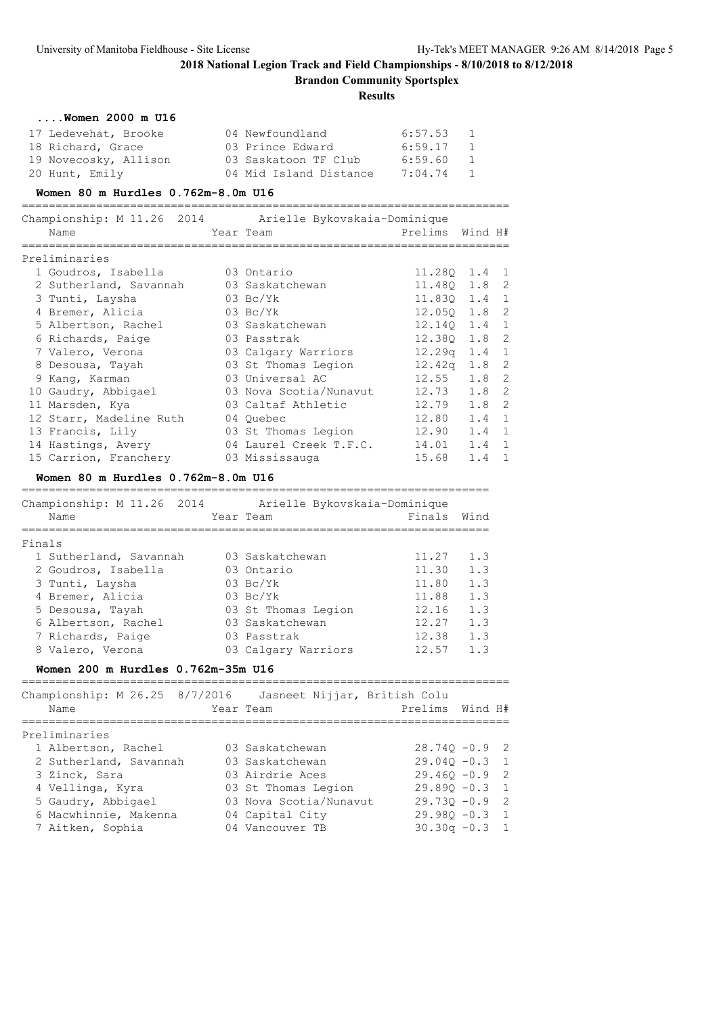**Brandon Community Sportsplex**

**Results**

| $\ldots$ Women 2000 m U16                                                   |           |                                |                 |              |                |
|-----------------------------------------------------------------------------|-----------|--------------------------------|-----------------|--------------|----------------|
| 17 Ledevehat, Brooke                                                        |           | 04 Newfoundland 6:57.53        |                 | $\mathbf{1}$ |                |
| 18 Richard, Grace                                                           |           | 03 Prince Edward 6:59.17 1     |                 |              |                |
| 19 Novecosky, Allison                                                       |           | 03 Saskatoon TF Club 6:59.60 1 |                 |              |                |
| 20 Hunt, Emily                                                              |           | 04 Mid Island Distance 7:04.74 |                 | $\mathbf{1}$ |                |
| Women 80 m Hurdles 0.762m-8.0m U16<br>===================================== |           |                                |                 |              |                |
|                                                                             |           |                                |                 |              |                |
| Name                                                                        | Year Team |                                | Prelims         | Wind H#      |                |
| Preliminaries                                                               |           |                                |                 |              |                |
| 1 Goudros, Isabella 63 Ontario                                              |           |                                | 11.280 1.4 1    |              |                |
| 2 Sutherland, Savannah 03 Saskatchewan                                      |           |                                | 11.48Q 1.8 2    |              |                |
| 3 Tunti, Laysha                                                             |           | $03\;\mathrm{Bc/Yk}$           | 11.830 1.4 1    |              |                |
| 4 Bremer, Alicia                                                            |           | $03\ \text{Bc/Yk}$             | 12.05Q 1.8 2    |              |                |
| 5 Albertson, Rachel                                                         |           | 03 Saskatchewan                | 12.140 1.4      |              | $\mathbf{1}$   |
| 6 Richards, Paige                                                           |           | 03 Passtrak                    | 12.38Q 1.8 2    |              |                |
| 7 Valero, Verona                                                            |           | 03 Calgary Warriors            | $12.29q$ 1.4 1  |              |                |
| 8 Desousa, Tayah 63 St Thomas Legion                                        |           |                                | 12.42q 1.8 2    |              |                |
| 9 Kang, Karman                                                              |           | 03 Universal AC                | $12.55$ $1.8$   |              | $\overline{c}$ |
| 10 Gaudry, Abbigael 63 Nova Scotia/Nunavut                                  |           |                                | $12.73$ $1.8$   |              | $\overline{c}$ |
| 11 Marsden, Kya                                                             |           | 03 Caltaf Athletic             | 12.79 1.8       |              | $\overline{c}$ |
| 12 Starr, Madeline Ruth 04 Ouebec                                           |           |                                | $12.80$ $1.4$ 1 |              |                |
| 13 Francis, Lily                                                            |           | 03 St Thomas Legion            | $12.90 \t1.4$   |              | $\mathbf{1}$   |
| 14 Hastings, Avery                                                          |           | 04 Laurel Creek T.F.C.         | 14.01 1.4       |              | $\mathbf{1}$   |
| 15 Carrion, Franchery 03 Mississauga                                        |           |                                | $15.68$ 1.4 1   |              |                |
| Women 80 m Hurdles 0.762m-8.0m U16                                          |           |                                |                 |              |                |
| Championship: M 11.26 2014 Arielle Bykovskaia-Dominique                     |           |                                |                 |              |                |

|        | Championship: M 11.26 2014 | Arielle Bykovskaia-Dominique |        |      |
|--------|----------------------------|------------------------------|--------|------|
|        | Name                       | Year Team                    | Finals | Wind |
|        |                            |                              |        |      |
| Finals |                            |                              |        |      |
|        | 1 Sutherland, Savannah     | 03 Saskatchewan              | 11.27  | 1.3  |
|        | 2 Goudros, Isabella        | 03 Ontario                   | 11.30  | 1.3  |
|        | 3 Tunti, Laysha            | $03 \text{ Bc/Yk}$           | 11.80  | 1.3  |
|        | 4 Bremer, Alicia           | $03 \text{ Bc/Yk}$           | 11.88  | 1.3  |
|        | 5 Desousa, Tayah           | 03 St Thomas Legion          | 12.16  | 1.3  |
|        | 6 Albertson, Rachel        | 03 Saskatchewan              | 12.27  | 1.3  |
|        | 7 Richards, Paige          | 03 Passtrak                  | 12.38  | 1.3  |
|        | 8 Valero, Verona           | 03 Calgary Warriors          | 12.57  | 1.3  |
|        |                            |                              |        |      |

### **Women 200 m Hurdles 0.762m-35m U16**

======================================================================== Championship: M 26.25 8/7/2016 Jasneet Nijjar, British Colu

| CHAMPIONSNIP; M 20.23 - 0/7/2010 - JASNEEL NI  df, BIILISN COIU<br>Name | Year Team              | Prelims Wind H#  |  |
|-------------------------------------------------------------------------|------------------------|------------------|--|
| Preliminaries                                                           |                        |                  |  |
| 1 Albertson, Rachel                                                     | 03 Saskatchewan        | $28.740 - 0.9$ 2 |  |
| 2 Sutherland, Savannah                                                  | 03 Saskatchewan        | $29.040 - 0.3$ 1 |  |
| 3 Zinck, Sara                                                           | 03 Airdrie Aces        | $29.460 - 0.9$ 2 |  |
| 4 Vellinga, Kyra                                                        | 03 St Thomas Legion    | $29.890 - 0.3$ 1 |  |
| 5 Gaudry, Abbigael                                                      | 03 Nova Scotia/Nunavut | $29.730 - 0.9$ 2 |  |
| 6 Macwhinnie, Makenna                                                   | 04 Capital City        | $29.980 - 0.3$ 1 |  |
| 7 Aitken, Sophia                                                        | 04 Vancouver TB        | $30.30q - 0.3$ 1 |  |
|                                                                         |                        |                  |  |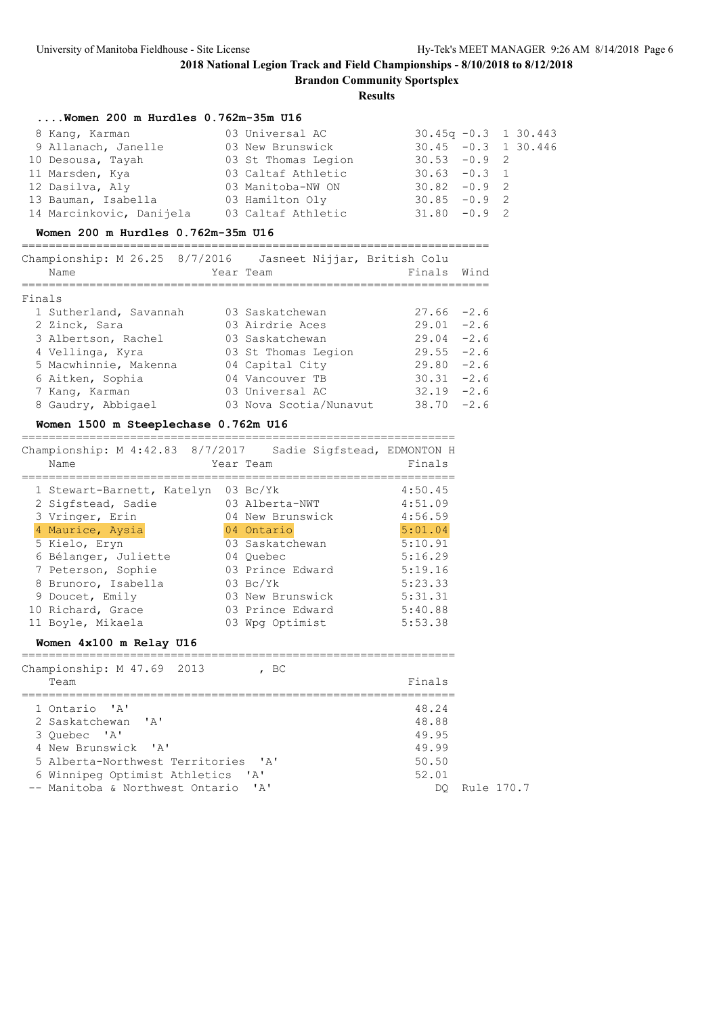### **2018 National Legion Track and Field Championships - 8/10/2018 to 8/12/2018 Brandon Community Sportsplex**

| Women 200 m Hurdles 0.762m-35m U16                                                                                                                                                                                                                                                                                                                                                       |                              |                         |            |
|------------------------------------------------------------------------------------------------------------------------------------------------------------------------------------------------------------------------------------------------------------------------------------------------------------------------------------------------------------------------------------------|------------------------------|-------------------------|------------|
| 8 Kang, Karman                                                                                                                                                                                                                                                                                                                                                                           | 03 Universal AC              | $30.45q - 0.3$ 1 30.443 |            |
|                                                                                                                                                                                                                                                                                                                                                                                          |                              |                         |            |
| 10 Desousa, Tayah 10 03 St Thomas Legion 30.53 -0.9 2                                                                                                                                                                                                                                                                                                                                    |                              |                         |            |
| 11 Marsden, Kya (03 Caltaf Athletic 30.63 -0.3                                                                                                                                                                                                                                                                                                                                           |                              |                         | 1          |
|                                                                                                                                                                                                                                                                                                                                                                                          |                              |                         |            |
|                                                                                                                                                                                                                                                                                                                                                                                          |                              |                         |            |
| 12 Dasilva, Aly $13$ Bauman, Isabella $14$ Marcinkovic, Danijela $15$ Caltaf Athletic $16$ Marcinkovic, Danijela $16$ Caltaf Athletic $17$ $18$ Marcinkovic, Danijela $180$ Caltaf Athletic $180$ $-0.9$ 2                                                                                                                                                                               |                              |                         |            |
| Women 200 m Hurdles 0.762m-35m U16                                                                                                                                                                                                                                                                                                                                                       |                              |                         |            |
| Championship: M 26.25 8/7/2016 Jasneet Nijjar, British Colu                                                                                                                                                                                                                                                                                                                              |                              |                         |            |
| Name                                                                                                                                                                                                                                                                                                                                                                                     | Year Team                    | Finals Wind             |            |
|                                                                                                                                                                                                                                                                                                                                                                                          |                              |                         |            |
| Finals<br>1 Sutherland, Savannah 03 Saskatchewan 27.66 -2.6                                                                                                                                                                                                                                                                                                                              |                              |                         |            |
| 2 Zinck, Sara                                                                                                                                                                                                                                                                                                                                                                            | 03 Airdrie Aces 29.01 -2.6   |                         |            |
|                                                                                                                                                                                                                                                                                                                                                                                          |                              |                         |            |
|                                                                                                                                                                                                                                                                                                                                                                                          |                              |                         |            |
|                                                                                                                                                                                                                                                                                                                                                                                          |                              |                         |            |
|                                                                                                                                                                                                                                                                                                                                                                                          |                              |                         |            |
| 7 Kang, Karman                                                                                                                                                                                                                                                                                                                                                                           | 03 Universal AC 32.19 -2.6   |                         |            |
| 8 Gaudry, Abbigael 03 Nova Scotia/Nunavut 38.70 -2.6                                                                                                                                                                                                                                                                                                                                     |                              |                         |            |
| Women 1500 m Steeplechase 0.762m U16                                                                                                                                                                                                                                                                                                                                                     |                              |                         |            |
|                                                                                                                                                                                                                                                                                                                                                                                          |                              |                         |            |
| Championship: M 4:42.83 8/7/2017 Sadie Sigfstead, EDMONTON H                                                                                                                                                                                                                                                                                                                             |                              |                         |            |
| Name<br>===============                                                                                                                                                                                                                                                                                                                                                                  | Year Team                    | Finals                  |            |
| 1 Stewart-Barnett, Katelyn 03 Bc/Yk                                                                                                                                                                                                                                                                                                                                                      | 4:50.45                      |                         |            |
|                                                                                                                                                                                                                                                                                                                                                                                          |                              | 4:51.09                 |            |
|                                                                                                                                                                                                                                                                                                                                                                                          |                              | 4:56.59                 |            |
| 2 Sigfstead, Sadie <sup>1</sup> 03 Alberta-NWT<br>3 Vringer, Erin 104 New Brunswick<br><mark>4 Maurice, Aysia</mark> 104 Ontario<br>4 Maurice, Aysia<br>5 Kielo, Eryn (b. 1994)<br>19 Maurice, Aysia<br>19 Maurice, Aysia<br>19 Maurice, Aysia<br>19 Maurice, Aysia<br>19 Maurice, Aysia<br>19 Maurice, Aysia<br>19 Maurice, Aysia<br>19 Maurice, Aysia<br>19 Maurice, Aysia<br>19 Mauri |                              |                         |            |
|                                                                                                                                                                                                                                                                                                                                                                                          |                              |                         |            |
| 6 Bélanger, Juliette 04 Quebec                                                                                                                                                                                                                                                                                                                                                           |                              | 5:16.29                 |            |
| 7 Peterson, Sophie <b>03 Prince Edward</b> 5:19.16                                                                                                                                                                                                                                                                                                                                       |                              |                         |            |
|                                                                                                                                                                                                                                                                                                                                                                                          |                              | 5:23.33                 |            |
| 8 Brunoro, Isabella<br>9 Doucet, Emily                                                                                                                                                                                                                                                                                                                                                   | 03 Bc/Yk<br>03 New Brunswick | 5:31.31                 |            |
| 10 Richard, Grace 63 Prince Edward 5:40.88                                                                                                                                                                                                                                                                                                                                               |                              |                         |            |
| 11 Boyle, Mikaela                                                                                                                                                                                                                                                                                                                                                                        | 03 Wpg Optimist 5:53.38      |                         |            |
| Women 4x100 m Relay U16                                                                                                                                                                                                                                                                                                                                                                  |                              |                         |            |
| Championship: M 47.69 2013                                                                                                                                                                                                                                                                                                                                                               | $\overline{C}$               |                         |            |
| Team                                                                                                                                                                                                                                                                                                                                                                                     |                              | Finals                  |            |
| =============<br>1 Ontario 'A'                                                                                                                                                                                                                                                                                                                                                           |                              | 48.24                   |            |
| 2 Saskatchewan 'A'                                                                                                                                                                                                                                                                                                                                                                       |                              | 48.88                   |            |
| 3 Quebec 'A'                                                                                                                                                                                                                                                                                                                                                                             |                              | 49.95                   |            |
| 4 New Brunswick 'A'                                                                                                                                                                                                                                                                                                                                                                      |                              | 49.99                   |            |
| 5 Alberta-Northwest Territories                                                                                                                                                                                                                                                                                                                                                          | $^{\prime}$ A $^{\prime}$    | 50.50                   |            |
| 6 Winnipeg Optimist Athletics                                                                                                                                                                                                                                                                                                                                                            | 'A'                          | 52.01                   |            |
| -- Manitoba & Northwest Ontario                                                                                                                                                                                                                                                                                                                                                          | ' A'                         | DQ.                     | Rule 170.7 |
|                                                                                                                                                                                                                                                                                                                                                                                          |                              |                         |            |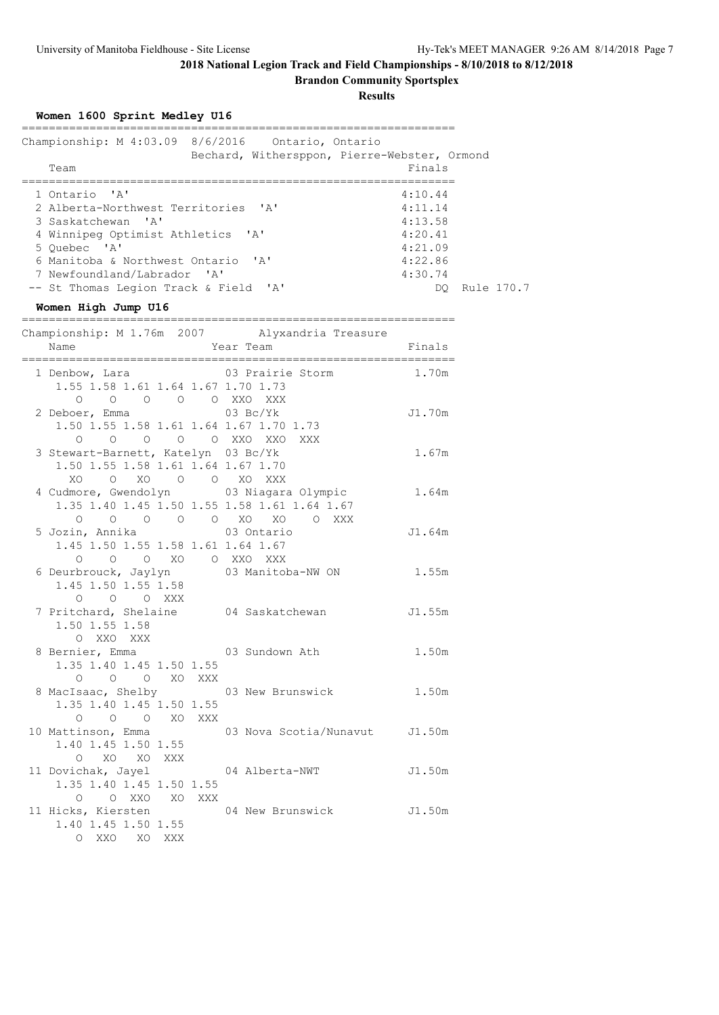**Brandon Community Sportsplex**

|  |  |  | Women 1600 Sprint Medley U16 |  |
|--|--|--|------------------------------|--|
|--|--|--|------------------------------|--|

| Championship: M 4:03.09 8/6/2016 Ontario, Ontario<br>Bechard, Withersppon, Pierre-Webster, Ormond |         |               |
|---------------------------------------------------------------------------------------------------|---------|---------------|
| Team                                                                                              | Finals  |               |
| 1 Ontario 'A'                                                                                     | 4:10.44 |               |
| 2 Alberta-Northwest Territories 'A'                                                               | 4:11.14 |               |
| 3 Saskatchewan 'A'                                                                                | 4:13.58 |               |
| 4 Winnipeg Optimist Athletics 'A'                                                                 | 4:20.41 |               |
| 5 Ouebec 'A'                                                                                      | 4:21.09 |               |
| 6 Manitoba & Northwest Ontario 'A'                                                                | 4:22.86 |               |
| 7 Newfoundland/Labrador 'A'                                                                       | 4:30.74 |               |
| -- St Thomas Legion Track & Field 'A'                                                             |         | DO Rule 170.7 |
| Women High Jump U16                                                                               |         |               |
| Championship: M 1.76m 2007<br>Alvxandria Treasure                                                 |         |               |

| Name                                                                                                | Year Team                                        | Finals |
|-----------------------------------------------------------------------------------------------------|--------------------------------------------------|--------|
| 1.55 1.58 1.61 1.64 1.67 1.70 1.73                                                                  | 1 Denbow, Lara 63 Prairie Storm 1.70m            |        |
| 0 0 0 0 0 XXO XXX<br>2 Deboer, Emma 03 Bc/Yk<br>1.50 1.55 1.58 1.61 1.64 1.67 1.70 1.73             |                                                  | J1.70m |
| 0 0 0 0 0 XXO XXO XXX<br>3 Stewart-Barnett, Katelyn 03 Bc/Yk<br>1.50 1.55 1.58 1.61 1.64 1.67 1.70  |                                                  | 1.67m  |
| XO O XO O O XO XXX<br>4 Cudmore, Gwendolyn 03 Niagara Olympic                                       |                                                  | 1.64m  |
| 1.35 1.40 1.45 1.50 1.55 1.58 1.61 1.64 1.67<br>0 0 0 0 0 XO XO 0 XXX<br>5 Jozin, Annika (3 Ontario |                                                  | J1.64m |
| 1.45 1.50 1.55 1.58 1.61 1.64 1.67<br>0 0 0 XO 0 XXO XXX<br>6 Deurbrouck, Jaylyn 03 Manitoba-NW ON  |                                                  | 1.55m  |
| 1.45 1.50 1.55 1.58<br>O O O XXX                                                                    |                                                  |        |
| 1.50 1.55 1.58<br>O XXO XXX                                                                         | 7 Pritchard, Shelaine 04 Saskatchewan 51.55m     |        |
| 8 Bernier, Emma 603 Sundown Ath<br>1.35 1.40 1.45 1.50 1.55<br>0 0 0 XO XXX                         |                                                  | 1.50m  |
| 8 MacIsaac, Shelby 03 New Brunswick<br>1.35 1.40 1.45 1.50 1.55                                     |                                                  | 1.50m  |
| O O O XO XXX<br>1.40 1.45 1.50 1.55                                                                 | 10 Mattinson, Emma 63 Nova Scotia/Nunavut J1.50m |        |
| O XO XO XXX<br>11 Dovichak, Jayel 64 Alberta-NWT<br>1.35 1.40 1.45 1.50 1.55                        |                                                  | J1.50m |
| O O XXO XO XXX<br>11 Hicks, Kiersten<br>1.40 1.45 1.50 1.55                                         | 04 New Brunswick                                 | J1.50m |
| O XXO XO XXX                                                                                        |                                                  |        |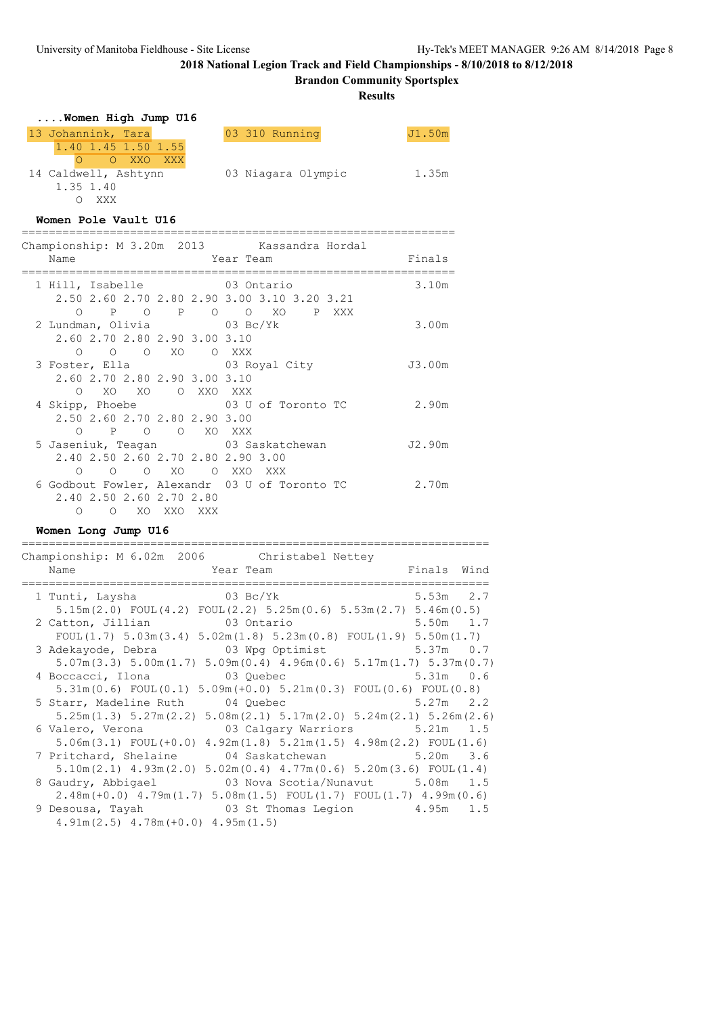## **2018 National Legion Track and Field Championships - 8/10/2018 to 8/12/2018 Brandon Community Sportsplex**

| Women High Jump U16                                                         |                                               |        |      |
|-----------------------------------------------------------------------------|-----------------------------------------------|--------|------|
| 13 Johannink, Tara<br>$1.40$ $1.45$ $1.50$ $1.55$<br>O O XXO XXX            | 03 310 Running                                | J1.50m |      |
| 1.35 1.40<br>O XXX                                                          | 14 Caldwell, Ashtynn 63 Niagara Olympic 1.35m |        |      |
| Women Pole Vault U16                                                        |                                               |        |      |
| Championship: M 3.20m 2013 Kassandra Hordal                                 |                                               |        |      |
| Name                                                                        | Year Team                                     | Finals |      |
|                                                                             |                                               |        |      |
| 1 Hill, Isabelle 63 Ontario<br>2.50 2.60 2.70 2.80 2.90 3.00 3.10 3.20 3.21 |                                               | 3.10m  |      |
|                                                                             | O P O P O O XO P XXX                          |        |      |
| 2 Lundman, Olivia 03 Bc/Yk                                                  |                                               | 3.00m  |      |
| 2.60 2.70 2.80 2.90 3.00 3.10                                               |                                               |        |      |
| 0 0 0 XO 0 XXX                                                              |                                               |        |      |
| 3 Foster, Ella 63 Royal City                                                |                                               | J3.00m |      |
| 2.60 2.70 2.80 2.90 3.00 3.10                                               |                                               |        |      |
| O XO XO O XXO XXX<br>4 Skipp, Phoebe 63 U of Toronto TC                     |                                               | 2.90m  |      |
| 2.50 2.60 2.70 2.80 2.90 3.00                                               |                                               |        |      |
| O P O O XO XXX                                                              |                                               |        |      |
| 5 Jaseniuk, Teagan 63 Saskatchewan                                          |                                               | J2.90m |      |
| 2.40 2.50 2.60 2.70 2.80 2.90 3.00                                          |                                               |        |      |
| O O XO O XXO XXX<br>$\cap$                                                  |                                               |        |      |
| 6 Godbout Fowler, Alexandr 03 U of Toronto TC<br>2.40 2.50 2.60 2.70 2.80   |                                               | 2.70m  |      |
| O O XO XXO XXX                                                              |                                               |        |      |
| Women Long Jump U16                                                         |                                               |        |      |
|                                                                             |                                               |        |      |
| Championship: M 6.02m 2006 Christabel Nettey<br>Name                        | Year Team                                     | Finals | Wind |
|                                                                             |                                               |        |      |

| 1 Tunti, Laysha 03 Bc/Yk                                                                              |  | $5.53m$ 2.7 |  |
|-------------------------------------------------------------------------------------------------------|--|-------------|--|
| $5.15m(2.0)$ FOUL $(4.2)$ FOUL $(2.2)$ $5.25m(0.6)$ $5.53m(2.7)$ $5.46m(0.5)$                         |  |             |  |
| 2 Catton, Jillian 03 Ontario                                                                          |  | $5.50m$ 1.7 |  |
| FOUL(1.7) $5.03m(3.4)$ $5.02m(1.8)$ $5.23m(0.8)$ FOUL(1.9) $5.50m(1.7)$                               |  |             |  |
| 3 Adekayode, Debra 603 Wpg Optimist                                                                   |  | $5.37m$ 0.7 |  |
| $5.07$ m $(3.3)$ $5.00$ m $(1.7)$ $5.09$ m $(0.4)$ $4.96$ m $(0.6)$ $5.17$ m $(1.7)$ $5.37$ m $(0.7)$ |  |             |  |
| 4 Boccacci, Ilona (1986) 03 Quebec                                                                    |  | $5.31m$ 0.6 |  |
| $5.31\text{m}(0.6)$ FOUL $(0.1)$ $5.09\text{m}(+0.0)$ $5.21\text{m}(0.3)$ FOUL $(0.6)$ FOUL $(0.8)$   |  |             |  |
| 5 Starr, Madeline Ruth 04 Quebec                                                                      |  | $5.27m$ 2.2 |  |
| $5.25m(1.3)$ $5.27m(2.2)$ $5.08m(2.1)$ $5.17m(2.0)$ $5.24m(2.1)$ $5.26m(2.6)$                         |  |             |  |
| 6 Valero, Verona 63 Calgary Warriors 5.21m 1.5                                                        |  |             |  |
| $5.06m(3.1)$ FOUL $(+0.0)$ $4.92m(1.8)$ $5.21m(1.5)$ $4.98m(2.2)$ FOUL $(1.6)$                        |  |             |  |
|                                                                                                       |  |             |  |
| $5.10$ m $(2.1)$ $4.93$ m $(2.0)$ $5.02$ m $(0.4)$ $4.77$ m $(0.6)$ $5.20$ m $(3.6)$ FOUL $(1.4)$     |  |             |  |
| 8 Gaudry, Abbigael 63 Nova Scotia/Nunavut 5.08m 1.5                                                   |  |             |  |
| $2.48m (+0.0)$ 4.79 $m(1.7)$ 5.08 $m(1.5)$ FOUL $(1.7)$ FOUL $(1.7)$ 4.99 $m(0.6)$                    |  |             |  |
| 9 Desousa, Tayah (a) 8 St Thomas Legion (b) 4.95m 1.5                                                 |  |             |  |
| $4.91m(2.5)$ $4.78m(+0.0)$ $4.95m(1.5)$                                                               |  |             |  |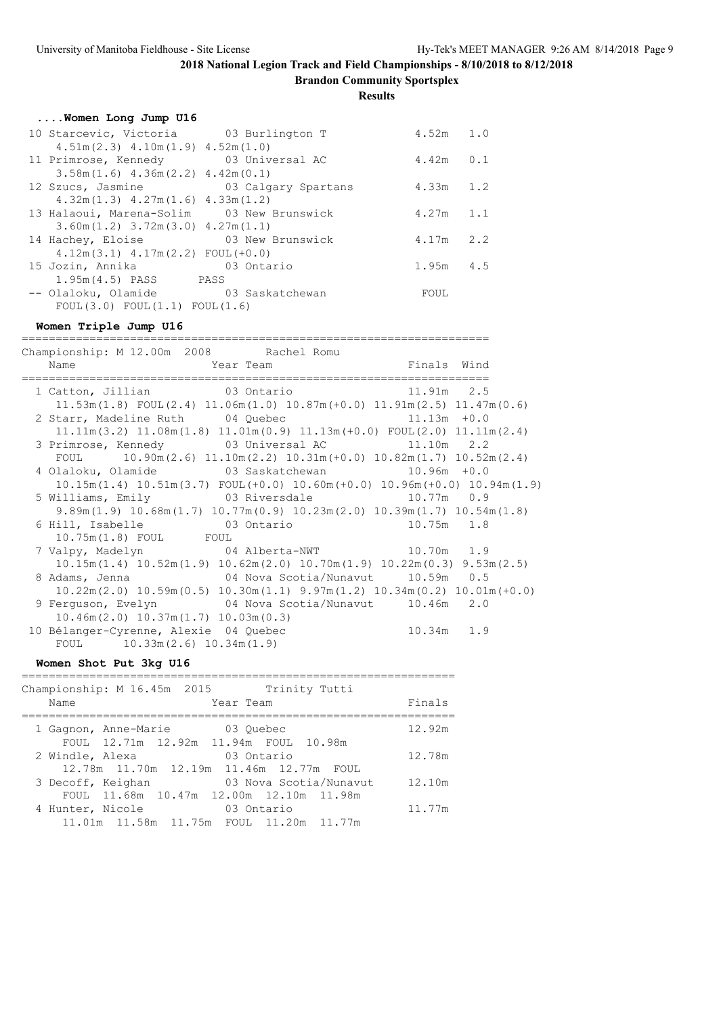**Brandon Community Sportsplex**

### **Results**

|  |  |  | Women Long Jump U16 |  |  |  |
|--|--|--|---------------------|--|--|--|
|--|--|--|---------------------|--|--|--|

| 10 Starcevic, Victoria 03 Burlington T             |            | $4.52m$ 1.0   |  |
|----------------------------------------------------|------------|---------------|--|
| $4.51m(2.3)$ $4.10m(1.9)$ $4.52m(1.0)$             |            |               |  |
| 11 Primrose, Kennedy 03 Universal AC               |            | $4.42m$ $0.1$ |  |
| $3.58$ m $(1.6)$ $4.36$ m $(2.2)$ $4.42$ m $(0.1)$ |            |               |  |
| 12 Szucs, Jasmine 63 Calgary Spartans              |            | $4.33m$ 1.2   |  |
| $4.32m(1.3)$ $4.27m(1.6)$ $4.33m(1.2)$             |            |               |  |
| 13 Halaoui, Marena-Solim 03 New Brunswick          |            | $4.27m$ 1.1   |  |
| $3.60$ m $(1.2)$ $3.72$ m $(3.0)$ $4.27$ m $(1.1)$ |            |               |  |
| 14 Hachey, Eloise 63 New Brunswick                 |            | $4.17m$ 2.2   |  |
| $4.12m(3.1)$ $4.17m(2.2)$ FOUL $(+0.0)$            |            |               |  |
| 15 Jozin, Annika                                   | 03 Ontario | $1.95m$ 4.5   |  |
| 1.95m(4.5) PASS PASS                               |            |               |  |
| -- Olaloku, Olamide 63 Saskatchewan                |            | FOUL          |  |
| FOUL $(3.0)$ FOUL $(1.1)$ FOUL $(1.6)$             |            |               |  |

#### **Women Triple Jump U16**

===================================================================== Championship: M 12.00m 2008 Rachel Romu Name **The Year Team Finals** Wind ===================================================================== 1 Catton, Jillian 03 Ontario 11.91m 2.5 11.53m(1.8) FOUL(2.4) 11.06m(1.0) 10.87m(+0.0) 11.91m(2.5) 11.47m(0.6) 2 Starr, Madeline Ruth 04 Quebec 11.13m +0.0 11.11m(3.2) 11.08m(1.8) 11.01m(0.9) 11.13m(+0.0) FOUL(2.0) 11.11m(2.4) 3 Primrose, Kennedy 03 Universal AC 11.10m 2.2 FOUL 10.90m(2.6) 11.10m(2.2) 10.31m(+0.0) 10.82m(1.7) 10.52m(2.4) 4 Olaloku, Olamide 03 Saskatchewan 10.96m +0.0 10.15m(1.4) 10.51m(3.7) FOUL(+0.0) 10.60m(+0.0) 10.96m(+0.0) 10.94m(1.9) 5 Williams, Emily 03 Riversdale 10.77m 0.9 9.89m(1.9) 10.68m(1.7) 10.77m(0.9) 10.23m(2.0) 10.39m(1.7) 10.54m(1.8) 6 Hill, Isabelle 03 Ontario 10.75m 1.8 10.75m(1.8) FOUL FOUL 7 Valpy, Madelyn 04 Alberta-NWT 10.70m 1.9 10.15m(1.4) 10.52m(1.9) 10.62m(2.0) 10.70m(1.9) 10.22m(0.3) 9.53m(2.5) 8 Adams, Jenna 04 Nova Scotia/Nunavut 10.59m 0.5 10.22m(2.0) 10.59m(0.5) 10.30m(1.1) 9.97m(1.2) 10.34m(0.2) 10.01m(+0.0) 9 Ferguson, Evelyn 04 Nova Scotia/Nunavut 10.46m 2.0 10.46m(2.0) 10.37m(1.7) 10.03m(0.3) 10 Bélanger-Cyrenne, Alexie 04 Quebec 10.34m 1.9 FOUL 10.33m(2.6) 10.34m(1.9)

#### **Women Shot Put 3kg U16**

| Championship: M 16.45m 2015<br>Trinity Tutti<br>Year Team<br>Name                                                         | Finals |
|---------------------------------------------------------------------------------------------------------------------------|--------|
| 1 Gagnon, Anne-Marie<br>03 Ouebec                                                                                         | 12.92m |
| FOUL 12.71m 12.92m 11.94m FOUL 10.98m<br>03 Ontario<br>2 Windle, Alexa                                                    | 12.78m |
| 12.78m  11.70m  12.19m  11.46m  12.77m  FOUL<br>03 Nova Scotia/Nunavut<br>3 Decoff, Keighan                               | 12.10m |
| FOUL 11.68m 10.47m 12.00m 12.10m 11.98m<br>4 Hunter, Nicole<br>03 Ontario<br>11.01m  11.58m  11.75m  FOUL  11.20m  11.77m | 11.77m |
|                                                                                                                           |        |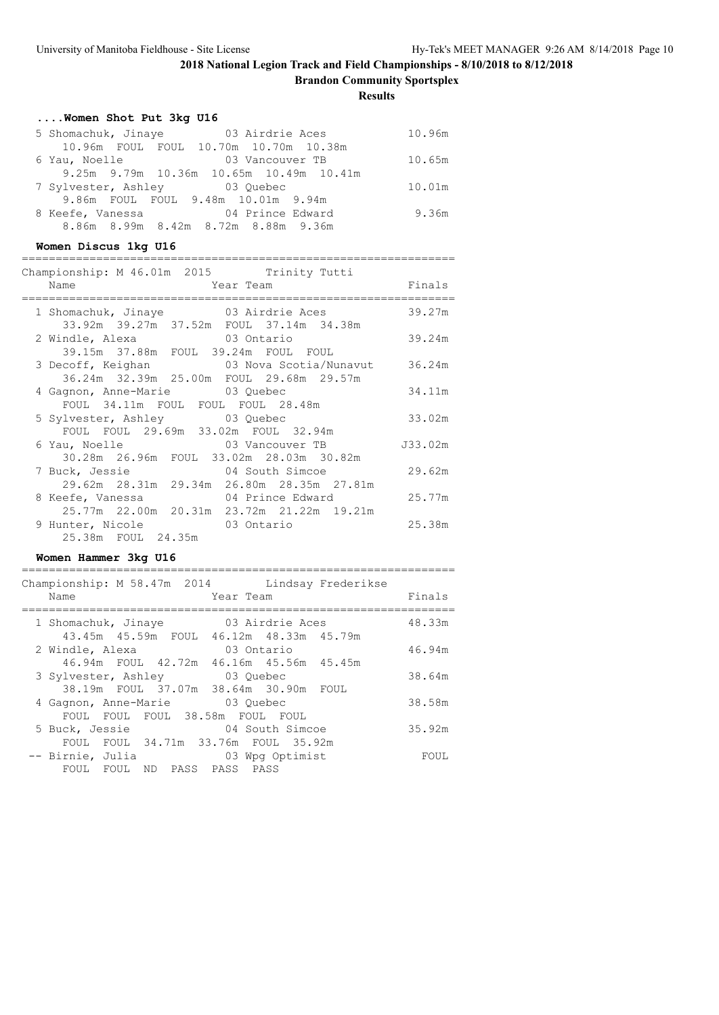**Brandon Community Sportsplex**

### **Results**

### **....Women Shot Put 3kg U16**

| 5 Shomachuk, Jinaye                     | 03 Airdrie Aces<br>10.96m |
|-----------------------------------------|---------------------------|
| 10.96m FOUL FOUL 10.70m 10.70m 10.38m   |                           |
| 6 Yau, Noelle                           | 10.65m<br>03 Vancouver TB |
| 9.25m 9.79m 10.36m 10.65m 10.49m 10.41m |                           |
| 7 Sylvester, Ashley 03 Quebec           | 10.01m                    |
| 9.86m FOUL FOUL 9.48m 10.01m 9.94m      |                           |
| 8 Keefe, Vanessa 64 Prince Edward       | 9.36m                     |
| 8.86m 8.99m 8.42m 8.72m 8.88m 9.36m     |                           |

### **Women Discus 1kg U16**

| Championship: M 46.01m 2015 Trinity Tutti                                       |                 |         |
|---------------------------------------------------------------------------------|-----------------|---------|
| Name                                                                            | Year Team       | Finals  |
| 1 Shomachuk, Jinaye 03 Airdrie Aces<br>33.92m 39.27m 37.52m FOUL 37.14m 34.38m  |                 | 39.27m  |
| 2 Windle, Alexa 63 Ontario<br>39.15m 37.88m FOUL 39.24m FOUL FOUL               |                 | 39.24m  |
| 3 Decoff, Keighan 6.24m<br>36.24m 32.39m 25.00m FOUL 29.68m 29.57m              |                 |         |
| 4 Gagnon, Anne-Marie 03 Quebec<br>FOUL 34.11m FOUL FOUL FOUL 28.48m             |                 | 34.11m  |
| 5 Sylvester, Ashley 03 Quebec<br>FOUL FOUL 29.69m 33.02m FOUL 32.94m            |                 | 33.02m  |
| 6 Yau, Noelle 6 23 Vancouver TB<br>30.28m  26.96m  FOUL  33.02m  28.03m  30.82m |                 | J33.02m |
| 7 Buck, Jessie<br>29.62m 28.31m 29.34m 26.80m 28.35m 27.81m                     | 04 South Simcoe | 29.62m  |
| 8 Keefe, Vanessa 64 Prince Edward<br>25.77m 22.00m 20.31m 23.72m 21.22m 19.21m  |                 | 25.77m  |
| 9 Hunter, Nicole 63 Ontario<br>25.38m FOUL 24.35m                               |                 | 25.38m  |

### **Women Hammer 3kg U16**

| Championship: M 58.47m 2014 Lindsay Frederikse<br>Name<br>Year Team               | Finals |
|-----------------------------------------------------------------------------------|--------|
| 03 Airdrie Aces<br>1 Shomachuk, Jinaye<br>43.45m 45.59m FOUL 46.12m 48.33m 45.79m | 48.33m |
| 03 Ontario<br>2 Windle, Alexa<br>46.94m FOUL 42.72m 46.16m 45.56m 45.45m          | 46.94m |
| 03 Ouebec<br>3 Sylvester, Ashley                                                  | 38.64m |
| 38.19m FOUL 37.07m 38.64m 30.90m FOUL<br>4 Gagnon, Anne-Marie 63 Quebec           | 38.58m |
| FOUL FOUL FOUL 38.58m FOUL FOUL<br>04 South Simcoe<br>5 Buck, Jessie              | 35.92m |
| FOUL FOUL 34.71m 33.76m FOUL 35.92m<br>-- Birnie, Julia<br>03 Wpg Optimist        | FOUL   |
| ND PASS PASS PASS<br>FOUL FOUL                                                    |        |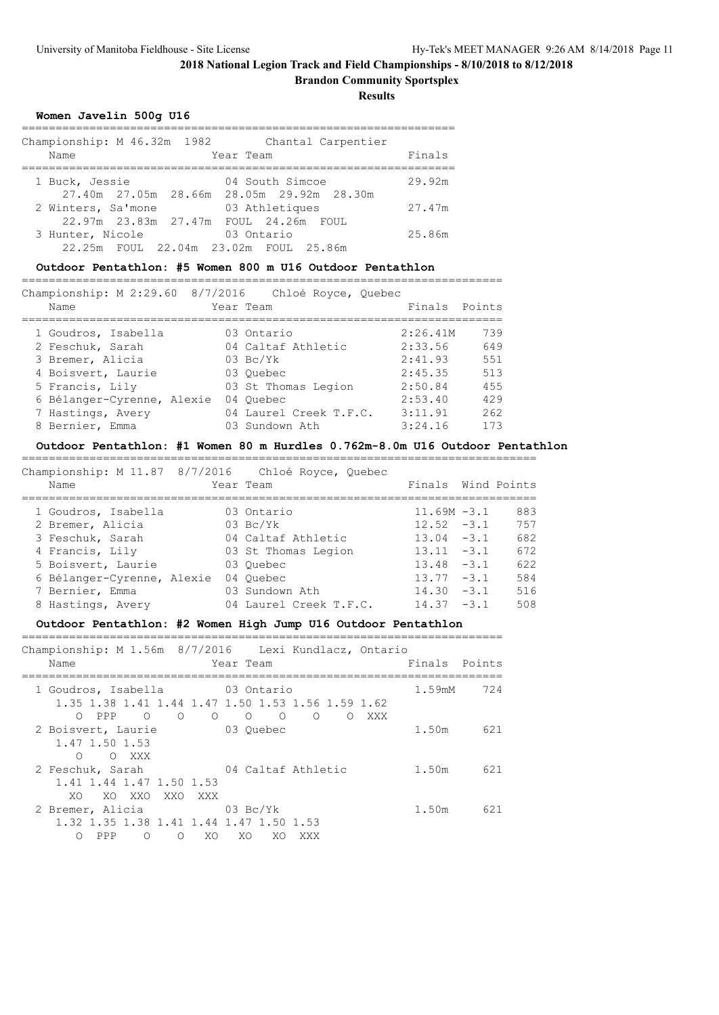**Brandon Community Sportsplex**

**Results**

#### **Women Javelin 500g U16**

| Championship: M 46.32m 1982<br>Name        | Chantal Carpentier<br>Year Team | Finals |
|--------------------------------------------|---------------------------------|--------|
|                                            |                                 |        |
|                                            |                                 |        |
| 1 Buck, Jessie                             | 04 South Simcoe                 | 29.92m |
| 27.40m 27.05m 28.66m 28.05m 29.92m 28.30m  |                                 |        |
| 2 Winters, Sa'mone                         | 03 Athletiques                  | 27.47m |
| 22.97m  23.83m  27.47m  FOUL  24.26m  FOUL |                                 |        |
| 3 Hunter, Nicole                           | 03 Ontario                      | 25.86m |
| 22.25m FOUL 22.04m 23.02m FOUL 25.86m      |                                 |        |

#### **Outdoor Pentathlon: #5 Women 800 m U16 Outdoor Pentathlon**

=======================================================================

| Championship: M 2:29.60 8/7/2016 | Chloé Royce, Quebec    |                 |
|----------------------------------|------------------------|-----------------|
| Name                             | Year Team              | Finals Points   |
| 1 Goudros, Isabella              | 03 Ontario             | 739<br>2:26.41M |
| 2 Feschuk, Sarah                 | 04 Caltaf Athletic     | 649<br>2:33.56  |
| 3 Bremer, Alicia                 | $03 \text{BC/Yk}$      | 551<br>2:41.93  |
| 4 Boisvert, Laurie               | 03 Ouebec              | 513<br>2:45.35  |
| 5 Francis, Lily                  | 03 St Thomas Legion    | 455<br>2:50.84  |
| 6 Bélanger-Cyrenne, Alexie       | 04 Ouebec              | 429<br>2:53.40  |
| 7 Hastings, Avery                | 04 Laurel Creek T.F.C. | 262<br>3:11.91  |
| 8 Bernier, Emma                  | 03 Sundown Ath         | 173<br>3:24.16  |
|                                  |                        |                 |

#### **Outdoor Pentathlon: #1 Women 80 m Hurdles 0.762m-8.0m U16 Outdoor Pentathlon**

============================================================================ Championship: M 11.87 8/7/2016 Chloé Royce, Quebec Name Team Team Team Finals Wind Points ============================================================================ 1 Goudros, Isabella 03 Ontario 11.69M -3.1 883 2 Bremer, Alicia 03 Bc/Yk 12.52 -3.1 757 3 Feschuk, Sarah 04 Caltaf Athletic 13.04 -3.1 682 4 Francis, Lily 03 St Thomas Legion 13.11 -3.1 672 5 Boisvert, Laurie 03 Quebec 13.48 -3.1 622 6 Bélanger-Cyrenne, Alexie 04 Quebec 13.77 -3.1 584 7 Bernier, Emma 03 Sundown Ath 14.30 -3.1 516 8 Hastings, Avery 04 Laurel Creek T.F.C. 14.37 -3.1 508

#### **Outdoor Pentathlon: #2 Women High Jump U16 Outdoor Pentathlon**

| Name                                                                                              | Championship: M 1.56m 8/7/2016 Lexi Kundlacz, Ontario<br>Year Team                                    | Finals Points |     |
|---------------------------------------------------------------------------------------------------|-------------------------------------------------------------------------------------------------------|---------------|-----|
| 1 Goudros, Isabella 63 Ontario<br>$\circ$ 0<br>$\circ$<br>$\circ$<br>$\bigcirc$<br>PPP            | 1.35 1.38 1.41 1.44 1.47 1.50 1.53 1.56 1.59 1.62<br>$\circ$<br>$\circ$<br>$\Omega$<br>XXX<br>$\circ$ | 1.59mM        | 724 |
| 2 Boisvert, Laurie<br>1.47 1.50 1.53<br>$\bigcirc$<br>O XXX                                       | 03 Ouebec                                                                                             | 1.50m         | 621 |
| 2 Feschuk, Sarah<br>1.41 1.44 1.47 1.50 1.53<br>XO.<br>XO XXO<br>XXO XXX                          | 04 Caltaf Athletic                                                                                    | 1.50m         | 621 |
| 2 Bremer, Alicia 63 Bc/Yk<br>1,32 1,35 1,38 1,41 1,44 1,47 1,50 1,53<br>PPP<br>∩<br>XO.<br>∩<br>∩ | XO.<br>XO<br>XXX                                                                                      | 1.50m         | 621 |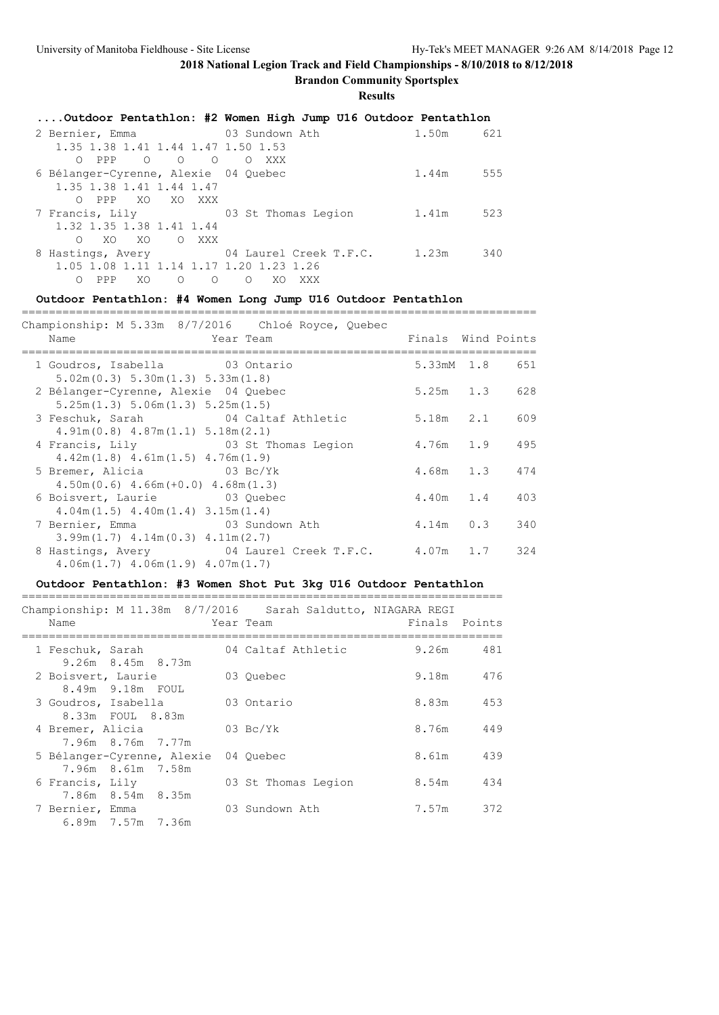#### **Brandon Community Sportsplex**

**Results**

| Outdoor Pentathlon: #2 Women High Jump U16 Outdoor Pentathlon    |       |     |
|------------------------------------------------------------------|-------|-----|
| 2 Bernier, Emma 63 Sundown Ath                                   | 1.50m | 621 |
| 1.35 1.38 1.41 1.44 1.47 1.50 1.53                               |       |     |
| OPPP O O O OXXX                                                  |       |     |
| 6 Bélanger-Cyrenne, Alexie 04 Ouebec                             | 1.44m | 555 |
| 1.35 1.38 1.41 1.44 1.47                                         |       |     |
| O PPP XO XO XXX                                                  |       |     |
| 7 Francis, Lily 63 St Thomas Legion                              | 1.41m | 523 |
| 1.32 1.35 1.38 1.41 1.44                                         |       |     |
| XO XO O XXX<br>$\Omega$                                          |       |     |
| 8 Hastings, Avery 64 Laurel Creek T.F.C. 1.23m                   |       | 340 |
| 1.05 1.08 1.11 1.14 1.17 1.20 1.23 1.26                          |       |     |
| XO.<br>PPP<br>$\circ$<br>$\Omega$<br>$\Omega$<br>XO.<br>XXX<br>∩ |       |     |

### **Outdoor Pentathlon: #4 Women Long Jump U16 Outdoor Pentathlon**

============================================================================ Championship: M 5.33m 8/7/2016 Chloé Royce, Quebec Name **The Year Team Constant Points** Pinals Wind Points ============================================================================ 1 Goudros, Isabella 03 Ontario 5.33mM 1.8 651 5.02m(0.3) 5.30m(1.3) 5.33m(1.8) 2 Bélanger-Cyrenne, Alexie 04 Quebec 5.25m 1.3 628 5.25m(1.3) 5.06m(1.3) 5.25m(1.5) 3 Feschuk, Sarah 04 Caltaf Athletic 5.18m 2.1 609 4.91m(0.8) 4.87m(1.1) 5.18m(2.1) 4 Francis, Lily 63 St Thomas Legion 4.76m 1.9 495 4.42m(1.8) 4.61m(1.5) 4.76m(1.9) 5 Bremer, Alicia 03 Bc/Yk 4.68m 1.3 474 4.50m(0.6) 4.66m(+0.0) 4.68m(1.3) 4.3000(0.0) 4.0000(0.0) 4.0000(0.0) 4.0000(1.0)<br>6 Boisvert, Laurie 03 Quebec 4.40m 1.4 403 4.04m(1.5) 4.40m(1.4) 3.15m(1.4) 7 Bernier, Emma 1999 Communication of Sundown Ath 1999 4.14m 0.3 340 3.99m(1.7) 4.14m(0.3) 4.11m(2.7) 8 Hastings, Avery 04 Laurel Creek T.F.C. 4.07m 1.7 324 4.06m(1.7) 4.06m(1.9) 4.07m(1.7)

#### **Outdoor Pentathlon: #3 Women Shot Put 3kg U16 Outdoor Pentathlon**

=======================================================================

| Championship: M 11.38m 8/7/2016 Sarah Saldutto, NIAGARA REGI<br>Name | Year Team           | Finals Points |           |
|----------------------------------------------------------------------|---------------------|---------------|-----------|
| 1 Feschuk, Sarah<br>$9.26m$ $8.45m$ $8.73m$                          | 04 Caltaf Athletic  | 9.26m 481     |           |
| 2 Boisvert, Laurie<br>8.49m 9.18m FOUL                               | 03 Ouebec           |               | 9.18m 476 |
| 3 Goudros, Isabella<br>8.33m FOUL 8.83m                              | 03 Ontario          | 8.83m         | 453       |
| 4 Bremer, Alicia<br>7.96m 8.76m 7.77m                                | $03 \text{ Bc/Yk}$  |               | 8.76m 449 |
| 5 Bélanger-Cyrenne, Alexie 04 Quebec<br>7.96m 8.61m 7.58m            |                     | 8.61m         | 439       |
| 6 Francis, Lily<br>7.86m 8.54m 8.35m                                 | 03 St Thomas Legion | 8.54m         | 434       |
| 7 Bernier, Emma<br>6.89m 7.57m 7.36m                                 | 03 Sundown Ath      | 7.57m         | 372       |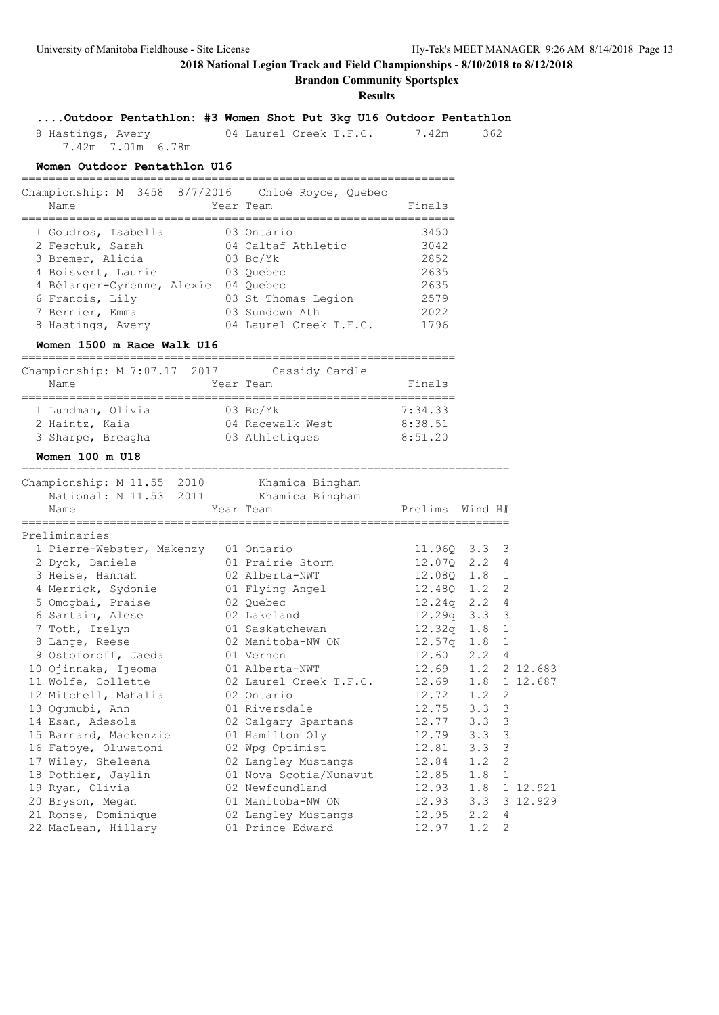## **Brandon Community Sportsplex**

**Results**

| 8 Hastings, Avery<br>7.42m 7.01m 6.78m                               |           | 04 Laurel Creek T.F.C. 7.42m | 362 |
|----------------------------------------------------------------------|-----------|------------------------------|-----|
| Women Outdoor Pentathlon U16                                         |           |                              |     |
| Championship: M 3458 8/7/2016 Chloé Royce, Quebec<br>$N \cap m \cap$ | Voor Toom | $F: n \wedge \neg \neg$      |     |

**....Outdoor Pentathlon: #3 Women Shot Put 3kg U16 Outdoor Pentathlon**

| Name                       | Year Team              | Finals |
|----------------------------|------------------------|--------|
| 1 Goudros, Isabella        | 03 Ontario             | 3450   |
| 2 Feschuk, Sarah           | 04 Caltaf Athletic     | 3042   |
| 3 Bremer, Alicia           | $03 \text{ Bc/Yk}$     | 2852   |
| 4 Boisvert, Laurie         | 03 Ouebec              | 2635   |
| 4 Bélanger-Cyrenne, Alexie | 04 Ouebec              | 2635   |
| 6 Francis, Lily            | 03 St Thomas Legion    | 2579   |
| 7 Bernier, Emma            | 03 Sundown Ath         | 2022   |
| 8 Hastings, Avery          | 04 Laurel Creek T.F.C. | 1796   |

### **Women 1500 m Race Walk U16**

| Championship: M 7:07.17 2017 | Cassidy Cardle     |         |
|------------------------------|--------------------|---------|
| Name                         | Year Team          | Finals  |
|                              |                    |         |
| 1 Lundman, Olivia            | $03 \text{ Bc/Yk}$ | 7:34.33 |
| 2 Haintz, Kaia               | 04 Racewalk West   | 8:38.51 |
| 3 Sharpe, Breagha            | 03 Athletiques     | 8:51.20 |

#### **Women 100 m U18**

========================================================================

| Championship: M 11.55 2010     | Khamica Bingham                           |                    |     |                |
|--------------------------------|-------------------------------------------|--------------------|-----|----------------|
| National: N 11.53 2011<br>Name | Khamica Bingham<br>Year Team              | Prelims Wind H#    |     |                |
| Preliminaries                  |                                           |                    |     |                |
| 1 Pierre-Webster, Makenzy      | 01 Ontario                                | 11.960 3.3 3       |     |                |
| 2 Dyck, Daniele                | 01 Prairie Storm                          | 12.070 2.2 4       |     |                |
| 3 Heise, Hannah                | 02 Alberta-NWT                            | 12.080 1.8         |     | $\mathbf{1}$   |
| 4 Merrick, Sydonie             | 01 Flying Angel                           | 12.480 1.2 2       |     |                |
| 5 Omogbai, Praise              | 02 Ouebec                                 | 12.24q 2.2         |     | $\overline{4}$ |
| 6 Sartain, Alese               | 02 Lakeland                               | 12.29q 3.3 3       |     |                |
| 7 Toth, Irelyn                 | 01 Saskatchewan                           | $12.32q$ $1.8$ 1   |     |                |
| 8 Lange, Reese                 | 02 Manitoba-NW ON                         | 12.57q 1.8 1       |     |                |
| 9 Ostoforoff, Jaeda            | 01 Vernon                                 | 12.60 2.2 4        |     |                |
| 10 Ojinnaka, Ijeoma            | 01 Alberta-NWT                            | 12.69 1.2 2 12.683 |     |                |
| 11 Wolfe, Collette             | 02 Laurel Creek T.F.C. 12.69 1.8 1 12.687 |                    |     |                |
| 12 Mitchell, Mahalia           | 02 Ontario                                | $12.72 \t1.2 \t2$  |     |                |
| 13 Ogumubi, Ann                | 01 Riversdale                             | 12.75 3.3 3        |     |                |
| 14 Esan, Adesola               | 02 Calgary Spartans                       | 12.77 3.3 3        |     |                |
| 15 Barnard, Mackenzie          | 01 Hamilton Oly                           | 12.79 3.3 3        |     |                |
| 16 Fatoye, Oluwatoni           | 02 Wpg Optimist 12.81 3.3 3               |                    |     |                |
| 17 Wiley, Sheleena             | 02 Langley Mustangs 12.84 1.2 2           |                    |     |                |
| 18 Pothier, Jaylin             | 01 Nova Scotia/Nunavut 12.85 1.8 1        |                    |     |                |
| 19 Ryan, Olivia                | 02 Newfoundland                           | 12.93 1.8 1 12.921 |     |                |
| 20 Bryson, Megan               | 01 Manitoba-NW ON                         | 12.93 3.3 3 12.929 |     |                |
| 21 Ronse, Dominique            | 02 Langley Mustangs 12.95 2.2 4           |                    |     |                |
| 22 MacLean, Hillary            | 01 Prince Edward                          | 12.97              | 1.2 | $\overline{2}$ |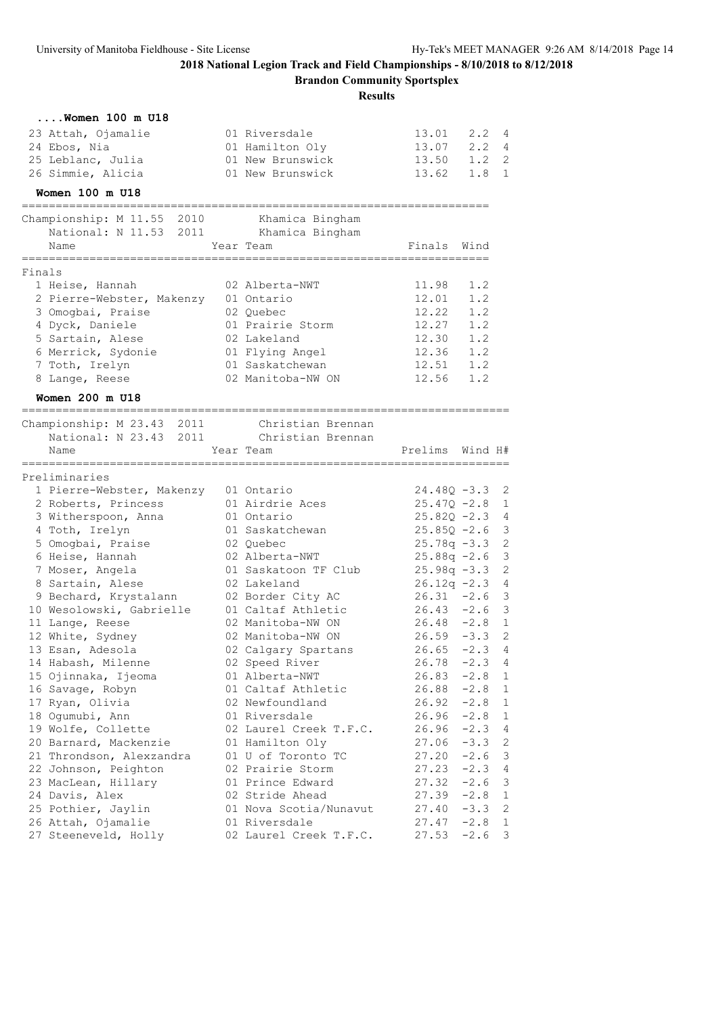**Brandon Community Sportsplex**

|        | Women 100 m U18                        |                               |                                  |         |                   |
|--------|----------------------------------------|-------------------------------|----------------------------------|---------|-------------------|
|        | 23 Attah, Ojamalie                     | 01 Riversdale                 | 13.01 2.2 4                      |         |                   |
|        | 24 Ebos, Nia                           | 01 Hamilton Oly               | 13.07 2.2 4                      |         |                   |
|        | 25 Leblanc, Julia                      | 01 New Brunswick              | 13.50 1.2 2                      |         |                   |
|        | 26 Simmie, Alicia                      | 01 New Brunswick              | 13.62 1.8 1                      |         |                   |
|        | Women 100 m U18                        |                               |                                  |         |                   |
|        | Championship: M 11.55 2010             | Khamica Bingham               |                                  |         |                   |
|        | National: N 11.53 2011 Khamica Bingham |                               |                                  |         |                   |
|        | Name                                   | Year Team                     | Finals Wind                      |         |                   |
| Finals |                                        |                               | :=====================           |         |                   |
|        | 1 Heise, Hannah                        | 02 Alberta-NWT                | 11.98                            | 1.2     |                   |
|        | 2 Pierre-Webster, Makenzy 01 Ontario   |                               | 12.01                            | 1.2     |                   |
|        | 3 Omogbai, Praise                      | 02 Quebec                     | 12.22                            | 1.2     |                   |
|        | 4 Dyck, Daniele                        | 01 Prairie Storm              | 12.27                            | 1.2     |                   |
|        | 5 Sartain, Alese                       | 02 Lakeland                   | 12.30                            | 1.2     |                   |
|        | 6 Merrick, Sydonie                     | 01 Flying Angel               | 12.36 1.2                        |         |                   |
|        | 7 Toth, Irelyn                         | 01 Saskatchewan               | 12.51 1.2                        |         |                   |
|        | 8 Lange, Reese                         | 02 Manitoba-NW ON             | 12.56 1.2                        |         |                   |
|        | Women 200 m U18                        |                               |                                  |         |                   |
|        | Championship: M 23.43 2011             | Christian Brennan             |                                  |         |                   |
|        | National: N 23.43 2011                 | Christian Brennan             |                                  |         |                   |
|        | Name                                   | Year Team                     | Prelims                          | Wind H# |                   |
|        |                                        |                               |                                  |         |                   |
|        | Preliminaries                          |                               |                                  |         |                   |
|        | 1 Pierre-Webster, Makenzy 01 Ontario   |                               | $24.48Q - 3.3$ 2                 |         |                   |
|        | 2 Roberts, Princess                    | 01 Airdrie Aces               | $25.47Q - 2.8$                   |         | $\mathbf{1}$<br>4 |
|        | 3 Witherspoon, Anna                    | 01 Ontario<br>01 Saskatchewan | $25.82Q - 2.3$<br>$25.85Q - 2.6$ |         | 3                 |
|        | 4 Toth, Irelyn<br>5 Omogbai, Praise    | 02 Quebec                     | $25.78q -3.3$                    |         | 2                 |
|        | 6 Heise, Hannah                        | 02 Alberta-NWT                | $25.88q - 2.6$                   |         | $\mathcal{S}$     |
|        | 7 Moser, Angela                        | 01 Saskatoon TF Club          | $25.98q -3.3$                    |         | $\overline{c}$    |
|        | 8 Sartain, Alese                       | 02 Lakeland                   | $26.12q - 2.3$                   |         | 4                 |
|        | 9 Bechard, Krystalann                  | 02 Border City AC             | $26.31 -2.6$ 3                   |         |                   |
|        | 10 Wesolowski, Gabrielle               | 01 Caltaf Athletic            | $26.43 - 2.6$ 3                  |         |                   |
|        | 11 Lange, Reese                        | 02 Manitoba-NW ON             | $26.48 - 2.8$ 1                  |         |                   |
|        | 12 White, Sydney                       | 02 Manitoba-NW ON             | $26.59 - 3.3$ 2                  |         |                   |
|        | 13 Esan, Adesola                       | 02 Calgary Spartans           | $26.65 -2.3 4$                   |         |                   |
|        | 14 Habash, Milenne                     | 02 Speed River                | 26.78                            | $-2.3$  | - 4               |
|        | 15 Ojinnaka, Ijeoma                    | 01 Alberta-NWT                | 26.83                            | $-2.8$  | $\mathbf{1}$      |
|        | 16 Savage, Robyn                       | 01 Caltaf Athletic            | 26.88                            | $-2.8$  | 1                 |
|        | 17 Ryan, Olivia                        | 02 Newfoundland               | 26.92                            | $-2.8$  | 1                 |
|        | 18 Ogumubi, Ann                        | 01 Riversdale                 | 26.96                            | $-2.8$  | $\mathbf{1}$      |
|        | 19 Wolfe, Collette                     | 02 Laurel Creek T.F.C.        | 26.96                            | $-2.3$  | 4                 |
|        | 20 Barnard, Mackenzie                  | 01 Hamilton Oly               | 27.06                            | $-3.3$  | $\mathbf{2}$      |
|        | 21 Throndson, Alexzandra               | 01 U of Toronto TC            | 27.20                            | $-2.6$  | 3                 |
|        | 22 Johnson, Peighton                   | 02 Prairie Storm              | 27.23                            | $-2.3$  | 4                 |
|        | 23 MacLean, Hillary                    | 01 Prince Edward              | 27.32                            | $-2.6$  | 3                 |
|        | 24 Davis, Alex                         | 02 Stride Ahead               | 27.39                            | $-2.8$  | $\mathbf{1}$      |
|        | 25 Pothier, Jaylin                     | 01 Nova Scotia/Nunavut        | 27.40                            | $-3.3$  | 2                 |
|        | 26 Attah, Ojamalie                     | 01 Riversdale                 | 27.47                            | $-2.8$  | 1                 |
|        | 27 Steeneveld, Holly                   | 02 Laurel Creek T.F.C.        | 27.53                            | $-2.6$  | 3                 |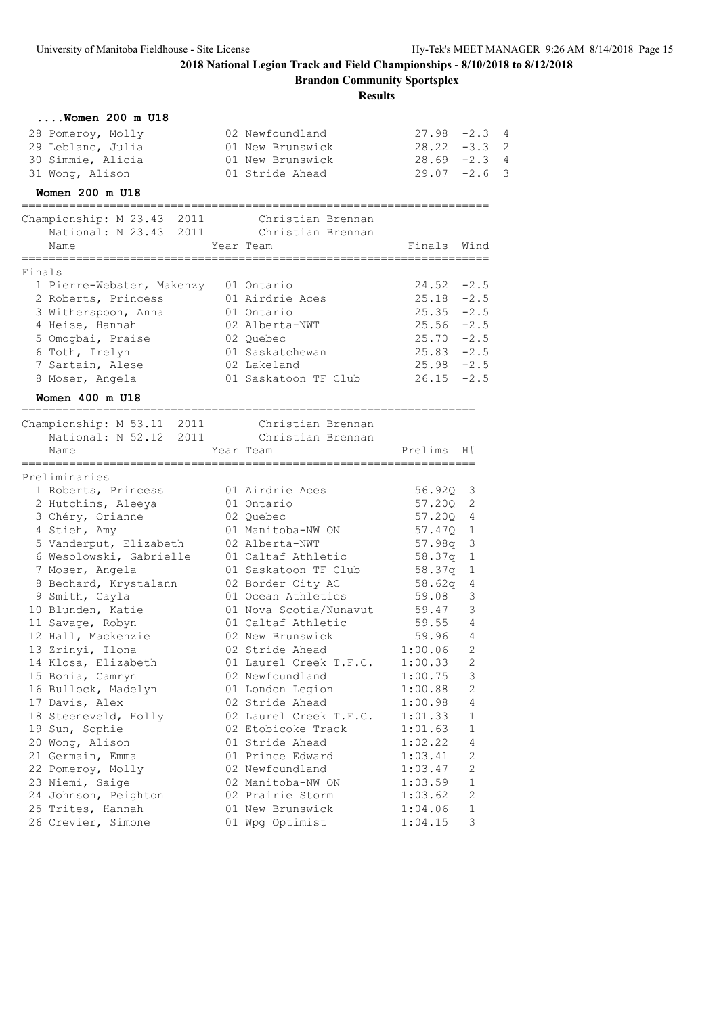**Brandon Community Sportsplex**

|        | $\ldots$ . Women 200 m U18                                  |                                           |                    |                     |                |
|--------|-------------------------------------------------------------|-------------------------------------------|--------------------|---------------------|----------------|
|        | 28 Pomeroy, Molly                                           | 02 Newfoundland                           | $27.98 - 2.3$ 4    |                     |                |
|        | 29 Leblanc, Julia                                           | 01 New Brunswick                          | $28.22 - 3.3$      |                     | $\overline{2}$ |
|        | 30 Simmie, Alicia                                           | 01 New Brunswick                          | $28.69 - 2.3$      |                     | $\overline{4}$ |
|        | 31 Wong, Alison                                             | 01 Stride Ahead                           | $29.07 -2.6$       |                     | 3              |
|        | Women 200 m U18                                             |                                           |                    |                     |                |
|        | -----------------------------<br>Championship: M 23.43 2011 | Christian Brennan                         |                    |                     |                |
|        | National: N 23.43 2011 Christian Brennan                    |                                           |                    |                     |                |
|        | Name<br>=====================                               | Year Team                                 | Finals Wind        |                     |                |
| Finals |                                                             |                                           |                    |                     |                |
|        | 1 Pierre-Webster, Makenzy 01 Ontario                        |                                           | $24.52 - 2.5$      |                     |                |
|        | 2 Roberts, Princess                                         | 01 Airdrie Aces                           | $25.18 - 2.5$      |                     |                |
|        | 3 Witherspoon, Anna                                         | 01 Ontario                                | $25.35 -2.5$       |                     |                |
|        | 4 Heise, Hannah                                             | 02 Alberta-NWT                            | $25.56 - 2.5$      |                     |                |
|        | 5 Omogbai, Praise                                           | 02 Quebec                                 | $25.70 -2.5$       |                     |                |
|        | 6 Toth, Irelyn                                              | 01 Saskatchewan                           | $25.83 - 2.5$      |                     |                |
|        | 7 Sartain, Alese                                            | 02 Lakeland                               | $25.98 - 2.5$      |                     |                |
|        | 8 Moser, Angela                                             | 01 Saskatoon TF Club                      | $26.15 -2.5$       |                     |                |
|        | Women 400 m U18                                             |                                           |                    |                     |                |
|        | Championship: M 53.11 2011                                  | Christian Brennan                         |                    |                     |                |
|        | National: N 52.12 2011 Christian Brennan                    |                                           |                    |                     |                |
|        | Name                                                        | Year Team                                 | Prelims            | H#                  |                |
|        | Preliminaries                                               |                                           |                    |                     |                |
|        | 1 Roberts, Princess                                         | 01 Airdrie Aces                           | 56.920 3           |                     |                |
|        | 2 Hutchins, Aleeya                                          | 01 Ontario                                | 57.20Q             | 2                   |                |
|        | 3 Chéry, Orianne                                            | 02 Quebec                                 | 57.200 4           |                     |                |
|        | 4 Stieh, Amy                                                | 01 Manitoba-NW ON                         | 57.470 1           |                     |                |
|        | 5 Vanderput, Elizabeth                                      | 02 Alberta-NWT                            | 57.98q 3           |                     |                |
|        | 6 Wesolowski, Gabrielle                                     | 01 Caltaf Athletic                        | 58.37q             | 1                   |                |
|        | 7 Moser, Angela                                             | 01 Saskatoon TF Club                      | 58.37q             | 1                   |                |
|        | 8 Bechard, Krystalann                                       | 02 Border City AC                         | 58.62q             | 4                   |                |
|        | 9 Smith, Cayla                                              | 01 Ocean Athletics                        | 59.08              | 3                   |                |
|        | 10 Blunden, Katie                                           | 01 Nova Scotia/Nunavut                    | 59.47              | 3                   |                |
|        | 11 Savage, Robyn                                            | 01 Caltaf Athletic                        | 59.55              | 4                   |                |
|        | 12 Hall, Mackenzie                                          | 02 New Brunswick                          | 59.96              | 4<br>$\overline{2}$ |                |
|        | 13 Zrinyi, Ilona                                            | 02 Stride Ahead<br>01 Laurel Creek T.F.C. | 1:00.06<br>1:00.33 | 2                   |                |
|        | 14 Klosa, Elizabeth<br>15 Bonia, Camryn                     | 02 Newfoundland                           | 1:00.75            | 3                   |                |
|        | 16 Bullock, Madelyn                                         | 01 London Legion                          | 1:00.88            | 2                   |                |
|        | 17 Davis, Alex                                              | 02 Stride Ahead                           | 1:00.98            | 4                   |                |
|        | 18 Steeneveld, Holly                                        | 02 Laurel Creek T.F.C.                    | 1:01.33            | 1                   |                |
|        | 19 Sun, Sophie                                              | 02 Etobicoke Track                        | 1:01.63            | 1                   |                |
|        | 20 Wong, Alison                                             | 01 Stride Ahead                           | 1:02.22            | 4                   |                |
|        | 21 Germain, Emma                                            | 01 Prince Edward                          | 1:03.41            | 2                   |                |
|        | 22 Pomeroy, Molly                                           | 02 Newfoundland                           | 1:03.47            | 2                   |                |
|        | 23 Niemi, Saige                                             | 02 Manitoba-NW ON                         | 1:03.59            | 1                   |                |
|        | 24 Johnson, Peighton                                        | 02 Prairie Storm                          | 1:03.62            | 2                   |                |
|        | 25 Trites, Hannah                                           | 01 New Brunswick                          | 1:04.06            | 1                   |                |
|        | 26 Crevier, Simone                                          | 01 Wpg Optimist                           | 1:04.15            | 3                   |                |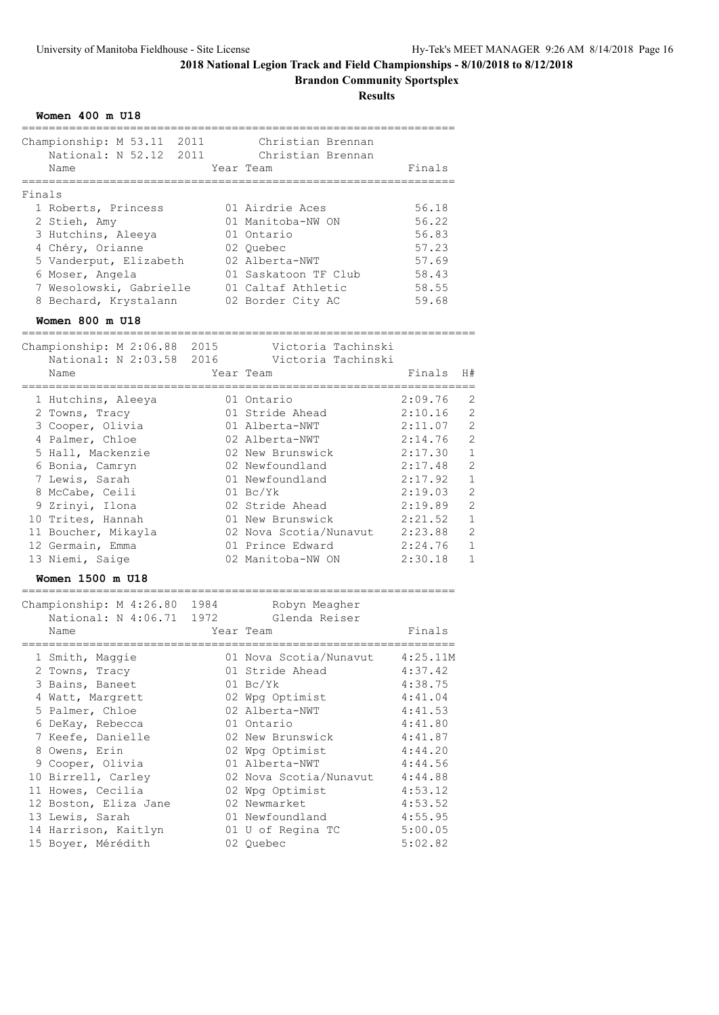**Brandon Community Sportsplex**

| Women 400 m U18                                                                                                                                                                                                                                                                                                |                                                                                                                                                                                                                                                                                       |                                                                                                                                                                    |                                                                                                                                                                                                                |
|----------------------------------------------------------------------------------------------------------------------------------------------------------------------------------------------------------------------------------------------------------------------------------------------------------------|---------------------------------------------------------------------------------------------------------------------------------------------------------------------------------------------------------------------------------------------------------------------------------------|--------------------------------------------------------------------------------------------------------------------------------------------------------------------|----------------------------------------------------------------------------------------------------------------------------------------------------------------------------------------------------------------|
| Championship: M 53.11 2011<br>National: N 52.12 2011<br>Name                                                                                                                                                                                                                                                   | Christian Brennan<br>Christian Brennan<br>Year Team                                                                                                                                                                                                                                   | Finals                                                                                                                                                             |                                                                                                                                                                                                                |
| Finals<br>1 Roberts, Princess<br>2 Stieh, Amy<br>3 Hutchins, Aleeya<br>4 Chéry, Orianne<br>5 Vanderput, Elizabeth<br>6 Moser, Angela<br>7 Wesolowski, Gabrielle<br>8 Bechard, Krystalann                                                                                                                       | 01 Airdrie Aces<br>01 Manitoba-NW ON<br>01 Ontario<br>02 Quebec<br>02 Alberta-NWT<br>01 Saskatoon TF Club<br>01 Caltaf Athletic<br>02 Border City AC                                                                                                                                  | 56.18<br>56.22<br>56.83<br>57.23<br>57.69<br>58.43<br>58.55<br>59.68                                                                                               |                                                                                                                                                                                                                |
| Women 800 m U18                                                                                                                                                                                                                                                                                                |                                                                                                                                                                                                                                                                                       |                                                                                                                                                                    |                                                                                                                                                                                                                |
| Championship: M 2:06.88 2015<br>Name                                                                                                                                                                                                                                                                           | Victoria Tachinski<br>-<br>National: N 2:03.58 2016    Victoria Tachinski<br>Year Team                                                                                                                                                                                                | Finals<br>H#                                                                                                                                                       |                                                                                                                                                                                                                |
| 1 Hutchins, Aleeya<br>2 Towns, Tracy<br>3 Cooper, Olivia<br>4 Palmer, Chloe<br>5 Hall, Mackenzie<br>6 Bonia, Camryn<br>7 Lewis, Sarah<br>8 McCabe, Ceili<br>9 Zrinyi, Ilona<br>10 Trites, Hannah<br>11 Boucher, Mikayla<br>12 Germain, Emma<br>13 Niemi, Saige<br>Women 1500 m U18                             | 01 Ontario<br>01 Stride Ahead<br>01 Alberta-NWT<br>02 Alberta-NWT<br>02 New Brunswick<br>02 Newfoundland<br>01 Newfoundland<br>$01 \text{ Bc/Yk}$<br>02 Stride Ahead<br>01 New Brunswick<br>02 Nova Scotia/Nunavut<br>01 Prince Edward<br>02 Manitoba-NW ON                           | 2:09.76<br>2:10.16<br>2:11.07<br>2:14.76<br>2:17.30<br>2:17.48<br>2:17.92<br>2:19.03<br>2:19.89<br>2:21.52<br>2:23.88<br>2:24.76<br>2:30.18                        | 2<br>$\overline{2}$<br>$\overline{2}$<br>$\overline{2}$<br>$\mathbf{1}$<br>$\overline{2}$<br>$\mathbf{1}$<br>$\overline{c}$<br>$\overline{2}$<br>$\mathbf{1}$<br>$\overline{2}$<br>$\mathbf 1$<br>$\mathbf{1}$ |
| =============<br>Championship: M 4:26.80 1984<br>National: N 4:06.71 1972<br>Name                                                                                                                                                                                                                              | Robyn Meagher<br>Glenda Reiser<br>Year Team                                                                                                                                                                                                                                           | Finals                                                                                                                                                             |                                                                                                                                                                                                                |
| 1 Smith, Maggie<br>2 Towns, Tracy<br>3 Bains, Baneet<br>4 Watt, Margrett<br>5 Palmer, Chloe<br>6 DeKay, Rebecca<br>7 Keefe, Danielle<br>8 Owens, Erin<br>9 Cooper, Olivia<br>10 Birrell, Carley<br>11 Howes, Cecilia<br>12 Boston, Eliza Jane<br>13 Lewis, Sarah<br>14 Harrison, Kaitlyn<br>15 Boyer, Mérédith | 01 Nova Scotia/Nunavut<br>01 Stride Ahead<br>$01$ Bc/Yk<br>02 Wpg Optimist<br>02 Alberta-NWT<br>01 Ontario<br>02 New Brunswick<br>02 Wpg Optimist<br>01 Alberta-NWT<br>02 Nova Scotia/Nunavut<br>02 Wpg Optimist<br>02 Newmarket<br>01 Newfoundland<br>01 U of Regina TC<br>02 Quebec | 4:25.11M<br>4:37.42<br>4:38.75<br>4:41.04<br>4:41.53<br>4:41.80<br>4:41.87<br>4:44.20<br>4:44.56<br>4:44.88<br>4:53.12<br>4:53.52<br>4:55.95<br>5:00.05<br>5:02.82 |                                                                                                                                                                                                                |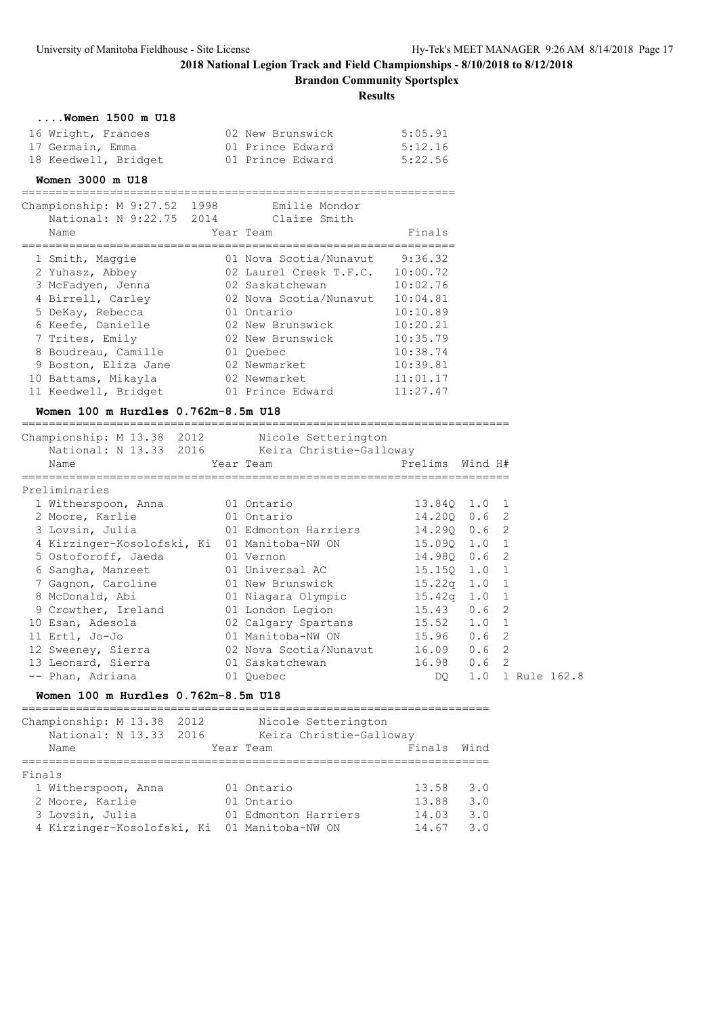**Brandon Community Sportsplex**

|                                                                                                                                                                                                                                        |                                                                                                                                                                                                                                        | Dranuon Community opertspics<br><b>Results</b>                                                                                                 |         |                                                                                  |
|----------------------------------------------------------------------------------------------------------------------------------------------------------------------------------------------------------------------------------------|----------------------------------------------------------------------------------------------------------------------------------------------------------------------------------------------------------------------------------------|------------------------------------------------------------------------------------------------------------------------------------------------|---------|----------------------------------------------------------------------------------|
| $\ldots$ . Women $1500$ m $U18$<br>16 Wright, Frances<br>17 Germain, Emma<br>18 Keedwell, Bridget<br>Women 3000 m U18                                                                                                                  | 02 New Brunswick<br>01 Prince Edward<br>01 Prince Edward                                                                                                                                                                               | 5:05.91<br>5:12.16<br>5:22.56                                                                                                                  |         |                                                                                  |
| Championship: M 9:27.52 1998<br>National: N 9:22.75 2014 Claire Smith<br>Name                                                                                                                                                          | Emilie Mondor<br>Year Team                                                                                                                                                                                                             | Finals                                                                                                                                         |         |                                                                                  |
| 1 Smith, Maggie<br>2 Yuhasz, Abbey<br>3 McFadyen, Jenna<br>4 Birrell, Carley<br>5 DeKay, Rebecca<br>6 Keefe, Danielle<br>7 Trites, Emily<br>8 Boudreau, Camille<br>9 Boston, Eliza Jane<br>10 Battams, Mikayla<br>11 Keedwell, Bridget | 01 Nova Scotia/Nunavut<br>02 Laurel Creek T.F.C. 10:00.72<br>02 Saskatchewan<br>02 Nova Scotia/Nunavut 10:04.81<br>01 Ontario<br>02 New Brunswick<br>02 New Brunswick<br>01 Ouebec<br>02 Newmarket<br>02 Newmarket<br>01 Prince Edward | 9:36.32<br>10:02.76<br>10:10.89<br>10:20.21<br>10:35.79<br>10:38.74<br>10:39.81<br>11:01.17<br>11:27.47                                        |         |                                                                                  |
| Women 100 m Hurdles 0.762m-8.5m U18<br>___________________________________<br>Championship: M 13.38 2012<br>National: N 13.33 2016 Keira Christie-Galloway                                                                             | -----------<br>Nicole Setterington                                                                                                                                                                                                     |                                                                                                                                                |         |                                                                                  |
| Name<br>:=================                                                                                                                                                                                                             | Year Team<br>============                                                                                                                                                                                                              | Prelims                                                                                                                                        | Wind H# |                                                                                  |
| Preliminaries<br>1 Witherspoon, Anna<br>2 Moore, Karlie<br>3 Lovsin, Julia<br>4 Kirzinger-Kosolofski, Ki 01 Manitoba-NW ON<br>5 Ostoforoff, Jaeda<br>6 Sangha, Manreet<br>7 Gagnon, Caroline<br>8 McDonald, Abi<br>9 Crowther, Ireland | 01 Ontario<br>01 Ontario<br>01 Edmonton Harriers<br>01 Vernon<br>01 Universal AC<br>01 New Brunswick<br>01 Niagara Olympic<br>01 London Legion                                                                                         | 13.840 1.0 1<br>14.200 0.6 2<br>14.290 0.6 2<br>15.09Q 1.0 1<br>14.980 0.6<br>15.150 1.0<br>$15.22q$ $1.0$<br>$15.42q$ $1.0$<br>$15.43 \t 0.6$ |         | $\overline{c}$<br>$\mathbf{1}$<br>$\mathbf{1}$<br>$\mathbf{1}$<br>$\overline{c}$ |
| 10 Esan, Adesola                                                                                                                                                                                                                       | 02 Calgary Spartans                                                                                                                                                                                                                    | 15.52                                                                                                                                          | 1.0     | $\mathbf{1}$                                                                     |

 12 Sweeney, Sierra 02 Nova Scotia/Nunavut 16.09 0.6 2 13 Leonard, Sierra 01 Saskatchewan 16.98 0.6 2 -- Phan, Adriana 01 Quebec DQ 1.0 1 Rule 162.8

**Women 100 m Hurdles 0.762m-8.5m U18**

|        | Championship: M 13.38<br>National: N 13.33<br>Name | 2012<br>2016 | Nicole Setterington<br>Keira Christie-Galloway<br>Year Team | Finals         | Wind       |
|--------|----------------------------------------------------|--------------|-------------------------------------------------------------|----------------|------------|
|        |                                                    |              |                                                             |                |            |
| Finals | 1 Witherspoon, Anna                                |              | 01 Ontario                                                  | 13.58          | 3.0        |
|        | 2 Moore, Karlie                                    |              | 01 Ontario                                                  | 13.88          | 3.0        |
|        | 3 Lovsin, Julia<br>4 Kirzinger-Kosolofski, Ki      |              | 01 Edmonton Harriers<br>01 Manitoba-NW ON                   | 14.03<br>14.67 | 3.0<br>3.0 |

11 Ertl, Jo-Jo 01 Manitoba-NW ON 15.96 0.6 2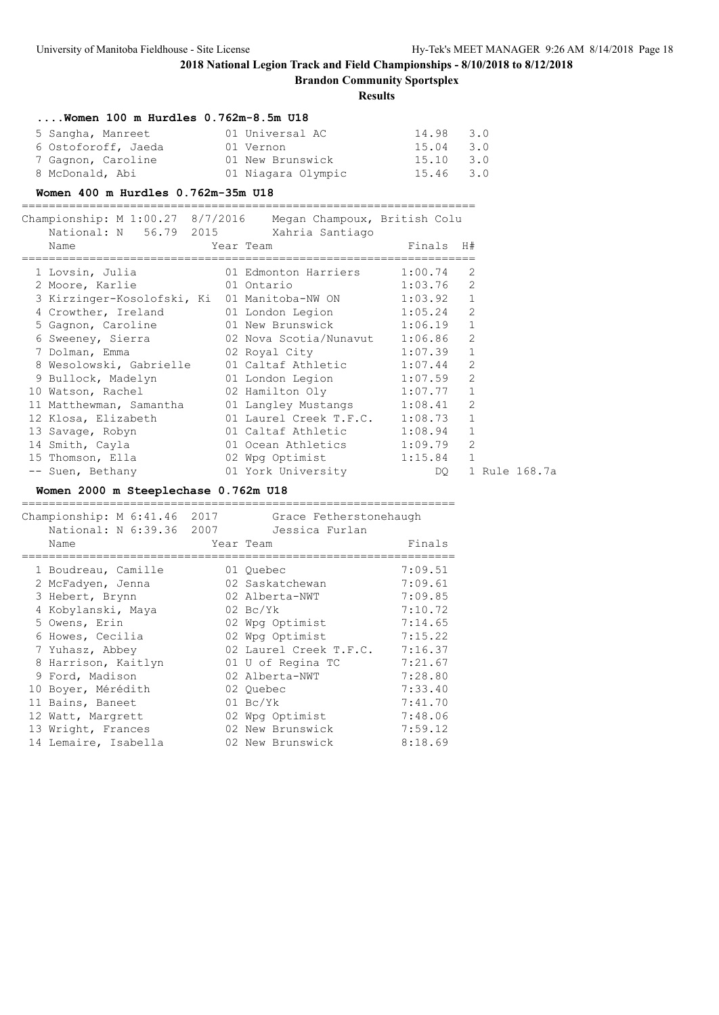**Brandon Community Sportsplex**

**Results**

| Women $100$ m Hurdles $0.762m-8.5m$ U18 |                    |           |     |
|-----------------------------------------|--------------------|-----------|-----|
| 5 Sangha, Manreet                       | 01 Universal AC    | 14.98     | 3.0 |
| 6 Ostoforoff, Jaeda                     | 01 Vernon          | 15.04     | 3.0 |
| 7 Gagnon, Caroline                      | 01 New Brunswick   | 15.10     | 3.0 |
| 8 McDonald, Abi                         | 01 Niagara Olympic | 15.46 3.0 |     |

#### **Women 400 m Hurdles 0.762m-35m U18**

===================================================================

| Championship: M 1:00.27 8/7/2016 Megan Champoux, British Colu<br>National: N 56.79 2015 Xahria Santiago<br>Name | Year Team                      | Finals H# |               |  |
|-----------------------------------------------------------------------------------------------------------------|--------------------------------|-----------|---------------|--|
|                                                                                                                 |                                |           |               |  |
| 1 Lovsin, Julia 61 Edmonton Harriers 1:00.74                                                                    |                                |           | -2            |  |
| 2 Moore, Karlie 61 Ontario                                                                                      | $1:03.76$ 2                    |           |               |  |
| 3 Kirzinger-Kosolofski, Ki 01 Manitoba-NW ON 1:03.92 1                                                          |                                |           |               |  |
| 4 Crowther, Ireland 01 London Legion 1:05.24 2                                                                  |                                |           |               |  |
| 5 Gagnon, Caroline 61 New Brunswick 1:06.19 1                                                                   |                                |           |               |  |
| 6 Sweeney, Sierra 62 Nova Scotia/Nunavut 1:06.86 2                                                              |                                |           |               |  |
| 7 Dolman, Emma (2 Royal City 1:07.39 1                                                                          |                                |           |               |  |
| 8 Wesolowski, Gabrielle 01 Caltaf Athletic 1:07.44 2                                                            |                                |           |               |  |
| 9 Bullock, Madelyn (1 London Legion 1:07.59 2                                                                   |                                |           |               |  |
| 10 Watson, Rachel 62 Hamilton Oly 1:07.77 1                                                                     |                                |           |               |  |
| 11 Matthewman, Samantha 101 Langley Mustangs 1:08.41                                                            |                                |           | 2             |  |
| 12 Klosa, Elizabeth                                                                                             | 01 Laurel Creek T.F.C. 1:08.73 |           | $\mathbf{1}$  |  |
| 13 Savage, Robyn                                                                                                | 01 Caltaf Athletic 1:08.94     |           | $\mathbf{1}$  |  |
| 14 Smith, Cayla 61 Ocean Athletics 1:09.79                                                                      |                                |           | 2             |  |
| 15 Thomson, Ella and 02 Wpg Optimist 1:15.84 1                                                                  |                                |           |               |  |
| -- Suen, Bethany 101 York University                                                                            |                                | DO        | 1 Rule 168.7a |  |

### **Women 2000 m Steeplechase 0.762m U18**

| Championship: M 6:41.46<br>National: N 6:39.36 2007<br>Name | 2017 | Grace Fetherstonehaugh<br>Jessica Furlan<br>Year Team | Finals  |
|-------------------------------------------------------------|------|-------------------------------------------------------|---------|
| 1 Boudreau, Camille                                         |      | 01 Ouebec                                             | 7:09.51 |
| 2 McFadyen, Jenna                                           |      | 02 Saskatchewan                                       | 7:09.61 |
| 3 Hebert, Brynn                                             |      | 02 Alberta-NWT                                        | 7:09.85 |
| 4 Kobylanski, Maya                                          |      | $02 \text{ Bc/Yk}$                                    | 7:10.72 |
| 5 Owens, Erin                                               |      | 02 Wpg Optimist                                       | 7:14.65 |
| 6 Howes, Cecilia                                            |      | 02 Wpg Optimist                                       | 7:15.22 |
| 7 Yuhasz, Abbey                                             |      | 02 Laurel Creek T.F.C.                                | 7:16.37 |
| 8 Harrison, Kaitlyn                                         |      | 01 U of Regina TC                                     | 7:21.67 |
| 9 Ford, Madison                                             |      | 02 Alberta-NWT                                        | 7:28.80 |
| 10 Boyer, Mérédith                                          |      | 02 Ouebec                                             | 7:33.40 |
| 11 Bains, Baneet                                            |      | $01 \text{ Bc/Yk}$                                    | 7:41.70 |
| 12 Watt, Margrett                                           |      | 02 Wpg Optimist                                       | 7:48.06 |
| 13 Wright, Frances                                          |      | 02 New Brunswick                                      | 7:59.12 |
| 14 Lemaire, Isabella                                        |      | 02 New Brunswick                                      | 8:18.69 |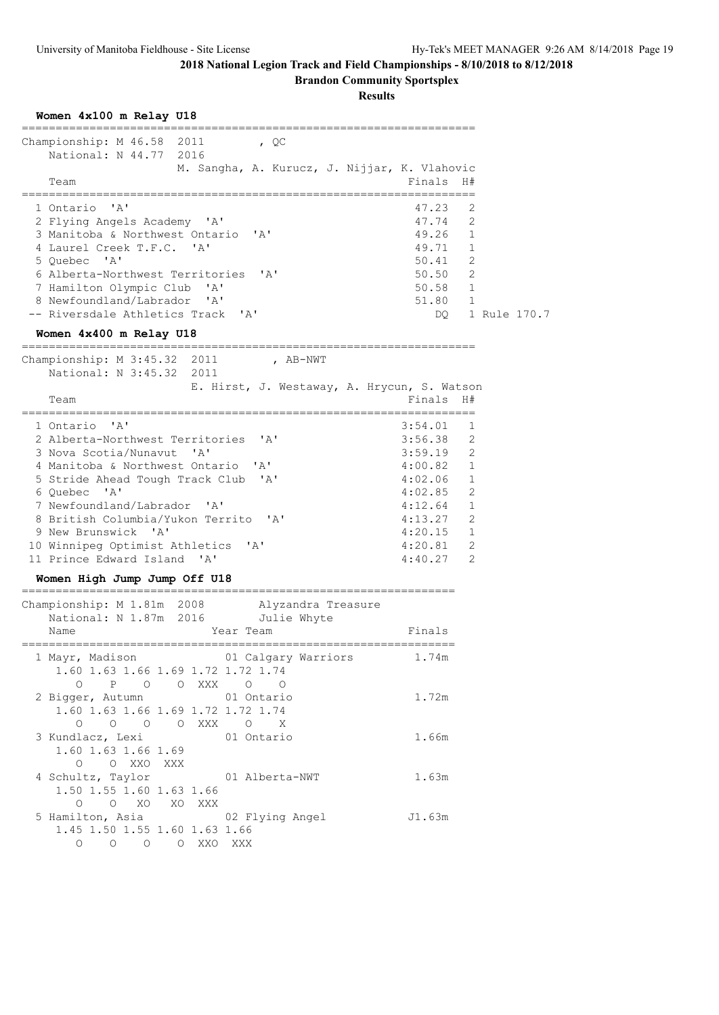**Brandon Community Sportsplex**

| Women 4x100 m Relay U18                                                                          |                    |                     |
|--------------------------------------------------------------------------------------------------|--------------------|---------------------|
| Championship: M 46.58 2011<br>, $QC$<br>National: N 44.77 2016                                   |                    |                     |
| M. Sangha, A. Kurucz, J. Nijjar, K. Vlahovic<br>Team                                             | Finals             | H#                  |
| ' A'<br>1 Ontario                                                                                | 47.23              | 2                   |
| 2 Flying Angels Academy 'A'                                                                      | 47.74              | 2                   |
| 3 Manitoba & Northwest Ontario<br>$\mathsf{A}$                                                   | 49.26              | $\mathbf{1}$        |
| 4 Laurel Creek T.F.C. 'A'                                                                        | 49.71              | $\mathbf{1}$        |
| 5 Ouebec 'A'<br>6 Alberta-Northwest Territories 'A'                                              | 50.41<br>50.50     | 2<br>2              |
| 7 Hamilton Olympic Club<br>$\mathsf{A}$                                                          | 50.58              | $\mathbf{1}$        |
| 8 Newfoundland/Labrador<br>' A'                                                                  | 51.80              | $\mathbf{1}$        |
| -- Riversdale Athletics Track<br>$^{\prime}$ A $^{\prime}$                                       | DO.                | 1 Rule 170.7        |
| Women 4x400 m Relay U18                                                                          |                    |                     |
| Championship: M 3:45.32 2011<br>, AB-NWT<br>National: N 3:45.32 2011                             |                    |                     |
| E. Hirst, J. Westaway, A. Hrycun, S. Watson                                                      |                    |                     |
| Team                                                                                             | Finals             | H#                  |
| 1 Ontario<br>' A'                                                                                | 3:54.01            | 1                   |
| 2 Alberta-Northwest Territories<br>$\mathsf{A}$                                                  | 3:56.38            | $\overline{2}$      |
| 3 Nova Scotia/Nunavut<br>' A'                                                                    | 3:59.19            | 2                   |
| 4 Manitoba & Northwest Ontario<br>$\mathsf{A}$                                                   | 4:00.82            | $\mathbf{1}$        |
| 5 Stride Ahead Tough Track Club<br>'A'                                                           | 4:02.06            | $\mathbf{1}$        |
| 6 Quebec 'A'                                                                                     | 4:02.85            | 2                   |
| 7 Newfoundland/Labrador<br>$\mathsf{A}$<br>8 British Columbia/Yukon Territo<br>$\mathsf{A}$      | 4:12.64            | 1<br>$\overline{2}$ |
| 9 New Brunswick 'A'                                                                              | 4:13.27<br>4:20.15 | $\mathbf{1}$        |
| 10 Winnipeg Optimist Athletics<br>$\mathsf{A}$                                                   | 4:20.81            | 2                   |
| 11 Prince Edward Island 'A'                                                                      | 4:40.27            | 2                   |
| Women High Jump Jump Off U18<br>-------------------------<br>------------------------------      |                    |                     |
| Championship: M 1.81m 2008<br>Alyzandra Treasure                                                 |                    |                     |
| National: N 1.87m 2016<br>Julie Whyte                                                            |                    |                     |
| Year Team<br>Name                                                                                | Finals             |                     |
| 1 Mayr, Madison and 01 Calgary Warriors<br>1.60 1.63 1.66 1.69 1.72 1.72 1.74<br>0 P 0 0 XXX 0 0 | 1.74m              |                     |
| 2 Bigger, Autumn 01 Ontario<br>1.60 1.63 1.66 1.69 1.72 1.72 1.74<br>0 0 0 0 XXX 0 X             | 1.72m              |                     |
| 3 Kundlacz, Lexi (01 Ontario<br>1.60 1.63 1.66 1.69<br>O O XXO XXX                               | 1.66m              |                     |
| 4 Schultz, Taylor 61 Alberta-NWT<br>1.50 1.55 1.60 1.63 1.66<br>O O XO XO XXX                    | 1.63m              |                     |
| 5 Hamilton, Asia 62 Plying Angel 5 1.63m<br>1.45 1.50 1.55 1.60 1.63 1.66<br>O O O O XXO XXX     |                    |                     |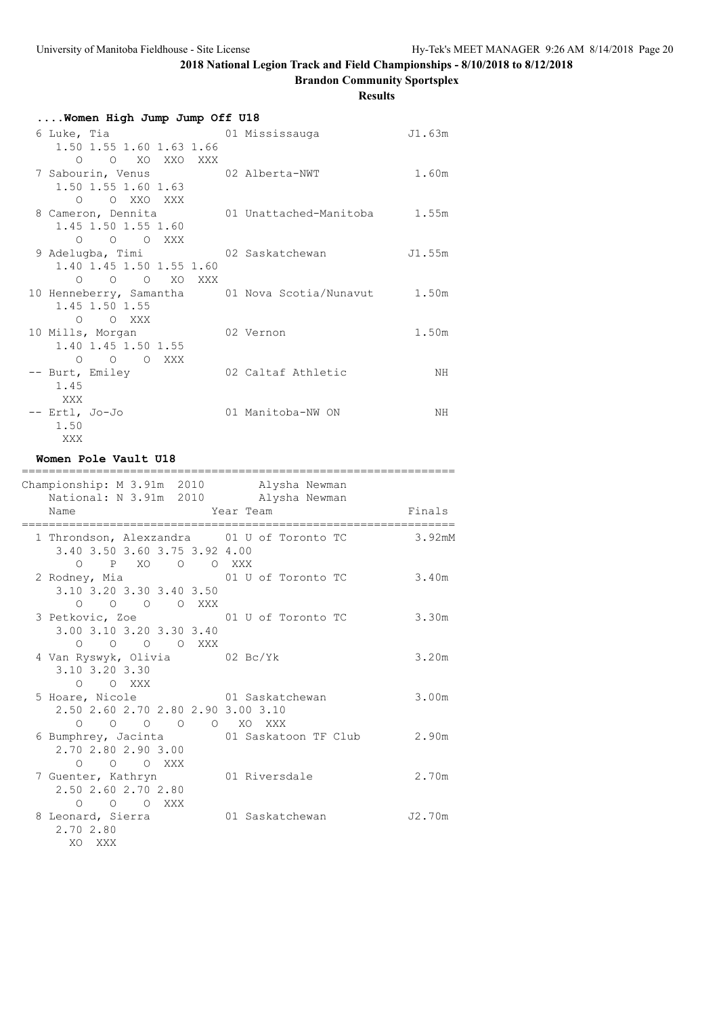**Brandon Community Sportsplex**

**Results**

| Women High Jump Jump Off U18                                 |  |                              |        |  |
|--------------------------------------------------------------|--|------------------------------|--------|--|
| 6 Luke, Tia                                                  |  | 01 Mississauga               | J1.63m |  |
| 1.50 1.55 1.60 1.63 1.66                                     |  |                              |        |  |
| O O XO XXO XXX                                               |  |                              |        |  |
| 7 Sabourin, Venus 02 Alberta-NWT                             |  |                              | 1.60m  |  |
| 1.50 1.55 1.60 1.63                                          |  |                              |        |  |
| O OXXOXXX                                                    |  |                              |        |  |
| 8 Cameron, Dennita                                           |  | 01 Unattached-Manitoba 1.55m |        |  |
| 1.45 1.50 1.55 1.60                                          |  |                              |        |  |
| $O$ $O$ $O$ XXX                                              |  |                              |        |  |
| 9 Adelugba, Timi 62 Saskatchewan                             |  |                              | J1.55m |  |
| 1.40 1.45 1.50 1.55 1.60                                     |  |                              |        |  |
| $O$ $O$ $O$ $XO$ $XXX$                                       |  |                              |        |  |
| 10 Henneberry, Samantha     01 Nova Scotia/Nunavut     1.50m |  |                              |        |  |
| 1.45 1.50 1.55                                               |  |                              |        |  |
| O XXX<br>$\circ$                                             |  |                              |        |  |
| 10 Mills, Morgan                                             |  | 02 Vernon                    | 1.50m  |  |
| 1.40 1.45 1.50 1.55                                          |  |                              |        |  |
| O O O XXX                                                    |  |                              |        |  |
| -- Burt, Emiley                                              |  | 02 Caltaf Athletic           | NH     |  |
| 1.45                                                         |  |                              |        |  |
| XXX                                                          |  |                              |        |  |
| -- Ertl, Jo-Jo                                               |  | 01 Manitoba-NW ON            | NΗ     |  |
| 1.50                                                         |  |                              |        |  |

### **Women Pole Vault U18**

XXX

| ============<br>Championship: M 3.91m 2010 Alysha Newman                                           |                                                            |        |
|----------------------------------------------------------------------------------------------------|------------------------------------------------------------|--------|
| National: N 3.91m 2010 Alysha Newman<br><b>Example 21 Year Team</b><br>Name                        |                                                            | Finals |
| 1 Throndson, Alexzandra 01 U of Toronto TC<br>3.40 3.50 3.60 3.75 3.92 4.00                        |                                                            | 3.92mM |
| O P XO O O XXX<br>2 Rodney, Mia 61 U of Toronto TC<br>3.10 3.20 3.30 3.40 3.50                     |                                                            | 3.40m  |
| 0 0 0 0 XXX<br>3 Petkovic, Zoe 5 01 U of Toronto TC<br>3.00 3.10 3.20 3.30 3.40                    |                                                            | 3.30m  |
| $O$ $O$ $O$ $O$ $XXX$<br>4 Van Ryswyk, Olivia 02 Bc/Yk<br>3.10 3.20 3.30                           |                                                            | 3.20m  |
| $O$ $O$ XXX<br>5 Hoare, Nicole 61 Saskatchewan<br>2.50 2.60 2.70 2.80 2.90 3.00 3.10               |                                                            | 3.00m  |
| $0\qquad 0\qquad 0\qquad 0$<br>2.70 2.80 2.90 3.00                                                 | O XO XXX<br>6 Bumphrey, Jacinta 61 Saskatoon TF Club 2.90m |        |
| $\begin{matrix} 0 & 0 & 0 \end{matrix}$<br>7 Guenter, Kathryn 01 Riversdale<br>2.50 2.60 2.70 2.80 |                                                            | 2.70m  |
| O O O XXX<br>8 Leonard, Sierra 61 Saskatchewan<br>2.70 2.80<br>XO XXX                              |                                                            | J2.70m |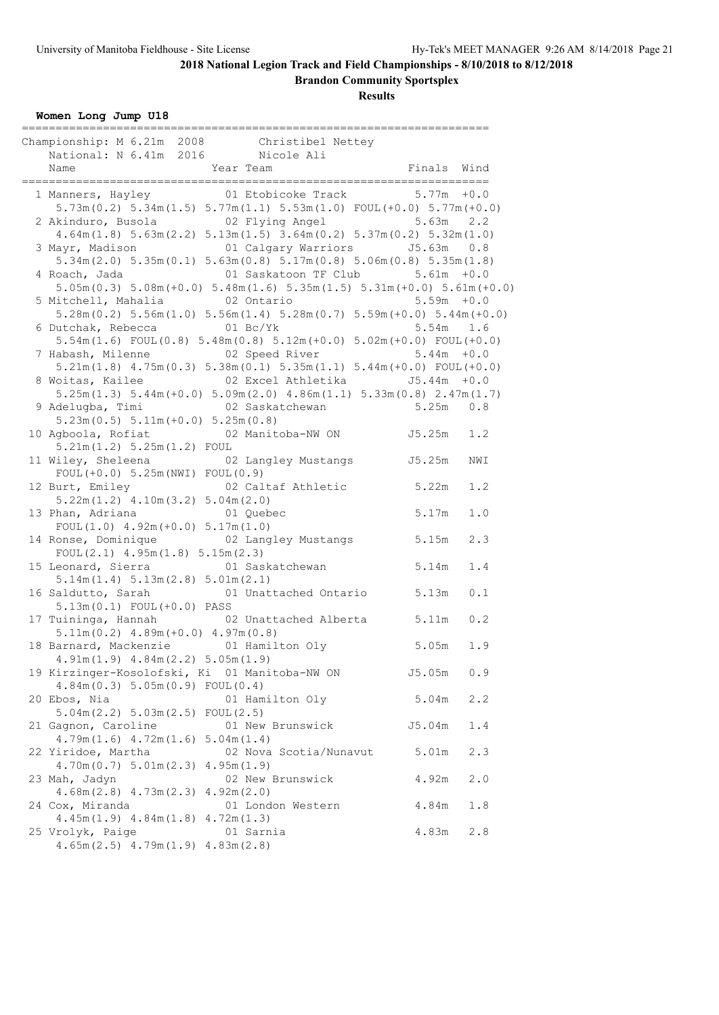**Brandon Community Sportsplex**

| Women Long Jump U18 |  |  |  |
|---------------------|--|--|--|
|---------------------|--|--|--|

|  | Championship: M 6.21m 2008 Christibel Nettey<br>National: N 6.41m 2016 Nicole Ali                                  | Finals Wind   |     |  |  |  |  |
|--|--------------------------------------------------------------------------------------------------------------------|---------------|-----|--|--|--|--|
|  |                                                                                                                    |               |     |  |  |  |  |
|  | 1 Manners, Hayley 61 Etobicoke Track 5.77m +0.0                                                                    |               |     |  |  |  |  |
|  | $5.73m(0.2)$ $5.34m(1.5)$ $5.77m(1.1)$ $5.53m(1.0)$ $F0UL(+0.0)$ $5.77m(+0.0)$                                     |               |     |  |  |  |  |
|  | 2 Akinduro, Busola (2 Plying Angel 5.63m 2.2                                                                       |               |     |  |  |  |  |
|  | $4.64m(1.8)$ $5.63m(2.2)$ $5.13m(1.5)$ $3.64m(0.2)$ $5.37m(0.2)$ $5.32m(1.0)$                                      |               |     |  |  |  |  |
|  | 3 Mayr, Madison 61 Calgary Warriors 55.63m 0.8                                                                     |               |     |  |  |  |  |
|  | $5.34$ m $(2.0)$ $5.35$ m $(0.1)$ $5.63$ m $(0.8)$ $5.17$ m $(0.8)$ $5.06$ m $(0.8)$ $5.35$ m $(1.8)$              |               |     |  |  |  |  |
|  | 4 Roach, Jada (01 Saskatoon TF Club) 5.61m +0.0                                                                    |               |     |  |  |  |  |
|  | $5.05m(0.3)$ $5.08m(+0.0)$ $5.48m(1.6)$ $5.35m(1.5)$ $5.31m(+0.0)$ $5.61m(+0.0)$<br>5 Mitchell, Mahalia 62 Ontario | $5.59m + 0.0$ |     |  |  |  |  |
|  | $5.28$ m $(0.2)$ $5.56$ m $(1.0)$ $5.56$ m $(1.4)$ $5.28$ m $(0.7)$ $5.59$ m $(+0.0)$ $5.44$ m $(+0.0)$            |               |     |  |  |  |  |
|  | 6 Dutchak, Rebecca 01 Bc/Yk                                                                                        | $5.54m$ 1.6   |     |  |  |  |  |
|  | 5.54 $m(1.6)$ FOUL $(0.8)$ 5.48 $m(0.8)$ 5.12 $m(+0.0)$ 5.02 $m(+0.0)$ FOUL $(+0.0)$                               |               |     |  |  |  |  |
|  | 7 Habash, Milenne (2 Speed River (5.44m) + 0.0                                                                     |               |     |  |  |  |  |
|  | $5.21m(1.8)$ $4.75m(0.3)$ $5.38m(0.1)$ $5.35m(1.1)$ $5.44m(+0.0)$ FOUL(+0.0)                                       |               |     |  |  |  |  |
|  | 8 Woitas, Kailee $02$ Excel Athletika $J5.44$ m +0.0                                                               |               |     |  |  |  |  |
|  | $5.25m(1.3)$ $5.44m(+0.0)$ $5.09m(2.0)$ $4.86m(1.1)$ $5.33m(0.8)$ $2.47m(1.7)$                                     |               |     |  |  |  |  |
|  | 9 Adelugba, Timi (02 Saskatchewan (5.25m 0.8)                                                                      |               |     |  |  |  |  |
|  | $5.23m(0.5) 5.11m(+0.0) 5.25m(0.8)$                                                                                |               |     |  |  |  |  |
|  | 10 Agboola, Rofiat 62 Manitoba-NW ON 55.25m 1.2                                                                    |               |     |  |  |  |  |
|  | 5.21m(1.2) 5.25m(1.2) F0UL                                                                                         |               |     |  |  |  |  |
|  | 11 Wiley, Sheleena 62 Langley Mustangs 5.25m                                                                       |               | NWI |  |  |  |  |
|  | FOUL $(+0.0)$ 5.25m (NWI) FOUL $(0.9)$                                                                             |               |     |  |  |  |  |
|  | 02 Caltaf Athletic 5.22m<br>12 Burt, Emiley                                                                        |               | 1.2 |  |  |  |  |
|  | $5.22m(1.2)$ $4.10m(3.2)$ $5.04m(2.0)$                                                                             |               |     |  |  |  |  |
|  | 13 Phan, Adriana 61 Quebec                                                                                         | 5.17m         | 1.0 |  |  |  |  |
|  | FOUL $(1.0)$ 4.92m $(+0.0)$ 5.17m $(1.0)$                                                                          |               |     |  |  |  |  |
|  | 14 Ronse, Dominique (02 Langley Mustangs 5.15m                                                                     |               | 2.3 |  |  |  |  |
|  | FOUL $(2.1)$ 4.95m $(1.8)$ 5.15m $(2.3)$                                                                           |               |     |  |  |  |  |
|  | 15 Leonard, Sierra 61 Saskatchewan 5.14m                                                                           |               | 1.4 |  |  |  |  |
|  | 5.14m(1.4) 5.13m(2.8) 5.01m(2.1)                                                                                   |               |     |  |  |  |  |
|  | 16 Saldutto, Sarah<br>01 Unattached Ontario 5.13m                                                                  |               | 0.1 |  |  |  |  |
|  | $5.13m(0.1)$ FOUL $(+0.0)$ PASS                                                                                    |               |     |  |  |  |  |
|  | 02 Unattached Alberta 5.11m<br>17 Tuininga, Hannah                                                                 |               | 0.2 |  |  |  |  |
|  | $5.11m(0.2)$ 4.89m (+0.0) 4.97m (0.8)                                                                              |               |     |  |  |  |  |
|  | 18 Barnard, Mackenzie (01 Hamilton Oly 5.05m                                                                       |               | 1.9 |  |  |  |  |
|  | $4.91m(1.9)$ $4.84m(2.2)$ $5.05m(1.9)$                                                                             | J5.05m        | 0.9 |  |  |  |  |
|  | 19 Kirzinger-Kosolofski, Ki 01 Manitoba-NW ON<br>4.84m(0.3) 5.05m(0.9) F0UL(0.4)                                   |               |     |  |  |  |  |
|  | 20 Ebos, Nia<br>01 Hamilton Oly                                                                                    | 5.04m         | 2.2 |  |  |  |  |
|  | $5.04m(2.2) 5.03m(2.5)$ FOUL $(2.5)$                                                                               |               |     |  |  |  |  |
|  | 21 Gagnon, Caroline<br>01 New Brunswick                                                                            | J5.04m        | 1.4 |  |  |  |  |
|  | $4.79m(1.6)$ $4.72m(1.6)$ $5.04m(1.4)$                                                                             |               |     |  |  |  |  |
|  | 22 Yiridoe, Martha<br>02 Nova Scotia/Nunavut                                                                       | 5.01m         | 2.3 |  |  |  |  |
|  | 4.70m(0.7) 5.01m(2.3)<br>4.95m(1.9)                                                                                |               |     |  |  |  |  |
|  | 23 Mah, Jadyn<br>02 New Brunswick                                                                                  | 4.92m         | 2.0 |  |  |  |  |
|  | $4.68m(2.8)$ $4.73m(2.3)$<br>4.92m(2.0)                                                                            |               |     |  |  |  |  |
|  | 01 London Western<br>24 Cox, Miranda                                                                               | 4.84m         | 1.8 |  |  |  |  |
|  | $4.45m(1.9)$ $4.84m(1.8)$ $4.72m(1.3)$                                                                             |               |     |  |  |  |  |
|  | 25 Vrolyk, Paige<br>01 Sarnia                                                                                      | 4.83m         | 2.8 |  |  |  |  |
|  | $4.65m(2.5)$ $4.79m(1.9)$ $4.83m(2.8)$                                                                             |               |     |  |  |  |  |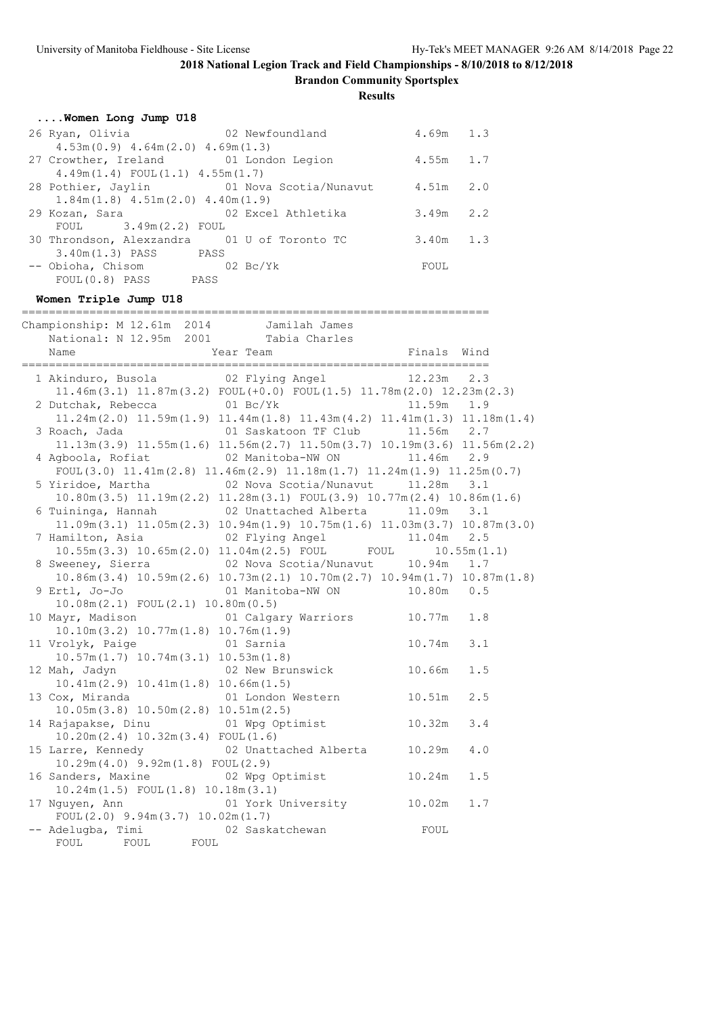**Brandon Community Sportsplex**

**Results**

| Women Long Jump U18                    |                                                     |             |  |
|----------------------------------------|-----------------------------------------------------|-------------|--|
| 26 Ryan, Olivia                        | 02 Newfoundland                                     | $4.69m$ 1.3 |  |
| $4.53m(0.9)$ $4.64m(2.0)$ $4.69m(1.3)$ |                                                     |             |  |
| 27 Crowther, Ireland 01 London Legion  |                                                     | $4.55m$ 1.7 |  |
| $4.49m(1.4)$ FOUL $(1.1)$ $4.55m(1.7)$ |                                                     |             |  |
|                                        | 28 Pothier, Jaylin 61 Nova Scotia/Nunavut 4.51m 2.0 |             |  |
| $1.84m(1.8)$ $4.51m(2.0)$ $4.40m(1.9)$ |                                                     |             |  |
| 29 Kozan, Sara                         | 02 Excel Athletika                                  | $3.49m$ 2.2 |  |
| $FOUL$ 3.49m (2.2) FOUL                |                                                     |             |  |
|                                        | 30 Throndson, Alexzandra 01 U of Toronto TC         | $3.40m$ 1.3 |  |
| 3.40m(1.3) PASS PASS                   |                                                     |             |  |
| -- Obioha, Chisom 02 Bc/Yk             |                                                     | FOUL        |  |
| FOUL(0.8) PASS                         | PASS                                                |             |  |

## **Women Triple Jump U18**

| =======================                                                                                     |                              |               |
|-------------------------------------------------------------------------------------------------------------|------------------------------|---------------|
| Championship: M 12.61m 2014 Jamilah James                                                                   |                              |               |
| National: N 12.95m 2001 Tabia Charles                                                                       |                              |               |
|                                                                                                             |                              |               |
| 1 Akinduro, Busola (2 Plying Angel (2.23m 2.3                                                               |                              |               |
| $11.46m(3.1)$ $11.87m(3.2)$ FOUL $(+0.0)$ FOUL $(1.5)$ $11.78m(2.0)$ $12.23m(2.3)$                          |                              |               |
| 2 Dutchak, Rebecca 01 Bc/Yk                                                                                 |                              | 11.59m 1.9    |
| $11.24$ m $(2.0)$ $11.59$ m $(1.9)$ $11.44$ m $(1.8)$ $11.43$ m $(4.2)$ $11.41$ m $(1.3)$ $11.18$ m $(1.4)$ |                              |               |
|                                                                                                             |                              |               |
| $11.13m(3.9)$ $11.55m(1.6)$ $11.56m(2.7)$ $11.50m(3.7)$ $10.19m(3.6)$ $11.56m(2.2)$                         |                              |               |
| 4 Agboola, Rofiat 62 Manitoba-NW ON                                                                         |                              | 11.46m 2.9    |
| $FOUL(3.0)$ 11.41m(2.8) 11.46m(2.9) 11.18m(1.7) 11.24m(1.9) 11.25m(0.7)                                     |                              |               |
|                                                                                                             |                              | 3.1           |
| $10.80$ m $(3.5)$ $11.19$ m $(2.2)$ $11.28$ m $(3.1)$ FOUL $(3.9)$ $10.77$ m $(2.4)$ $10.86$ m $(1.6)$      |                              |               |
| 6 Tuininga, Hannah (02 Unattached Alberta 11.09m 3.1                                                        |                              |               |
| $11.09m(3.1)$ $11.05m(2.3)$ $10.94m(1.9)$ $10.75m(1.6)$ $11.03m(3.7)$ $10.87m(3.0)$                         |                              |               |
|                                                                                                             |                              |               |
| 7 Hamilton, Asia $02$ Flying Angel 11.04m 2.5<br>10.55m(3.3) 10.65m(2.0) 11.04m(2.5) FOUL FOUL 10.55m(1.1)  |                              |               |
|                                                                                                             |                              |               |
| $10.86$ m $(3.4)$ $10.59$ m $(2.6)$ $10.73$ m $(2.1)$ $10.70$ m $(2.7)$ $10.94$ m $(1.7)$ $10.87$ m $(1.8)$ |                              |               |
|                                                                                                             |                              |               |
| $10.08m(2.1)$ FOUL $(2.1)$ 10.80m $(0.5)$                                                                   |                              |               |
| 10 Mayr, Madison 61 Calgary Warriors 10.77m 1.8                                                             |                              |               |
| $10.10m(3.2)$ $10.77m(1.8)$ $10.76m(1.9)$                                                                   |                              |               |
| 11 Vrolyk, Paige                                                                                            | 01 Sarnia                    | $10.74m$ 3.1  |
| $10.57m(1.7)$ $10.74m(3.1)$ $10.53m(1.8)$                                                                   |                              |               |
| 12 Mah, Jadyn (02 New Brunswick 10.66m)                                                                     |                              | 1.5           |
| $10.41m(2.9)$ $10.41m(1.8)$ $10.66m(1.5)$                                                                   |                              |               |
| 13 Cox, Miranda 61 London Western 10.51m                                                                    |                              | 2.5           |
| $10.05m(3.8)$ $10.50m(2.8)$ $10.51m(2.5)$                                                                   |                              |               |
| 14 Rajapakse, Dinu (01 Wpg Optimist 10.32m                                                                  |                              | 3.4           |
| $10.20m(2.4)$ $10.32m(3.4)$ FOUL $(1.6)$                                                                    |                              |               |
| 15 Larre, Kennedy                                                                                           | 02 Unattached Alberta 10.29m | 4.0           |
| $10.29m(4.0)$ $9.92m(1.8)$ $FOUL(2.9)$                                                                      |                              |               |
| 16 Sanders, Maxine 62 Wpg Optimist                                                                          |                              | 10.24m<br>1.5 |
| 10.24m (1.5) FOUL (1.8) 10.18m (3.1)                                                                        |                              |               |
| 17 Nguyen, Ann                                                                                              | 01 York University 10.02m    | 1.7           |
| FOUL $(2.0)$ 9.94m $(3.7)$ 10.02m $(1.7)$                                                                   |                              |               |
| -- Adelugba, Timi and 02 Saskatchewan                                                                       |                              | FOUL          |
| FOUL FOUL<br>${\tt FOUL}$                                                                                   |                              |               |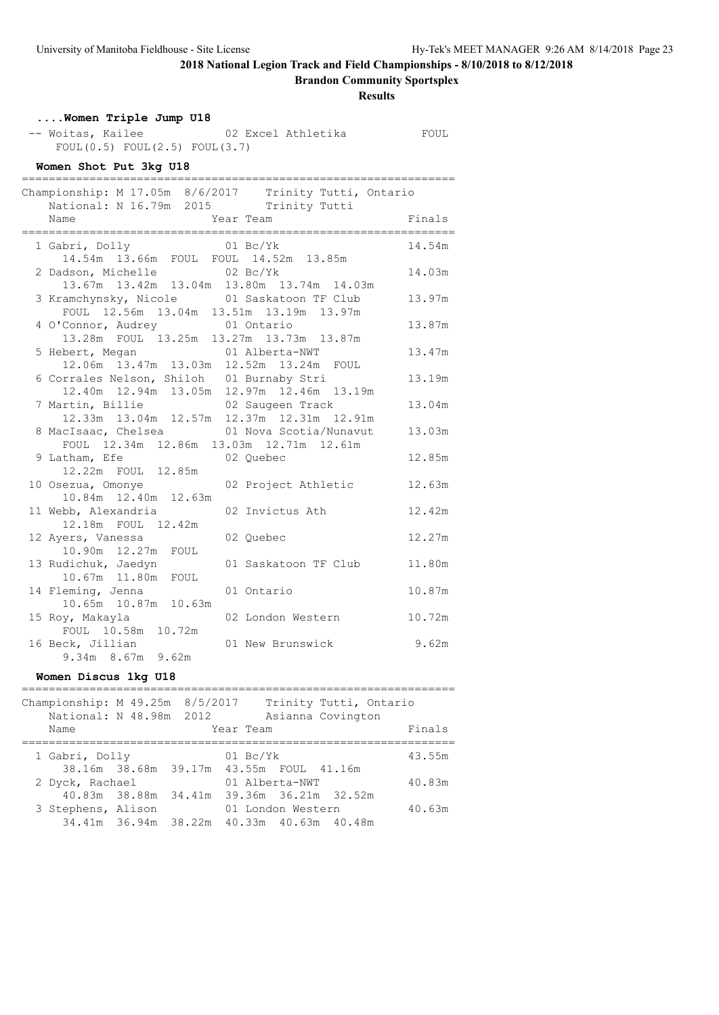**Brandon Community Sportsplex**

| <b>Results</b> |                                                                                                                |                                                        |        |
|----------------|----------------------------------------------------------------------------------------------------------------|--------------------------------------------------------|--------|
|                | Women Triple Jump U18<br>-- Woitas, Kailee<br>FOUL $(0.5)$ FOUL $(2.5)$ FOUL $(3.7)$<br>Women Shot Put 3kg U18 |                                                        |        |
|                | National: N 16.79m 2015 Trinity Tutti                                                                          | Championship: M 17.05m 8/6/2017 Trinity Tutti, Ontario |        |
|                | Name                                                                                                           | Year Team                                              | Finals |
|                | 1 Gabri, Dolly<br>14.54m  13.66m  FOUL  FOUL  14.52m  13.85m                                                   | $01 \text{ Bc/Yk}$                                     | 14.54m |
|                | 2 Dadson, Michelle<br>13.67m  13.42m  13.04m  13.80m  13.74m  14.03m                                           | $02\ \text{Bc/Yk}$                                     | 14.03m |
|                | 3 Kramchynsky, Nicole<br>FOUL 12.56m 13.04m 13.51m 13.19m 13.97m                                               | 01 Saskatoon TF Club                                   | 13.97m |
|                | 4 O'Connor, Audrey<br>13.28m FOUL 13.25m 13.27m 13.73m 13.87m                                                  | 01 Ontario                                             | 13.87m |
|                | 5 Hebert, Megan 01 Alberta-NWT<br>12.06m 13.47m 13.03m 12.52m 13.24m FOUL                                      |                                                        | 13.47m |
|                | 6 Corrales Nelson, Shiloh 01 Burnaby Stri<br>12.40m  12.94m  13.05m  12.97m  12.46m  13.19m                    |                                                        | 13.19m |
|                | 7 Martin, Billie<br>12.33m  13.04m  12.57m  12.37m  12.31m  12.91m                                             | 02 Saugeen Track                                       | 13.04m |
|                | 8 MacIsaac, Chelsea 61 Nova Scotia/Nunavut<br>FOUL 12.34m 12.86m 13.03m 12.71m 12.61m                          |                                                        | 13.03m |
|                | 9 Latham, Efe<br>12.22m FOUL 12.85m                                                                            | 02 Quebec                                              | 12.85m |
|                | 10 Osezua, Omonye<br>10.84m  12.40m  12.63m                                                                    | 02 Project Athletic                                    | 12.63m |
|                | 11 Webb, Alexandria<br>12.18m FOUL 12.42m                                                                      | 02 Invictus Ath                                        | 12.42m |
|                | 12 Ayers, Vanessa<br>10.90m  12.27m  FOUL                                                                      | 02 Quebec                                              | 12.27m |
|                | 13 Rudichuk, Jaedyn<br>10.67m  11.80m  FOUL                                                                    | 01 Saskatoon TF Club                                   | 11.80m |
|                | 14 Fleming, Jenna<br>10.65m  10.87m  10.63m                                                                    | 01 Ontario                                             | 10.87m |
|                | 15 Roy, Makayla<br>FOUL 10.58m 10.72m                                                                          | 02 London Western                                      | 10.72m |
|                | 16 Beck, Jillian<br>9.34m 8.67m 9.62m                                                                          | 01 New Brunswick                                       | 9.62m  |

### **Women Discus 1kg U18**

| Championship: M 49.25m 8/5/2017<br>National: N 48.98m 2012<br>Name |  | Trinity Tutti, Ontario<br>Asianna Covington<br>Year Team | Finals |
|--------------------------------------------------------------------|--|----------------------------------------------------------|--------|
|                                                                    |  |                                                          |        |
| 1 Gabri, Dolly                                                     |  | $01 \text{ Bc/Yk}$                                       | 43.55m |
|                                                                    |  | 38.16m 38.68m 39.17m 43.55m FOUL 41.16m                  |        |
| 2 Dyck, Rachael                                                    |  | 01 Alberta-NWT                                           | 40.83m |
|                                                                    |  | 40.83m 38.88m 34.41m 39.36m 36.21m 32.52m                |        |
| 3 Stephens, Alison                                                 |  | 01 London Western                                        | 40.63m |
|                                                                    |  | 34.41m 36.94m 38.22m 40.33m 40.63m 40.48m                |        |
|                                                                    |  |                                                          |        |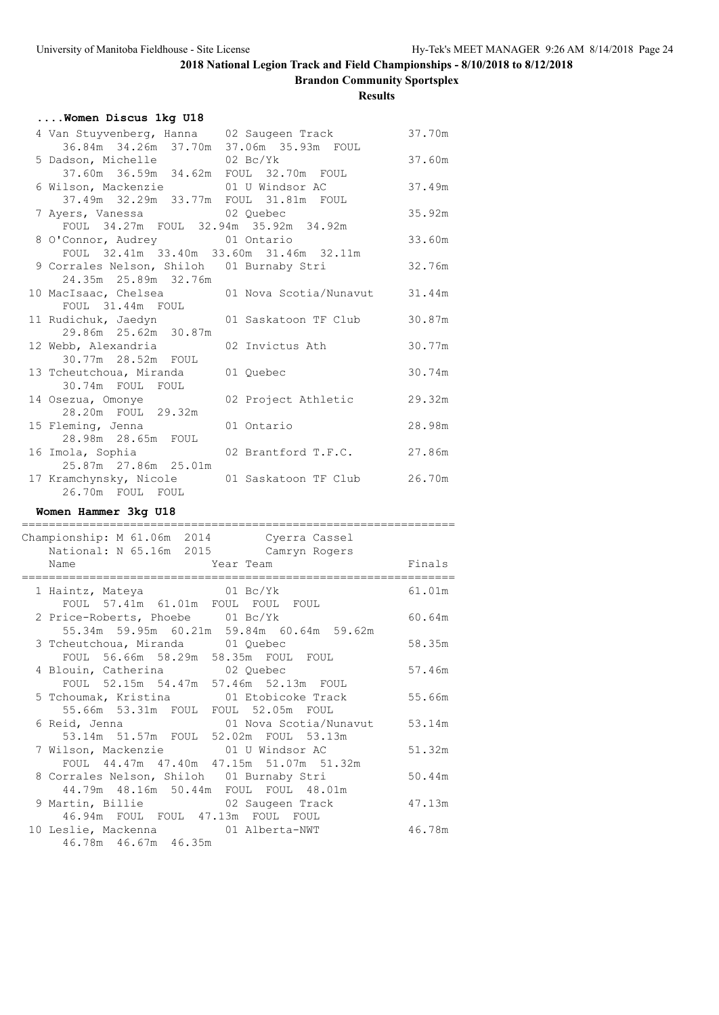**Brandon Community Sportsplex**

**Results**

| Women Discus 1kg U18                                                                      |        |
|-------------------------------------------------------------------------------------------|--------|
| 4 Van Stuyvenberg, Hanna 02 Saugeen Track<br>36.84m  34.26m  37.70m  37.06m  35.93m  FOUL | 37.70m |
| 5 Dadson, Michelle 02 Bc/Yk<br>37.60m  36.59m  34.62m  FOUL  32.70m  FOUL                 | 37.60m |
| 6 Wilson, Mackenzie 01 U Windsor AC<br>37.49m 32.29m 33.77m FOUL 31.81m FOUL              | 37.49m |
| 7 Ayers, Vanessa a 02 Quebec<br>FOUL 34.27m FOUL 32.94m 35.92m 34.92m                     | 35.92m |
| 8 O'Connor, Audrey 01 Ontario<br>FOUL 32.41m 33.40m 33.60m 31.46m 32.11m                  | 33.60m |
| 9 Corrales Nelson, Shiloh 01 Burnaby Stri<br>24.35m  25.89m  32.76m                       | 32.76m |
| 10 MacIsaac, Chelsea<br>01 Nova Scotia/Nunavut                                            | 31.44m |
| FOUL 31.44m FOUL<br>11 Rudichuk, Jaedyn<br>01 Saskatoon TF Club<br>29.86m  25.62m  30.87m | 30.87m |
| 02 Invictus Ath<br>12 Webb, Alexandria<br>30.77m 28.52m FOUL                              | 30.77m |
| 13 Tcheutchoua, Miranda 01 Quebec<br>30.74m FOUL FOUL                                     | 30.74m |
| 14 Osezua, Omonye<br>02 Project Athletic<br>28.20m FOUL 29.32m                            | 29.32m |
| 15 Fleming, Jenna<br>01 Ontario                                                           | 28.98m |
| 16 Imola, Sophia<br>02 Brantford T.F.C.                                                   | 27.86m |
| 17 Kramchynsky, Nicole 01 Saskatoon TF Club 26.70m<br>26.70m FOUL FOUL                    |        |
| Women Hammer 3kg U18                                                                      |        |
| Championship: M 61.06m 2014 Cyerra Cassel<br>National: N 65.16m 2015 Camryn Rogers        |        |
| Year Team<br>Name                                                                         | Finals |
| 1 Haintz, Mateya 61 Bc/Yk<br>FOUL 57.41m 61.01m FOUL FOUL FOUL                            | 61.01m |
| 2 Price-Roberts, Phoebe 01 Bc/Yk<br>55.34m 59.95m 60.21m 59.84m 60.64m 59.62m             | 60.64m |
| 3 Tcheutchoua, Miranda 01 Quebec<br>FOUL 56.66m 58.29m 58.35m FOUL FOUL                   | 58.35m |
| 4 Blouin, Catherina 02 Quebec<br>FOUL 52.15m 54.47m 57.46m 52.13m FOUL                    | 57.46m |
| 5 Tchoumak, Kristina 101 Etobicoke Track<br>55.66m 53.31m FOUL FOUL 52.05m FOUL           | 55.66m |
| 01 Nova Scotia/Nunavut<br>6 Reid, Jenna<br>53.14m 51.57m FOUL 52.02m FOUL 53.13m          | 53.14m |
| 7 Wilson, Mackenzie<br>01 U Windsor AC<br>FOUL 44.47m 47.40m 47.15m 51.07m 51.32m         | 51.32m |
| 8 Corrales Nelson, Shiloh 01 Burnaby Stri<br>44.79m  48.16m  50.44m  FOUL  FOUL  48.01m   | 50.44m |
| 9 Martin, Billie 62 Saugeen Track                                                         | 47.13m |
| 46.94m FOUL FOUL 47.13m FOUL FOUL                                                         |        |

46.78m 46.67m 46.35m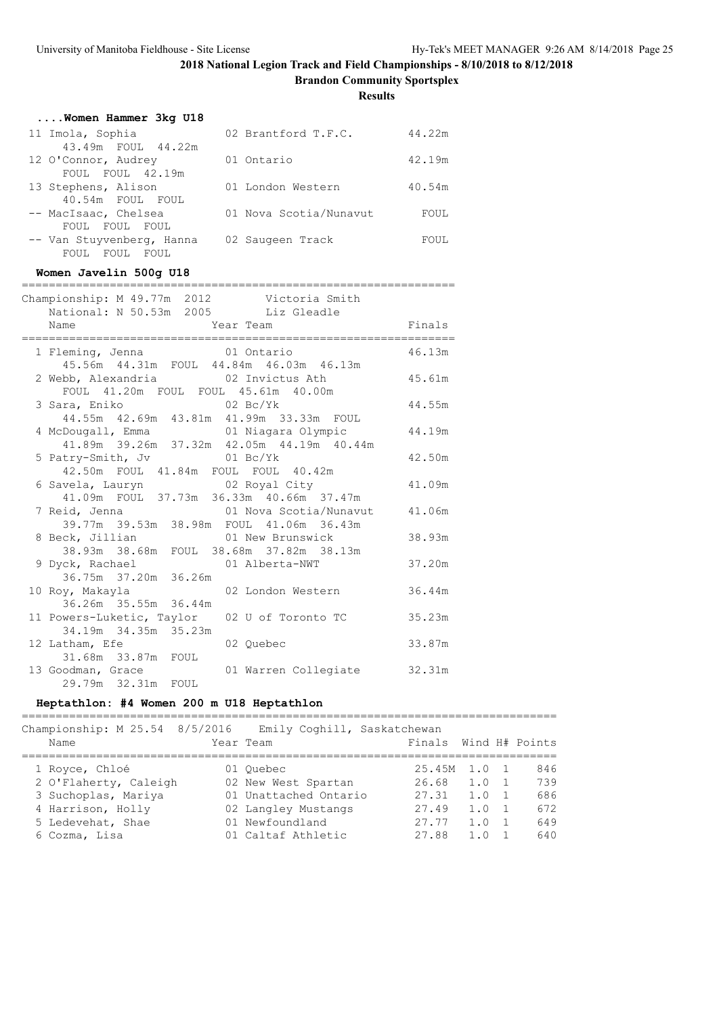**Brandon Community Sportsplex**

**Results**

| Women Hammer 3kg U18         |                        |        |
|------------------------------|------------------------|--------|
| 11 Imola, Sophia             | 02 Brantford T.F.C.    | 44.22m |
| 43.49m FOUL 44.22m           |                        |        |
| 12 O'Connor, Audrey          | 01 Ontario             | 42.19m |
| FOUL FOUL 42.19m             |                        |        |
| 13 Stephens, Alison          | 01 London Western      | 40.54m |
| 40.54m FOUL FOUL             |                        |        |
| -- MacIsaac, Chelsea         | 01 Nova Scotia/Nunavut | FOUL   |
| FOUL FOUL FOUL               |                        |        |
| -- Van Stuyvenberg, Hanna    | 02 Saugeen Track       | FOUL   |
| FOUL<br>FOUL.<br><b>FOUL</b> |                        |        |

### **Women Javelin 500g U18**

|                                                                                                         | ,,,,,,,,,,,,,,,,,,,,,,,,,,, |  |
|---------------------------------------------------------------------------------------------------------|-----------------------------|--|
| Championship: M 49.77m 2012 Victoria Smith                                                              |                             |  |
| National: N 50.53m 2005 Liz Gleadle<br>Name                                                             |                             |  |
|                                                                                                         | Year Team Finals            |  |
| 1 Fleming, Jenna 61 Ontario                                                                             | 46.13m                      |  |
| 45.56m  44.31m  FOUL  44.84m  46.03m  46.13m                                                            |                             |  |
| 2 Webb, Alexandria (02 Invictus Ath (45.61m)                                                            |                             |  |
| FOUL 41.20m FOUL FOUL 45.61m 40.00m                                                                     |                             |  |
|                                                                                                         | 44.55m                      |  |
| 3 Sara, Eniko                             02 Bc/Yk<br>44.55m   42.69m   43.81m   41.99m   33.33m   FOUL |                             |  |
| 4 McDougall, Emma 61 Niagara Olympic 44.19m                                                             |                             |  |
| $41.89m$ 39.26m 37.32m 42.05m 44.19m 40.44m                                                             |                             |  |
| 5 Patry-Smith, Jv 01 Bc/Yk                                                                              | 42.50m                      |  |
| 42.50m FOUL 41.84m FOUL FOUL 40.42m                                                                     |                             |  |
| 6 Savela, Lauryn               02 Royal City                                                            | 41.09m                      |  |
| 41.09m FOUL 37.73m 36.33m 40.66m 37.47m                                                                 |                             |  |
| 7 Reid, Jenna (01 Nova Scotia/Nunavut 41.06m                                                            |                             |  |
| 39.77m 39.53m 38.98m FOUL 41.06m 36.43m                                                                 |                             |  |
| 8 Beck, Jillian 61 New Brunswick                                                                        | 38.93m                      |  |
| 38.93m 38.68m FOUL 38.68m 37.82m 38.13m                                                                 |                             |  |
| 9 Dyck, Rachael 01 Alberta-NWT                                                                          | 37.20m                      |  |
| 36.75m 37.20m 36.26m                                                                                    |                             |  |
| 10 Roy, Makayla               02 London Western         36.44m                                          |                             |  |
| 36.26m 35.55m 36.44m                                                                                    |                             |  |
| 11 Powers-Luketic, Taylor 02 U of Toronto TC                                                            | 35.23m                      |  |
| 34.19m 34.35m 35.23m                                                                                    |                             |  |
| 12 Latham, Efe<br>02 Quebec                                                                             | 33.87m                      |  |
|                                                                                                         |                             |  |
| 13 Goodman, Grace                                                                                       | 01 Warren Collegiate 32.31m |  |
| 29.79m 32.31m FOUL                                                                                      |                             |  |

### **Heptathlon: #4 Women 200 m U18 Heptathlon**

===============================================================================

| Championship: M 25.54 8/5/2016 | Emily Coghill, Saskatchewan |                       |               |     |
|--------------------------------|-----------------------------|-----------------------|---------------|-----|
| Name                           | Year Team                   | Finals Wind H# Points |               |     |
| 1 Royce, Chloé                 | 01 Ouebec                   | 25.45M                | 1.0 1         | 846 |
| 2 O'Flaherty, Caleigh          | 02 New West Spartan         | 26.68                 | 1.0 1         | 739 |
| 3 Suchoplas, Mariya            | 01 Unattached Ontario       | 27.31                 | $1.0 \quad 1$ | 686 |
| 4 Harrison, Holly              | 02 Langley Mustangs         | 27.49                 | $1.0 \quad 1$ | 672 |
| 5 Ledevehat, Shae              | 01 Newfoundland             | 27.77                 | $1.0 \quad 1$ | 649 |
| 6 Cozma, Lisa                  | 01 Caltaf Athletic          | 27.88                 | $1.0 \quad 1$ | 640 |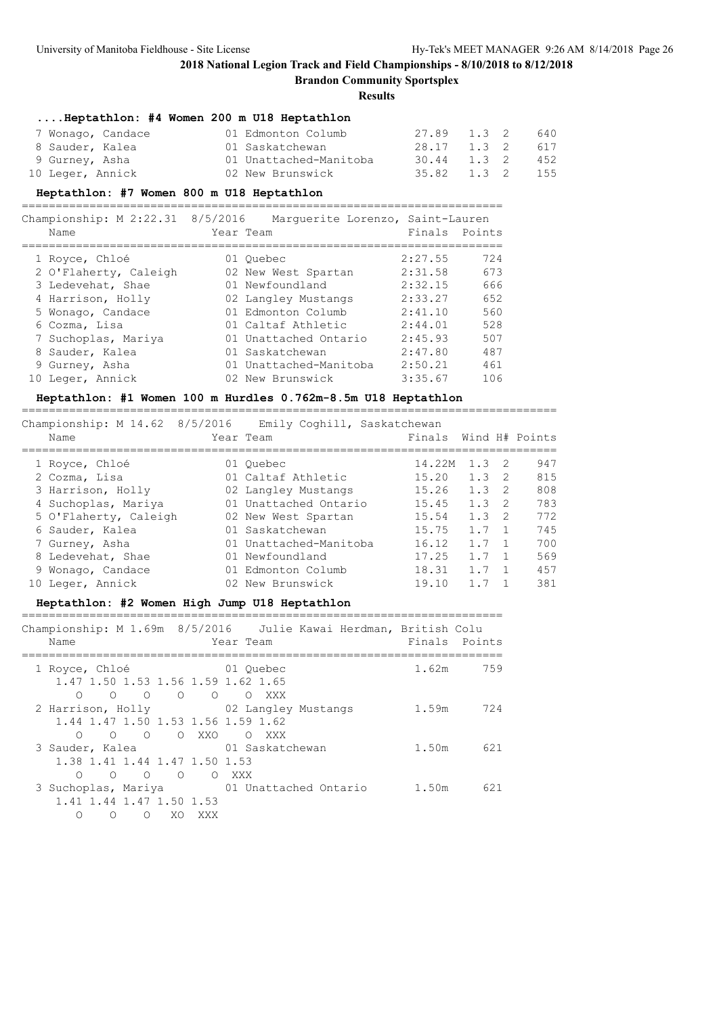**Brandon Community Sportsplex**

**Results**

#### **....Heptathlon: #4 Women 200 m U18 Heptathlon**

| 7 Wonago, Candace | 01 Edmonton Columb     | 27.89 1.3 2     |  | 640 |
|-------------------|------------------------|-----------------|--|-----|
| 8 Sauder, Kalea   | 01 Saskatchewan        | 28.17 1.3 2     |  | 617 |
| 9 Gurney, Asha    | 01 Unattached-Manitoba | 30.44 1.3 2     |  | 452 |
| 10 Leger, Annick  | 02 New Brunswick       | 35.82 1.3 2 155 |  |     |

#### **Heptathlon: #7 Women 800 m U18 Heptathlon**

=======================================================================

| Championship: $M$ 2:22.31 | 8/5/2016 | Marquerite Lorenzo, Saint-Lauren |               |     |
|---------------------------|----------|----------------------------------|---------------|-----|
| Name                      |          | Year Team                        | Finals Points |     |
| 1 Royce, Chloé            |          | 01 Ouebec                        | 2:27.55       | 724 |
| 2 O'Flaherty, Caleigh     |          | 02 New West Spartan              | 2:31.58       | 673 |
| 3 Ledevehat, Shae         |          | 01 Newfoundland                  | 2:32.15       | 666 |
| 4 Harrison, Holly         |          | 02 Langley Mustangs              | 2:33.27       | 652 |
| 5 Wonago, Candace         |          | 01 Edmonton Columb               | 2:41.10       | 560 |
| 6 Cozma, Lisa             |          | 01 Caltaf Athletic               | 2:44.01       | 528 |
| 7 Suchoplas, Mariya       |          | 01 Unattached Ontario            | 2:45.93       | 507 |
| 8 Sauder, Kalea           |          | 01 Saskatchewan                  | 2:47.80       | 487 |
| 9 Gurney, Asha            |          | 01 Unattached-Manitoba           | 2:50.21       | 461 |
| 10 Leger, Annick          |          | 02 New Brunswick                 | 3:35.67       | 106 |

#### **Heptathlon: #1 Women 100 m Hurdles 0.762m-8.5m U18 Heptathlon**

===============================================================================

| Championship: M 14.62 8/5/2016 | Emily Coghill, Saskatchewan |        |     |     |                |
|--------------------------------|-----------------------------|--------|-----|-----|----------------|
| Name                           | Year Team                   | Finals |     |     | Wind H# Points |
| 1 Royce, Chloé                 | 01 Ouebec                   | 14.22M | 1.3 | - 2 | 947            |
| 2 Cozma, Lisa                  | 01 Caltaf Athletic          | 15.20  | 1.3 | - 2 | 815            |
| 3 Harrison, Holly              | 02 Langley Mustangs         | 15.26  | 1.3 | -2  | 808            |
| 4 Suchoplas, Mariya            | 01 Unattached Ontario       | 15.45  | 1.3 | - 2 | 783            |
| 5 O'Flaherty, Caleigh          | 02 New West Spartan         | 15.54  | 1.3 | -2  | 772            |
| 6 Sauder, Kalea                | 01 Saskatchewan             | 15.75  | 1.7 |     | 745            |
| 7 Gurney, Asha                 | 01 Unattached-Manitoba      | 16.12  | 1.7 |     | 700            |
| 8 Ledevehat, Shae              | 01 Newfoundland             | 17.25  | 1.7 |     | 569            |
| 9 Wonago, Candace              | 01 Edmonton Columb          | 18.31  | 1.7 |     | 457            |
| 10 Leger, Annick               | 02 New Brunswick            | 19.10  |     |     | 381            |

## **Heptathlon: #2 Women High Jump U18 Heptathlon**

Championship: M 1.69m 8/5/2016 Julie Kawai Herdman, British Colu Name **The Year Team Parameter Points** Points ======================================================================= 1 Royce, Chloé 01 Quebec 1.62m 759 1.47 1.50 1.53 1.56 1.59 1.62 1.65 O O O O O O XXX 2 Harrison, Holly 02 Langley Mustangs 1.59m 724 1.44 1.47 1.50 1.53 1.56 1.59 1.62 O O O O XXO O XXX 3 Sauder, Kalea 01 Saskatchewan 1.50m 621 1.38 1.41 1.44 1.47 1.50 1.53 O O O O O XXX 3 Suchoplas, Mariya 01 Unattached Ontario 1.50m 621 1.41 1.44 1.47 1.50 1.53 O O O XO XXX

=======================================================================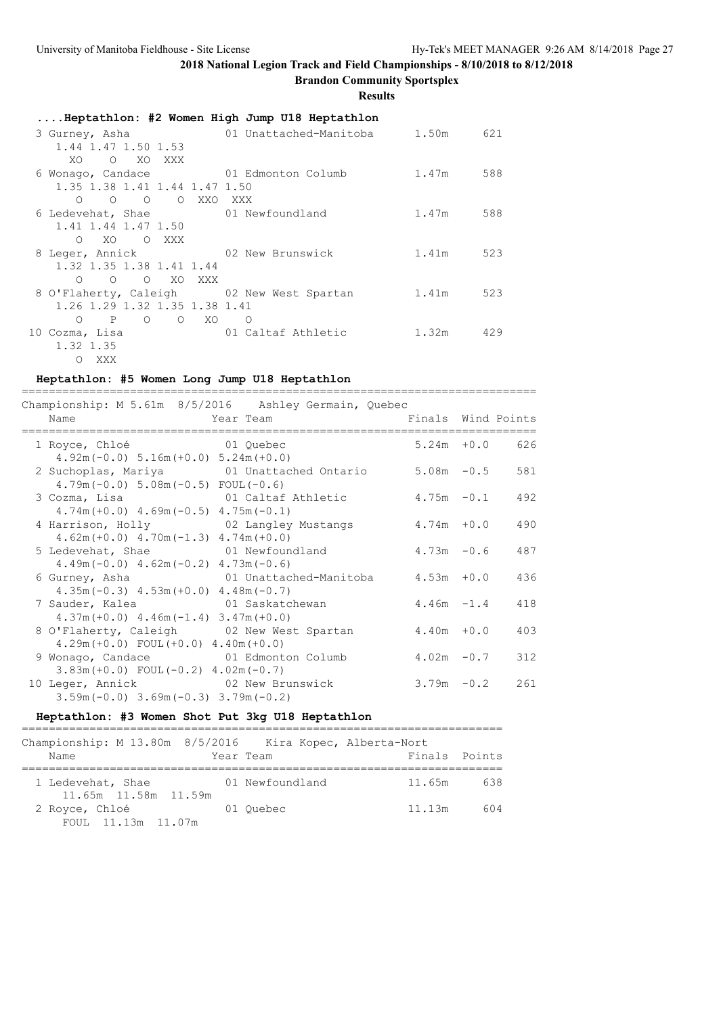## **2018 National Legion Track and Field Championships - 8/10/2018 to 8/12/2018 Brandon Community Sportsplex**

**Results**

| Heptathlon: #2 Women High Jump U18 Heptathlon   |                        |           |     |  |  |  |
|-------------------------------------------------|------------------------|-----------|-----|--|--|--|
| 3 Gurney, Asha                                  | 01 Unattached-Manitoba | 1.50m 621 |     |  |  |  |
| 1.44 1.47 1.50 1.53                             |                        |           |     |  |  |  |
| XO.<br>O XO XXX                                 |                        |           |     |  |  |  |
| 6 Wonago, Candace 61 Edmonton Columb            |                        | 1.47m     | 588 |  |  |  |
| 1.35 1.38 1.41 1.44 1.47 1.50                   |                        |           |     |  |  |  |
| O O O XXO XXX<br>$\circ$                        |                        |           |     |  |  |  |
| 6 Ledevehat, Shae 6 1 Newfoundland              |                        | 1.47m     | 588 |  |  |  |
| 1.41 1.44 1.47 1.50                             |                        |           |     |  |  |  |
| XO OXXX<br>$\bigcirc$                           |                        |           |     |  |  |  |
| 8 Leger, Annick 62 New Brunswick                |                        | 1.41m     | 523 |  |  |  |
| 1.32 1.35 1.38 1.41 1.44                        |                        |           |     |  |  |  |
| O O XO XXX<br>$\Omega$                          |                        |           |     |  |  |  |
| 8 O'Flaherty, Caleigh 02 New West Spartan       |                        | 1.41m     | 523 |  |  |  |
| 1.26 1.29 1.32 1.35 1.38 1.41                   |                        |           |     |  |  |  |
| O XO<br>$\circ$<br>P<br>$\circ$                 | $\circ$                |           |     |  |  |  |
| 10 Cozma, Lisa da da da a contra 10 Cozma, Lisa | 01 Caltaf Athletic     | 1.32m     | 429 |  |  |  |
| 1.32 1.35                                       |                        |           |     |  |  |  |
| – XXX<br>$\circ$                                |                        |           |     |  |  |  |

### **Heptathlon: #5 Women Long Jump U18 Heptathlon**

|                                              | Championship: $M 5.61m 8/5/2016$ Ashley Germain, Quebec |               |                   |
|----------------------------------------------|---------------------------------------------------------|---------------|-------------------|
| Name<br>Year Team                            | Finals Wind Points                                      |               |                   |
| 1 Royce, Chloé 61 Quebec                     |                                                         |               | $5.24m + 0.0$ 626 |
| $4.92m(-0.0)$ 5.16m $(+0.0)$ 5.24m $(+0.0)$  |                                                         |               |                   |
|                                              | 2 Suchoplas, Mariya 61 Unattached Ontario 5.08m -0.5    |               | 581               |
| $4.79m(-0.0) 5.08m(-0.5) FOUL(-0.6)$         |                                                         |               |                   |
| 3 Cozma, Lisa                                | 01 Caltaf Athletic                                      | $4.75m - 0.1$ | 492               |
| $4.74m (+0.0)$ $4.69m (-0.5)$ $4.75m (-0.1)$ |                                                         |               |                   |
| 4 Harrison, Holly 62 Langley Mustangs        |                                                         | $4.74m + 0.0$ | 490               |
| $4.62m (+0.0)$ $4.70m (-1.3)$ $4.74m (+0.0)$ |                                                         |               |                   |
| 5 Ledevehat, Shae 61 Newfoundland            |                                                         | $4.73m - 0.6$ | 487               |
| $4.49m(-0.0)$ $4.62m(-0.2)$ $4.73m(-0.6)$    |                                                         |               |                   |
| 6 Gurney, Asha                               | 01 Unattached-Manitoba 4.53m +0.0                       |               | 436               |
| $4.35m(-0.3)$ $4.53m(+0.0)$ $4.48m(-0.7)$    |                                                         |               |                   |
| 7 Sauder, Kalea                              | 01 Saskatchewan                                         | $4.46m - 1.4$ | 418               |
| $4.37m (+0.0)$ $4.46m (-1.4)$ $3.47m (+0.0)$ |                                                         |               |                   |
| 8 O'Flaherty, Caleigh 02 New West Spartan    |                                                         | $4.40m + 0.0$ | 403               |
| $4.29m (+0.0)$ FOUL $(+0.0)$ $4.40m (+0.0)$  |                                                         |               |                   |
| 9 Wonago, Candace 61 Edmonton Columb         |                                                         | $4.02m - 0.7$ | 312               |
| $3.83m (+0.0)$ FOUL $(-0.2)$ 4.02m $(-0.7)$  |                                                         |               |                   |
| 10 Leger, Annick 62 New Brunswick            |                                                         | $3.79m - 0.2$ | 261               |
| $3.59m(-0.0)$ $3.69m(-0.3)$ $3.79m(-0.2)$    |                                                         |               |                   |

### **Heptathlon: #3 Women Shot Put 3kg U18 Heptathlon**

| Championship: M 13.80m 8/5/2016 Kira Kopec, Alberta-Nort<br>Name | Year Team       | Finals Points |     |
|------------------------------------------------------------------|-----------------|---------------|-----|
| 1 Ledevehat, Shae<br>11.65m 11.58m 11.59m                        | 01 Newfoundland | 11.65m        | 638 |
| 2 Royce, Chloé<br>FOUL 11.13m 11.07m                             | 01 Ouebec       | 11.13m        | 604 |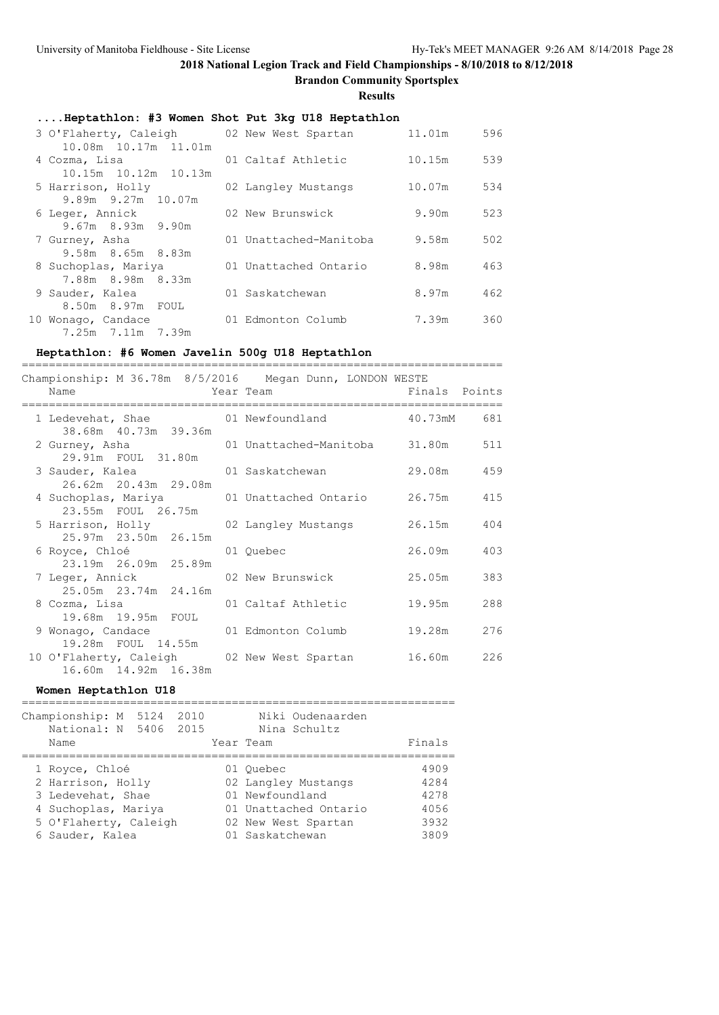**Brandon Community Sportsplex**

===================

**Results**

### **....Heptathlon: #3 Women Shot Put 3kg U18 Heptathlon**

| 3 O'Flaherty, Caleigh 02 New West Spartan<br>10.08m 10.17m 11.01m |                        | 11.01m | 596 |
|-------------------------------------------------------------------|------------------------|--------|-----|
| 4 Cozma, Lisa                                                     | 01 Caltaf Athletic     | 10.15m | 539 |
| 10.15m 10.12m 10.13m<br>5 Harrison, Holly                         | 02 Langley Mustangs    | 10.07m | 534 |
| 9.89m 9.27m 10.07m                                                |                        |        |     |
| 6 Leger, Annick<br>$9.67m$ 8.93m 9.90m                            | 02 New Brunswick       | 9.90m  | 523 |
| 7 Gurney, Asha                                                    | 01 Unattached-Manitoba | 9.58m  | 502 |
| 9.58m 8.65m 8.83m<br>8 Suchoplas, Mariya                          | 01 Unattached Ontario  | 8.98m  | 463 |
| 7.88m 8.98m 8.33m                                                 |                        |        |     |
| 9 Sauder, Kalea<br>8.50m 8.97m FOUL                               | 01 Saskatchewan        | 8.97m  | 462 |
| 10 Wonago, Candace                                                | 01 Edmonton Columb     | 7.39m  | 360 |
| 7.25m 7.11m 7.39m                                                 |                        |        |     |

### **Heptathlon: #6 Women Javelin 500g U18 Heptathlon**

| Championship: M 36.78m 8/5/2016 Megan Dunn, LONDON WESTE<br>Name                   | Year Team                     | Finals Points |     |
|------------------------------------------------------------------------------------|-------------------------------|---------------|-----|
| 1 Ledevehat, Shae $01$ Newfoundland $40.73 \text{m}$ 681<br>38.68m  40.73m  39.36m |                               |               |     |
| 2 Gurney, Asha<br>29.91m FOUL 31.80m                                               | 01 Unattached-Manitoba 31.80m |               | 511 |
| 3 Sauder, Kalea 61 Saskatchewan<br>26.62m 20.43m 29.08m                            |                               | 29.08m        | 459 |
| 4 Suchoplas, Mariya<br>23.55m FOUL 26.75m                                          | 01 Unattached Ontario         | 26.75m        | 415 |
| 5 Harrison, Holly<br>25.97m 23.50m 26.15m                                          | 02 Langley Mustangs           | 26.15m        | 404 |
| 6 Royce, Chloé<br>23.19m 26.09m 25.89m                                             | 01 Ouebec                     | 26.09m        | 403 |
| 7 Leger, Annick<br>25.05m 23.74m 24.16m                                            | 02 New Brunswick              | 25.05m        | 383 |
| 8 Cozma, Lisa<br>19.68m 19.95m FOUL                                                | 01 Caltaf Athletic            | 19.95m        | 288 |
| 9 Wonago, Candace 61 Edmonton Columb<br>19.28m FOUL 14.55m                         |                               | 19.28m        | 276 |
| 10 O'Flaherty, Caleigh 62 New West Spartan<br>16.60m  14.92m  16.38m               |                               | 16.60m        | 226 |

### **Women Heptathlon U18**

| Championship: M<br>National: N 5406<br>Name                                                                                 | 5124 | 2010<br>2015 | Year Team                                       | Niki Oudenaarden<br>Nina Schultz                                    | Finals |                                              |
|-----------------------------------------------------------------------------------------------------------------------------|------|--------------|-------------------------------------------------|---------------------------------------------------------------------|--------|----------------------------------------------|
| 1 Royce, Chloé<br>2 Harrison, Holly<br>3 Ledevehat, Shae<br>4 Suchoplas, Mariya<br>5 O'Flaherty, Caleigh<br>6 Sauder, Kalea |      |              | 01 Ouebec<br>01 Newfoundland<br>01 Saskatchewan | 02 Langley Mustangs<br>01 Unattached Ontario<br>02 New West Spartan |        | 4909<br>4284<br>4278<br>4056<br>3932<br>3809 |
|                                                                                                                             |      |              |                                                 |                                                                     |        |                                              |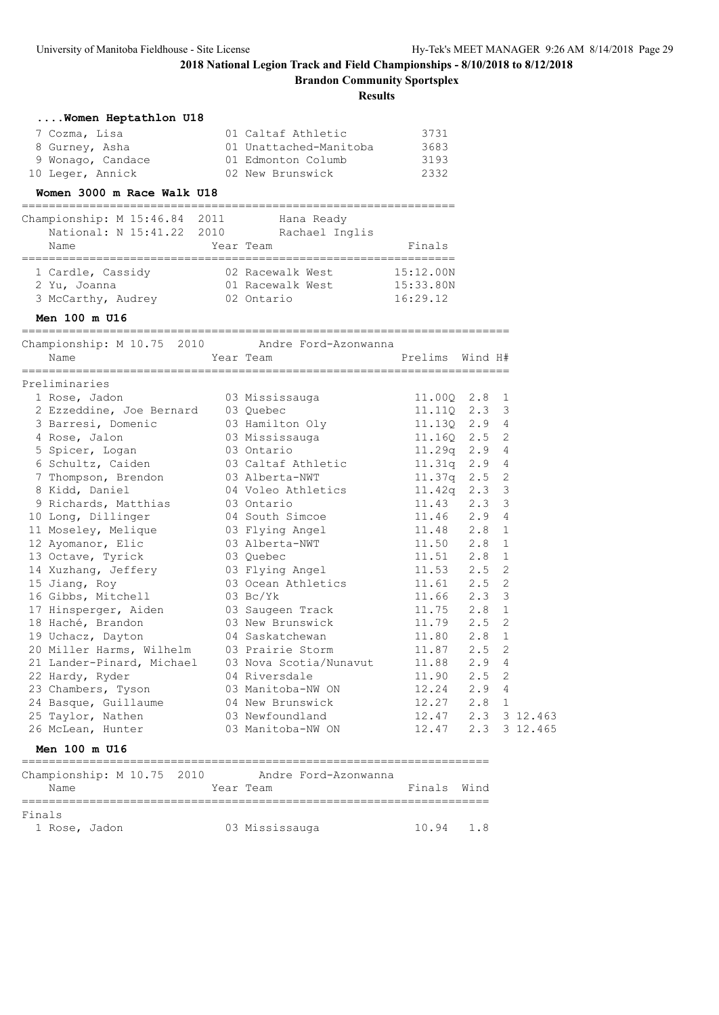**Brandon Community Sportsplex**

**Results**

| Women Heptathlon U18                                                                 |                              |                         |      |   |          |
|--------------------------------------------------------------------------------------|------------------------------|-------------------------|------|---|----------|
| 7 Cozma, Lisa                                                                        | 01 Caltaf Athletic           | 3731                    |      |   |          |
| 8 Gurney, Asha                                                                       | 01 Unattached-Manitoba       | 3683                    |      |   |          |
| 9 Wonago, Candace                                                                    | 01 Edmonton Columb           | 3193                    |      |   |          |
| 10 Leger, Annick                                                                     | 02 New Brunswick             | 2332                    |      |   |          |
| Women 3000 m Race Walk U18                                                           |                              |                         |      |   |          |
| Championship: M 15:46.84 2011 Hana Ready<br>National: N 15:41.22 2010 Rachael Inglis |                              |                         |      |   |          |
|                                                                                      |                              |                         |      |   |          |
| Name                                                                                 | Year Team                    | Finals                  |      |   |          |
| 1 Cardle, Cassidy 62 Racewalk West                                                   |                              | 15:12.00N               |      |   |          |
| 2 Yu, Joanna                                                                         | 01 Racewalk West             | 15:33.80N               |      |   |          |
| 3 McCarthy, Audrey                                                                   | 02 Ontario                   | 16:29.12                |      |   |          |
| Men 100 m U16                                                                        |                              |                         |      |   |          |
| Championship: M 10.75 2010 Andre Ford-Azonwanna                                      |                              |                         |      |   |          |
| Name                                                                                 | Year Team                    | Prelims Wind H#         |      |   |          |
|                                                                                      |                              |                         |      |   |          |
| Preliminaries                                                                        |                              |                         |      |   |          |
| 1 Rose, Jadon                                                                        | 03 Mississauga               | 11.00Q 2.8 1            |      |   |          |
| 2 Ezzeddine, Joe Bernard 03 Quebec                                                   |                              | 11.11Q 2.3 3            |      |   |          |
| 3 Barresi, Domenic                                                                   | 03 Hamilton Oly 11.13Q 2.9 4 |                         |      |   |          |
| 4 Rose, Jalon                                                                        | 03 Mississauga               | 11.160 2.5 2            |      |   |          |
| 5 Spicer, Logan                                                                      | 03 Ontario                   | 11.29q 2.9 4            |      |   |          |
| 6 Schultz, Caiden                                                                    | 03 Caltaf Athletic           | 11.31q 2.9 4            |      |   |          |
| 7 Thompson, Brendon                                                                  | 03 Alberta-NWT               | $11.37q$ 2.5            |      | 2 |          |
| 8 Kidd, Daniel                                                                       | 04 Voleo Athletics           | $11.42q$ 2.3            |      | 3 |          |
| 9 Richards, Matthias                                                                 | 03 Ontario                   | 11.43 2.3 3             |      |   |          |
| 10 Long, Dillinger                                                                   | 04 South Simcoe              | 11.46 2.9 4             |      |   |          |
| 11 Moseley, Melique                                                                  | 03 Flying Angel              | 11.48 2.8               |      | 1 |          |
| 12 Ayomanor, Elic                                                                    | 03 Alberta-NWT               | 11.50 2.8 1             |      |   |          |
| 13 Octave, Tyrick                                                                    | 03 Quebec                    | $11.51$ $2.8$ 1         |      |   |          |
| 14 Xuzhang, Jeffery                                                                  | 03 Flying Angel              | $11.53$ $2.5$           |      | 2 |          |
| 15 Jiang, Roy                                                                        | 03 Ocean Athletics           | 11.61 2.5 2             |      |   |          |
| 16 Gibbs, Mitchell                                                                   | $03$ Bc/Yk                   | 11.66 2.3 3             |      |   |          |
| 17 Hinsperger, Aiden<br>18 Haché, Brandon                                            | 03 Saugeen Track             | $11.75$ $2.8$ 1         |      |   |          |
| 18 Haché, Brandon                                                                    | 03 New Brunswick             | 11.79 2.5 2             |      |   |          |
| 19 Uchacz, Dayton                                                                    | 04 Saskatchewan              | 11.80 2.8               |      | 1 |          |
| 20 Miller Harms, Wilhelm                                                             | 03 Prairie Storm             | 11.87 2.5               |      | 2 |          |
| 21 Lander-Pinard, Michael                                                            | 03 Nova Scotia/Nunavut       | 11.88                   | 2.9  | 4 |          |
| 22 Hardy, Ryder                                                                      | 04 Riversdale                | 11.90                   | 2.5  | 2 |          |
| 23 Chambers, Tyson                                                                   | 03 Manitoba-NW ON            | 12.24                   | 2.9  | 4 |          |
| 24 Basque, Guillaume                                                                 | 04 New Brunswick             | 12.27                   | 2.8  | 1 |          |
| 25 Taylor, Nathen                                                                    | 03 Newfoundland              | 12.47                   | 2.3  |   | 3 12.463 |
| 26 McLean, Hunter                                                                    | 03 Manitoba-NW ON            | 12.47                   | 2.3  |   | 3 12.465 |
| Men 100 m U16<br>--------------------------------                                    |                              | ======================= |      |   |          |
| Championship: M 10.75 2010                                                           | Andre Ford-Azonwanna         |                         |      |   |          |
| Name                                                                                 | Year Team                    | Finals                  | Wind |   |          |

===================================================================== Finals

1 Rose, Jadon 03 Mississauga 10.94 1.8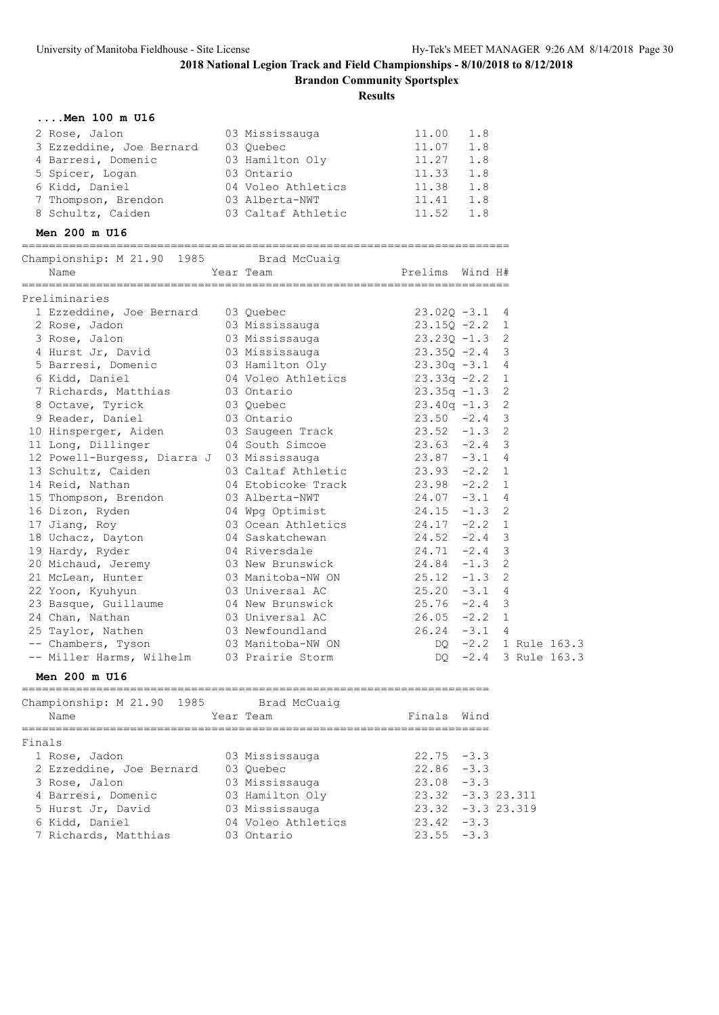**Brandon Community Sportsplex**

**Results**

| Men 100 m U16                                              |                                       |                                                                            |     |                      |
|------------------------------------------------------------|---------------------------------------|----------------------------------------------------------------------------|-----|----------------------|
| 2 Rose, Jalon                                              | 03 Mississauga                        | 11.00                                                                      | 1.8 |                      |
| 3 Ezzeddine, Joe Bernard 03 Quebec                         |                                       |                                                                            |     |                      |
| 4 Barresi, Domenic                                         |                                       | $11.07$ 1.8<br>11.27 1.8                                                   |     |                      |
| 5 Spicer, Logan                                            |                                       | $11.33$ $1.8$                                                              |     |                      |
| 6 Kidd, Daniel                                             | 04 Voleo Athletics                    | 11.38 1.8                                                                  |     |                      |
| 7 Thompson, Brendon 03 Alberta-NWT                         |                                       | 11.41 1.8                                                                  |     |                      |
| 8 Schultz, Caiden                                          | 03 Caltaf Athletic                    | 11.52 1.8                                                                  |     |                      |
| Men 200 m U16                                              |                                       |                                                                            |     |                      |
| Championship: M 21.90 1985 Brad McCuaig                    |                                       |                                                                            |     |                      |
| Name                                                       | Year Team                             | Prelims Wind H#                                                            |     |                      |
| Preliminaries                                              |                                       |                                                                            |     |                      |
| 1 Ezzeddine, Joe Bernard 03 Quebec                         |                                       | $23.029 - 3.2$<br>$23.159 - 2.2$ 1<br>$23.239 - 1.3$ 2<br>$23.239 - 2.4$ 3 |     |                      |
| 2 Rose, Jadon                                              |                                       |                                                                            |     |                      |
| 3 Rose, Jalon                                              | 03 Mississauga<br>03 Mississauga      |                                                                            |     |                      |
| 4 Hurst Jr, David 03 Mississauga                           |                                       | $23.35Q - 2.4$                                                             |     |                      |
| 5 Barresi, Domenic 63 Hamilton Oly 23.30q -3.1             |                                       |                                                                            |     | 4                    |
| 6 Kidd, Daniel                                             | 04 Voleo Athletics $23.33q -2.2$      |                                                                            |     | 1                    |
|                                                            | 03 Ontario                            |                                                                            |     | $\mathbf{2}$         |
| 7 Richards, Matthias<br>8 Octave, Tyrick                   | 03 Quebec                             | 23.35q -1.3 2<br>23.40q -1.3 2                                             |     |                      |
| 9 Reader, Daniel                                           | 03 Ontario                            | $23.50 -2.4$                                                               |     | 3                    |
| 10 Hinsperger, Aiden (1988) 03 Saugeen Track (23.52 -1.3 2 |                                       |                                                                            |     |                      |
| 11 Long, Dillinger                                         | 04 South Simcoe                       | $23.63 -2.4$ 3                                                             |     |                      |
| 12 Powell-Burgess, Diarra J 03 Mississauga                 |                                       | $23.87 - 3.1 4$                                                            |     |                      |
| 13 Schultz, Caiden                                         |                                       |                                                                            |     |                      |
| 14 Reid, Nathan                                            | 04 Etobicoke Track                    | $23.98 - 2.2$                                                              |     | $\mathbf{1}$         |
| 15 Thompson, Brendon 63 Alberta-NWT                        |                                       | $24.07 - 3.1$                                                              |     | 4                    |
| 16 Dizon, Ryden                                            |                                       | $24.15 - 1.3$ 2                                                            |     |                      |
| 17 Jiang, Roy                                              | 04 Wpg Optimist<br>03 Ocean Athletics | $24.17 -2.2$ 1                                                             |     |                      |
| 18 Uchacz, Dayton 64 Saskatchewan                          |                                       | $24.52 - 2.4$                                                              |     | 3                    |
| 19 Hardy, Ryder                                            | 04 Riversdale                         | $24.71 - 2.4$                                                              |     | $\mathsf 3$          |
| 20 Michaud, Jeremy 63 New Brunswick                        |                                       | $24.84 - 1.3$ 2                                                            |     |                      |
| 20 minutes,<br>21 McLean, Hunter                           | 03 Manitoba-NW ON                     | $25.12 -1.3$ 2                                                             |     |                      |
| 22 Yoon, Kyuhyun                                           | 03 Universal AC                       | $25.20 -3.1 4$                                                             |     |                      |
| 23 Basque, Guillaume 04 New Brunswick                      |                                       | $25.76 -2.4$                                                               |     | 3                    |
| 24 Chan, Nathan                                            | 03 Universal AC                       | $26.05 -2.2 1$                                                             |     |                      |
| 25 Taylor, Nathen                                          |                                       | $26.24 -3.1 4$                                                             |     |                      |
| -- Chambers, Tyson                                         | 03 Newfoundland<br>03 Manitoba-NW ON  |                                                                            |     | DQ -2.2 1 Rule 163.3 |
| -- Miller Harms, Wilhelm                                   | 03 Prairie Storm                      | $DQ -2.4$                                                                  |     | 3 Rule 163.3         |
|                                                            |                                       |                                                                            |     |                      |

## **Men 200 m U16**

| Championship: M 21.90 1985<br>Name | Brad McCuaig<br>Year Team | Finals Wind   |                      |
|------------------------------------|---------------------------|---------------|----------------------|
| Finals                             |                           |               |                      |
| 1 Rose, Jadon                      | 03 Mississauga            | $22.75 - 3.3$ |                      |
| 2 Ezzeddine, Joe Bernard           | 03 Ouebec                 | $22.86 - 3.3$ |                      |
| 3 Rose, Jalon                      | 03 Mississauga            | $23.08 - 3.3$ |                      |
| 4 Barresi, Domenic                 | 03 Hamilton Oly           |               | $23.32 - 3.3 23.311$ |
| 5 Hurst Jr, David                  | 03 Mississauga            |               | $23.32 - 3.323.319$  |
| 6 Kidd, Daniel                     | 04 Voleo Athletics        | $23.42 - 3.3$ |                      |
| 7 Richards, Matthias               | 03 Ontario                | $23.55 - 3.3$ |                      |
|                                    |                           |               |                      |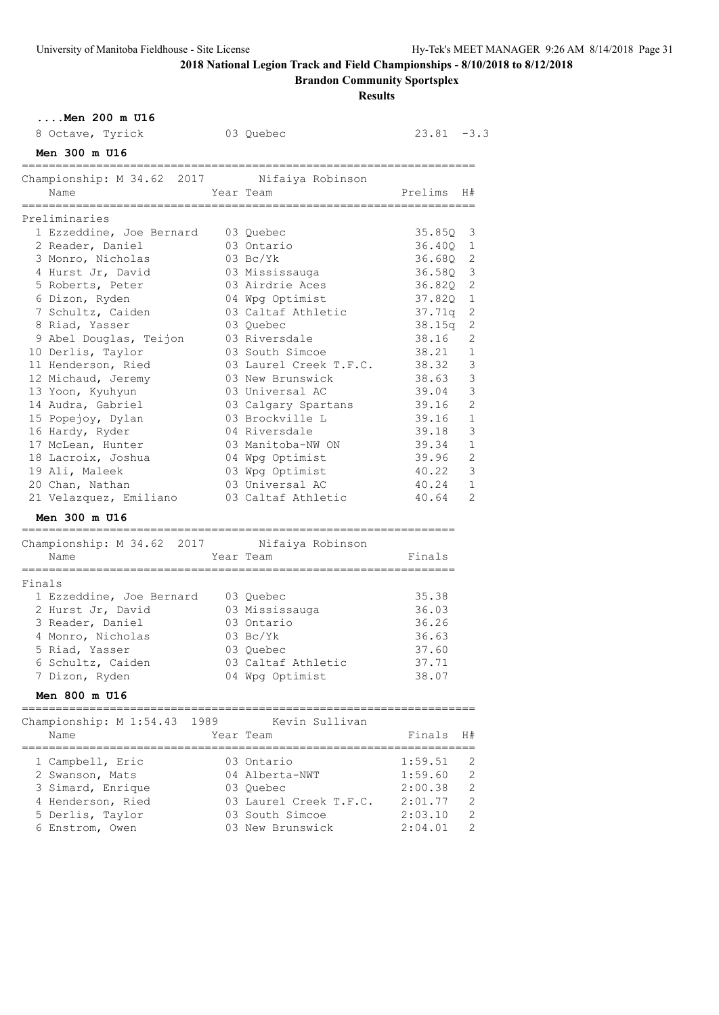**....Men 200 m U16**

# **2018 National Legion Track and Field Championships - 8/10/2018 to 8/12/2018**

**Brandon Community Sportsplex**

| 8 Octave, Tyrick                                  |      | 03 Quebec                      | 23.81                  | $-3.3$         |
|---------------------------------------------------|------|--------------------------------|------------------------|----------------|
| Men 300 m U16                                     |      |                                |                        |                |
| Championship: M 34.62 2017                        |      | Nifaiya Robinson               |                        |                |
| Name                                              |      | Year Team                      | Prelims                | H#             |
| ==================                                |      |                                |                        |                |
| Preliminaries                                     |      |                                |                        |                |
| 1 Ezzeddine, Joe Bernard                          |      | 03 Quebec                      | 35.85Q                 | 3              |
| 2 Reader, Daniel                                  |      | 03 Ontario                     | 36.40Q                 | 1              |
| 3 Monro, Nicholas                                 |      | $03 \text{BC/Yk}$              | 36.68Q                 | $\mathbf{2}$   |
| 4 Hurst Jr, David                                 |      | 03 Mississauga                 | 36.58Q                 | 3              |
| 5 Roberts, Peter                                  |      | 03 Airdrie Aces                | 36.820                 | 2              |
| 6 Dizon, Ryden                                    |      | 04 Wpg Optimist                | 37.82Q                 | 1              |
| 7 Schultz, Caiden                                 |      | 03 Caltaf Athletic             | 37.71q                 | 2              |
| 8 Riad, Yasser                                    |      | 03 Quebec                      | 38.15q                 | 2              |
| 9 Abel Douglas, Teijon                            |      | 03 Riversdale                  | 38.16                  | 2              |
| 10 Derlis, Taylor                                 |      | 03 South Simcoe                | 38.21                  | 1              |
| 11 Henderson, Ried                                |      | 03 Laurel Creek T.F.C.         | 38.32                  | 3              |
| 12 Michaud, Jeremy                                |      | 03 New Brunswick               | 38.63                  | 3              |
| 13 Yoon, Kyuhyun                                  |      | 03 Universal AC                | 39.04                  | 3              |
| 14 Audra, Gabriel                                 |      | 03 Calgary Spartans            | 39.16                  | $\overline{2}$ |
| 15 Popejoy, Dylan                                 |      | 03 Brockville L                | 39.16                  | $\mathbf 1$    |
| 16 Hardy, Ryder                                   |      | 04 Riversdale                  | 39.18                  | 3              |
| 17 McLean, Hunter                                 |      | 03 Manitoba-NW ON              | 39.34                  | 1              |
| 18 Lacroix, Joshua                                |      | 04 Wpg Optimist                | 39.96                  | $\overline{2}$ |
| 19 Ali, Maleek                                    |      | 03 Wpg Optimist                | 40.22                  | 3              |
| 20 Chan, Nathan                                   |      | 03 Universal AC                | 40.24                  | 1              |
| 21 Velazquez, Emiliano                            |      | 03 Caltaf Athletic             | 40.64                  | 2              |
| Men 300 m U16<br>-------------------------------- |      | ============================== |                        |                |
| Championship: M 34.62 2017 Nifaiya Robinson       |      |                                |                        |                |
| Name                                              |      | Year Team                      | Finals                 |                |
| =====================<br>Finals                   |      |                                |                        |                |
| 1 Ezzeddine, Joe Bernard                          |      | 03 Quebec                      | 35.38                  |                |
| 2 Hurst Jr, David                                 |      | 03 Mississauga                 | 36.03                  |                |
| 3 Reader, Daniel                                  |      | 03 Ontario                     | 36.26                  |                |
| 4 Monro, Nicholas                                 |      | $03 \text{ Bc/Yk}$             | 36.63                  |                |
| 5 Riad, Yasser                                    |      | 03 Quebec                      | 37.60                  |                |
| 6 Schultz, Caiden                                 |      | 03 Caltaf Athletic             | 37.71                  |                |
| 7 Dizon, Ryden                                    |      | 04 Wpg Optimist                | 38.07                  |                |
| <b>Men 800 m U16</b>                              |      |                                |                        |                |
|                                                   |      |                                | ---------------------- |                |
| Championship: M 1:54.43                           | 1989 | Kevin Sullivan                 |                        |                |
| Name                                              |      | Year Team                      | Finals                 | H#             |
| 1 Campbell, Eric                                  |      | 03 Ontario                     | 1:59.51                | 2              |
| 2 Swanson, Mats                                   |      | 04 Alberta-NWT                 | 1:59.60                | 2              |
| 3 Simard, Enrique                                 |      | 03 Quebec                      | 2:00.38                | $\overline{c}$ |
| 4 Henderson, Ried                                 |      | 03 Laurel Creek T.F.C.         | 2:01.77                | 2              |
| 5 Derlis, Taylor                                  |      | 03 South Simcoe                | 2:03.10                | $\mathbf{2}$   |
| 6 Enstrom, Owen                                   |      | 03 New Brunswick               | 2:04.01                | 2              |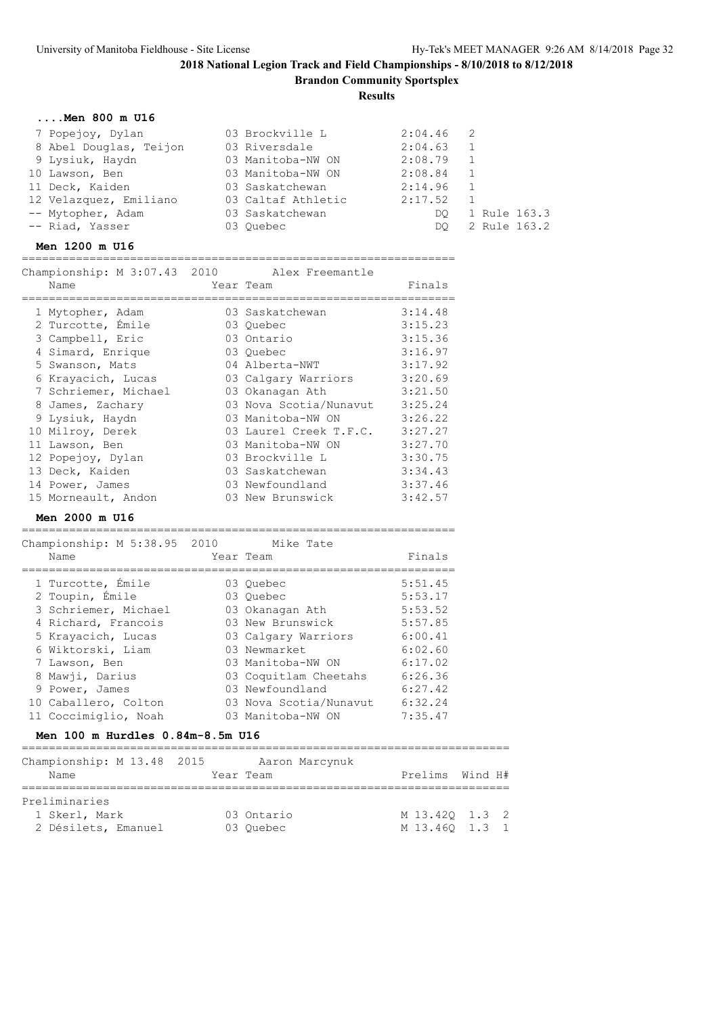**Brandon Community Sportsplex**

**Results**

### **....Men 800 m U16**

| 7 Popejoy, Dylan       | 03 Brockville L    | $2:04.46$ 2 |                |
|------------------------|--------------------|-------------|----------------|
| 8 Abel Douglas, Teijon | 03 Riversdale      | 2:04.63     |                |
| 9 Lysiuk, Haydn        | 03 Manitoba-NW ON  | 2:08.79     |                |
| 10 Lawson, Ben         | 03 Manitoba-NW ON  | 2:08.84     |                |
| 11 Deck, Kaiden        | 03 Saskatchewan    | 2:14.96     | $\overline{1}$ |
| 12 Velazquez, Emiliano | 03 Caltaf Athletic | 2:17.52     |                |
| -- Mytopher, Adam      | 03 Saskatchewan    | DO.         | 1 Rule 163.3   |
| -- Riad, Yasser        | 03 Ouebec          | DO.         | 2 Rule 163.2   |

### **Men 1200 m U16**

================================================================

| Championship: M 3:07.43 2010 | Alex Freemantle        |         |
|------------------------------|------------------------|---------|
| Name                         | Year Team              | Finals  |
| 1 Mytopher, Adam             | 03 Saskatchewan        | 3:14.48 |
| 2 Turcotte, Émile            | 03 Ouebec              | 3:15.23 |
| 3 Campbell, Eric             | 03 Ontario             | 3:15.36 |
| 4 Simard, Enrique            | 03 Quebec              | 3:16.97 |
| 5 Swanson, Mats              | 04 Alberta-NWT         | 3:17.92 |
| 6 Krayacich, Lucas           | 03 Calgary Warriors    | 3:20.69 |
| 7 Schriemer, Michael         | 03 Okanagan Ath        | 3:21.50 |
| 8 James, Zachary             | 03 Nova Scotia/Nunavut | 3:25.24 |
| 9 Lysiuk, Haydn              | 03 Manitoba-NW ON      | 3:26.22 |
| 10 Milroy, Derek             | 03 Laurel Creek T.F.C. | 3:27.27 |
| 11 Lawson, Ben               | 03 Manitoba-NW ON      | 3:27.70 |
| 12 Popejoy, Dylan            | 03 Brockville L        | 3:30.75 |
| 13 Deck, Kaiden              | 03 Saskatchewan        | 3:34.43 |
| 14 Power, James              | 03 Newfoundland        | 3:37.46 |
| 15 Morneault, Andon          | 03 New Brunswick       | 3:42.57 |

### **Men 2000 m U16**

|                                  | Championship: M 5:38.95 2010 |  | Mike Tate              |         |  |  |  |  |
|----------------------------------|------------------------------|--|------------------------|---------|--|--|--|--|
|                                  | Name                         |  | Year Team              | Finals  |  |  |  |  |
|                                  | 1 Turcotte, Emile            |  | 03 Ouebec              | 5:51.45 |  |  |  |  |
|                                  | 2 Toupin, Émile              |  | 03 Ouebec              | 5:53.17 |  |  |  |  |
|                                  | 3 Schriemer, Michael         |  | 03 Okanagan Ath        | 5:53.52 |  |  |  |  |
|                                  | 4 Richard, Francois          |  | 03 New Brunswick       | 5:57.85 |  |  |  |  |
|                                  | 5 Krayacich, Lucas           |  | 03 Calgary Warriors    | 6:00.41 |  |  |  |  |
|                                  | 6 Wiktorski, Liam            |  | 03 Newmarket           | 6:02.60 |  |  |  |  |
|                                  | 7 Lawson, Ben                |  | 03 Manitoba-NW ON      | 6:17.02 |  |  |  |  |
|                                  | 8 Mawii, Darius              |  | 03 Coquitlam Cheetahs  | 6:26.36 |  |  |  |  |
|                                  | 9 Power, James               |  | 03 Newfoundland        | 6:27.42 |  |  |  |  |
|                                  | 10 Caballero, Colton         |  | 03 Nova Scotia/Nunavut | 6:32.24 |  |  |  |  |
|                                  | 11 Coccimiglio, Noah         |  | 03 Manitoba-NW ON      | 7:35.47 |  |  |  |  |
| Men 100 m Hurdles 0.84m-8.5m U16 |                              |  |                        |         |  |  |  |  |

| Championship: M 13.48 2015<br>Name | Aaron Marcynuk<br>Year Team | Prelims Wind H# |  |
|------------------------------------|-----------------------------|-----------------|--|
| Preliminaries                      |                             |                 |  |
| 1 Skerl, Mark                      | 03 Ontario                  | M 13.420 1.3 2  |  |
| 2 Désilets, Emanuel                | 03 Ouebec                   | M 13.460 1.3 1  |  |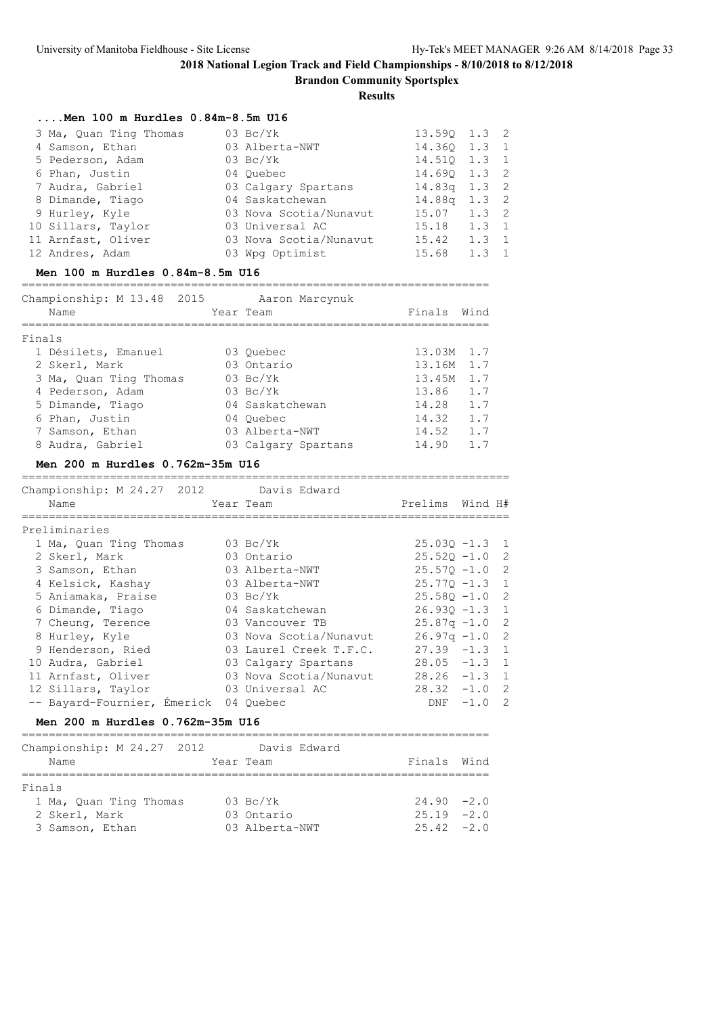|                                                                      | 2018 National Legion Track and Field Championships - 8/10/2018<br><b>Brandon Community Sportsplex</b><br><b>Results</b> |                  |         |                |
|----------------------------------------------------------------------|-------------------------------------------------------------------------------------------------------------------------|------------------|---------|----------------|
| $\ldots$ .Men 100 m Hurdles 0.84m-8.5m U16<br>3 Ma, Quan Ting Thomas | $03\;\mathrm{Bc/Yk}$                                                                                                    | 13.590 1.3 2     |         |                |
| 4 Samson, Ethan                                                      | 03 Alberta-NWT                                                                                                          | 14.360 1.3       |         | $\mathbf{1}$   |
| 5 Pederson, Adam                                                     | $03 \text{ Bc/Yk}$                                                                                                      | 14.510 1.3       |         | 1              |
| 6 Phan, Justin                                                       | 04 Quebec                                                                                                               | 14.69Q 1.3       |         | $\overline{c}$ |
| 7 Audra, Gabriel                                                     | 03 Calgary Spartans                                                                                                     | 14.83q 1.3       |         | $\overline{c}$ |
| 8 Dimande, Tiago                                                     | 04 Saskatchewan                                                                                                         | 14.88q 1.3       |         | $\overline{c}$ |
| 9 Hurley, Kyle                                                       | 03 Nova Scotia/Nunavut                                                                                                  | $15.07$ $1.3$ 2  |         |                |
| 10 Sillars, Taylor                                                   | 03 Universal AC                                                                                                         | $15.18$ 1.3      |         | 1              |
| 11 Arnfast, Oliver                                                   | 03 Nova Scotia/Nunavut                                                                                                  | $15.42$ $1.3$ 1  |         |                |
| 12 Andres, Adam                                                      | 03 Wpg Optimist                                                                                                         | $15.68$ 1.3      |         | $\mathbf{1}$   |
| Men 100 m Hurdles 0.84m-8.5m U16                                     |                                                                                                                         |                  |         |                |
| Championship: M 13.48 2015 Aaron Marcynuk                            |                                                                                                                         |                  |         |                |
| Name                                                                 | Year Team                                                                                                               | Finals Wind      |         |                |
| Finals                                                               |                                                                                                                         |                  |         |                |
| 1 Désilets, Emanuel                                                  | 03 Quebec                                                                                                               | 13.03M 1.7       |         |                |
| 2 Skerl, Mark                                                        | 03 Ontario                                                                                                              | 13.16M 1.7       |         |                |
| 3 Ma, Quan Ting Thomas                                               | 03 Bc/Yk                                                                                                                | 13.45M 1.7       |         |                |
| 4 Pederson, Adam                                                     | 03 Bc/Yk                                                                                                                | 13.86 1.7        |         |                |
| 5 Dimande, Tiago                                                     | 04 Saskatchewan                                                                                                         | 14.28 1.7        |         |                |
| 6 Phan, Justin                                                       | 04 Ouebec                                                                                                               | $14.32$ 1.7      |         |                |
| 7 Samson, Ethan                                                      | 03 Alberta-NWT                                                                                                          | 14.52 1.7        |         |                |
| 8 Audra, Gabriel                                                     | 03 Calgary Spartans                                                                                                     | 14.90 1.7        |         |                |
| Men 200 m Hurdles 0.762m-35m U16                                     |                                                                                                                         |                  |         |                |
| Championship: M 24.27 2012 Davis Edward                              |                                                                                                                         |                  |         |                |
| Name                                                                 | Year Team                                                                                                               | Prelims          | Wind H# |                |
| ==================<br>Preliminaries                                  |                                                                                                                         |                  |         |                |
| 1 Ma, Quan Ting Thomas                                               | $03\ \text{Bc/Yk}$                                                                                                      | $25.03Q - 1.3$ 1 |         |                |
| 2 Skerl, Mark                                                        | 03 Ontario                                                                                                              | $25.52Q - 1.0$ 2 |         |                |
| 3 Samson, Ethan                                                      | 03 Alberta-NWT                                                                                                          | $25.57Q - 1.0$ 2 |         |                |
| 4 Kelsick, Kashay                                                    | 03 Alberta-NWT                                                                                                          | $25.77Q - 1.3$   |         | $\mathbf{1}$   |
|                                                                      |                                                                                                                         |                  |         |                |

| 4 Kelsick, Kashay                     | 03 Alberta-NWT         | $25.770 - 1.3$ 1 |  |
|---------------------------------------|------------------------|------------------|--|
| 5 Aniamaka, Praise                    | 03 Bc/Yk               | $25.580 - 1.0$ 2 |  |
| 6 Dimande, Tiago                      | 04 Saskatchewan        | $26.930 - 1.3$ 1 |  |
| 7 Cheung, Terence                     | 03 Vancouver TB        | $25.87q - 1.0$ 2 |  |
| 8 Hurley, Kyle                        | 03 Nova Scotia/Nunavut | $26.97q -1.0$ 2  |  |
| 9 Henderson, Ried                     | 03 Laurel Creek T.F.C. | $27.39 -1.3$ 1   |  |
| 10 Audra, Gabriel                     | 03 Calgary Spartans    | $28.05 -1.3 1$   |  |
| 11 Arnfast, Oliver                    | 03 Nova Scotia/Nunavut | $28.26 -1.3$ 1   |  |
| 12 Sillars, Taylor                    | 03 Universal AC        | $28.32 -1.0$ 2   |  |
| -- Bayard-Fournier, Émerick 04 Ouebec |                        | $DNF -1.0 2$     |  |
|                                       |                        |                  |  |

## **Men 200 m Hurdles 0.762m-35m U16**

| Championship: M 24.27 2012<br>Name      |  | Year Team                       | Davis Edward | Finals Wind                   |  |
|-----------------------------------------|--|---------------------------------|--------------|-------------------------------|--|
| Finals                                  |  |                                 |              |                               |  |
| 1 Ma, Quan Ting Thomas<br>2 Skerl, Mark |  | $03 \text{BC/Yk}$<br>03 Ontario |              | $24.90 -2.0$<br>$25.19 - 2.0$ |  |
| 3 Samson, Ethan                         |  | 03 Alberta-NWT                  |              | $25.42 -2.0$                  |  |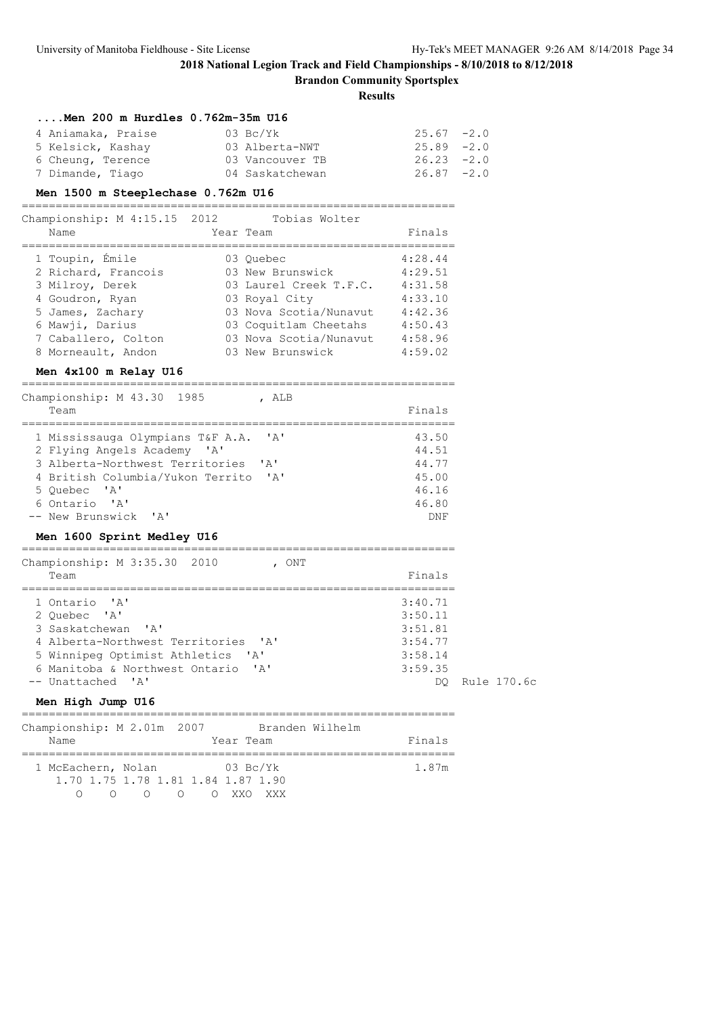**Brandon Community Sportsplex**

| $\ldots$ .Men 200 m Hurdles 0.762m-35m U16                                                                           |               |             |
|----------------------------------------------------------------------------------------------------------------------|---------------|-------------|
| 4 Aniamaka, Praise<br>03 Bc/Yk                                                                                       | $25.67 - 2.0$ |             |
| 03 Alberta-NWT<br>5 Kelsick, Kashay                                                                                  | $25.89 - 2.0$ |             |
| 6 Cheung, Terence<br>03 Vancouver TB                                                                                 | $26.23 -2.0$  |             |
| 7 Dimande, Tiago<br>04 Saskatchewan                                                                                  | $26.87 - 2.0$ |             |
| Men 1500 m Steeplechase 0.762m U16                                                                                   |               |             |
| Championship: M 4:15.15 2012<br>Tobias Wolter                                                                        |               |             |
| Name<br>Year Team                                                                                                    | Finals        |             |
| 03 Quebec<br>1 Toupin, Emile                                                                                         | 4:28.44       |             |
| 2 Richard, Francois 03 New Brunswick 4:29.51                                                                         |               |             |
| 3 Milroy, Derek<br>03 Laurel Creek T.F.C. 4:31.58                                                                    |               |             |
| 4 Goudron, Ryan<br>03 Royal City                                                                                     | 4:33.10       |             |
| 5 James, Zachary                                                                                                     |               |             |
| 03 Nova Scotia/Nunavut 4:42.36<br>03 Coquitlam Cheetahs 4:50.43<br>03 Nova Scotia/Nunavut 4:58.96<br>6 Mawji, Darius |               |             |
| 7 Caballero, Colton                                                                                                  |               |             |
| 03 New Brunswick<br>8 Morneault, Andon                                                                               | 4:59.02       |             |
| Men 4x100 m Relay U16                                                                                                |               |             |
| Championship: M 43.30 1985<br>, ALB                                                                                  |               |             |
| Team                                                                                                                 | Finals        |             |
| 1 Mississauga Olympians T&F A.A. 'A'                                                                                 | 43.50         |             |
| 2 Flying Angels Academy 'A'                                                                                          | 44.51         |             |
| 3 Alberta-Northwest Territories<br>' A'                                                                              | 44.77         |             |
| 4 British Columbia/Yukon Territo 'A'                                                                                 | 45.00         |             |
| 5 Quebec 'A'                                                                                                         | 46.16         |             |
| 6 Ontario 'A'                                                                                                        | 46.80         |             |
| -- New Brunswick 'A'                                                                                                 | DNF           |             |
| Men 1600 Sprint Medley U16                                                                                           |               |             |
| ===========================<br>=============================<br>Championship: M 3:35.30 2010 , ONT                   |               |             |
| Team                                                                                                                 | Finals        |             |
| 1 Ontario 'A'                                                                                                        | 3:40.71       |             |
| 2 Quebec 'A'                                                                                                         | 3:50.11       |             |
| 3 Saskatchewan<br>$\mathsf{A}$                                                                                       | 3:51.81       |             |
| 4 Alberta-Northwest Territories 'A'                                                                                  | 3:54.77       |             |
| 5 Winnipeg Optimist Athletics 'A'                                                                                    | 3:58.14       |             |
| 6 Manitoba & Northwest Ontario<br>' A'                                                                               | 3:59.35       |             |
| -- Unattached 'A'                                                                                                    | DO.           | Rule 170.6c |
| Men High Jump U16                                                                                                    |               |             |
| Championship: M 2.01m 2007 Branden Wilhelm                                                                           |               |             |
| Year Team<br>Name                                                                                                    | Finals        |             |
| 1 McEachern, Nolan<br>$03\text{ BC/Yk}$                                                                              | 1.87m         |             |
| 1.70 1.75 1.78 1.81 1.84 1.87 1.90<br>O O O O XXO XXX<br>$\Omega$                                                    |               |             |
|                                                                                                                      |               |             |
|                                                                                                                      |               |             |
|                                                                                                                      |               |             |
|                                                                                                                      |               |             |
|                                                                                                                      |               |             |
|                                                                                                                      |               |             |
|                                                                                                                      |               |             |
|                                                                                                                      |               |             |
|                                                                                                                      |               |             |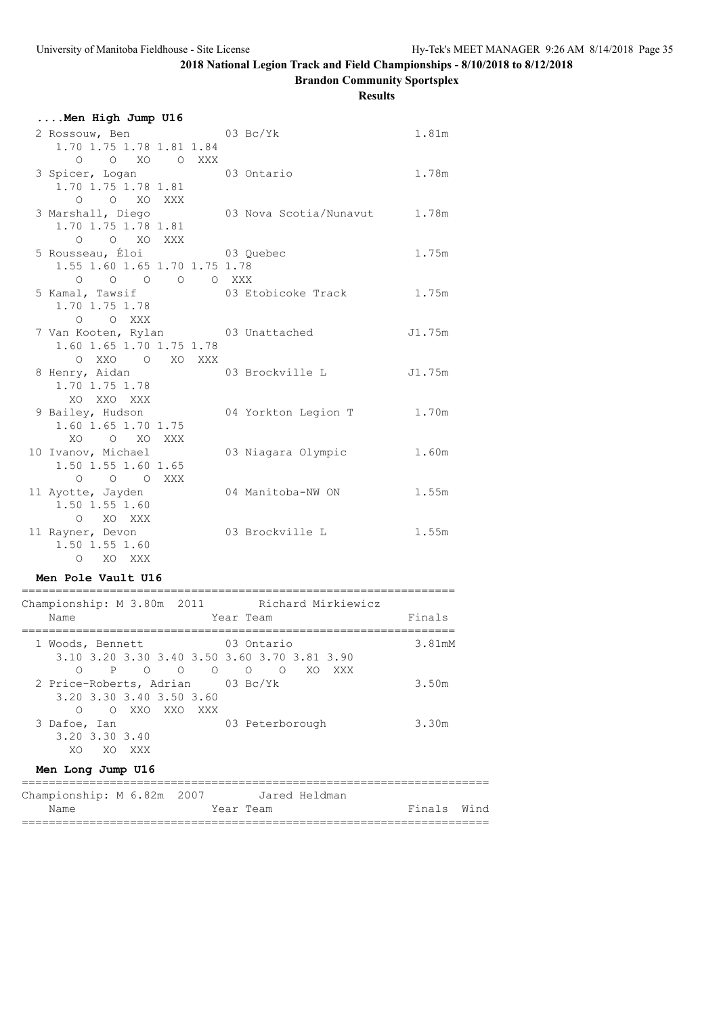**Brandon Community Sportsplex**

### **Results**

| Men High Jump U16                                    |  |                        |        |
|------------------------------------------------------|--|------------------------|--------|
| 2 Rossouw, Ben 63 Bc/Yk                              |  |                        | 1.81m  |
| 1.70 1.75 1.78 1.81 1.84                             |  |                        |        |
| $\Omega$<br>O XO O XXX<br>3 Spicer, Logan 03 Ontario |  |                        | 1.78m  |
| 1.70 1.75 1.78 1.81                                  |  |                        |        |
| $O$ $O$ $XO$ $XXX$                                   |  |                        |        |
| 3 Marshall, Diego                                    |  | 03 Nova Scotia/Nunavut | 1.78m  |
| 1.70 1.75 1.78 1.81                                  |  |                        |        |
| $O$ $O$ $XO$ $XXX$                                   |  |                        |        |
| 5 Rousseau, Éloi<br>1.55 1.60 1.65 1.70 1.75 1.78    |  | 03 Quebec              | 1.75m  |
| $0$ 0 0 0 0 XXX                                      |  |                        |        |
| 5 Kamal, Tawsif                                      |  | 03 Etobicoke Track     | 1.75m  |
| 1.70 1.75 1.78                                       |  |                        |        |
| $O$ $O$ XXX                                          |  |                        |        |
| 7 Van Kooten, Rylan 103 Unattached                   |  |                        | J1.75m |
| 1.60 1.65 1.70 1.75 1.78<br>O XXO O XO XXX           |  |                        |        |
| 8 Henry, Aidan                                       |  | 03 Brockville L        | J1.75m |
| 1.70 1.75 1.78                                       |  |                        |        |
| XO XXO XXX                                           |  |                        |        |
| 9 Bailey, Hudson                                     |  | 04 Yorkton Legion T    | 1.70m  |
| 1.60 1.65 1.70 1.75                                  |  |                        |        |
| O XO XXX<br>XO<br>10 Ivanov, Michael                 |  | 03 Niagara Olympic     | 1.60m  |
| 1.50 1.55 1.60 1.65                                  |  |                        |        |
| O O O XXX                                            |  |                        |        |
| 11 Ayotte, Jayden                                    |  | 04 Manitoba-NW ON      | 1.55m  |
| 1.50 1.55 1.60                                       |  |                        |        |
| O XO XXX                                             |  | 03 Brockville L        | 1.55m  |
| 11 Rayner, Devon<br>1.50 1.55 1.60                   |  |                        |        |
| O XO XXX                                             |  |                        |        |
|                                                      |  |                        |        |

### **Men Pole Vault U16**

| Championship: M 3.80m 2011                                                                                                   | Richard Mirkiewicz                             |        |
|------------------------------------------------------------------------------------------------------------------------------|------------------------------------------------|--------|
| Year Team<br>Name                                                                                                            |                                                | Finals |
| 1 Woods, Bennett<br>3.10 3.20 3.30 3.40 3.50 3.60 3.70 3.81 3.90<br>$\overline{O}$<br>∩<br>P<br>$\overline{O}$<br>$\bigcirc$ | 03 Ontario<br>$\circ$<br>XO.<br>$\circ$<br>XXX | 3.81mM |
| 2 Price-Roberts, Adrian 03 Bc/Yk<br>3.20 3.30 3.40 3.50 3.60<br>XXO XXO<br>∩<br>$\bigcirc$<br>XXX X                          |                                                | 3.50m  |
| 3 Dafoe, Ian<br>3.20 3.30 3.40<br>XO XO XXX<br>Men Long Jump U16                                                             | 03 Peterborough                                | 3.30m  |
| $\alpha$ $\alpha$ $\alpha$ $\alpha$ $\alpha$                                                                                 | $\tau$ , and $\tau$ , and $\tau$               |        |

| Championship: M 6.82m 2007 |  |  |  |  |           | Jared Heldman |             |  |
|----------------------------|--|--|--|--|-----------|---------------|-------------|--|
| Name                       |  |  |  |  | Year Team |               | Finals Wind |  |
|                            |  |  |  |  |           |               |             |  |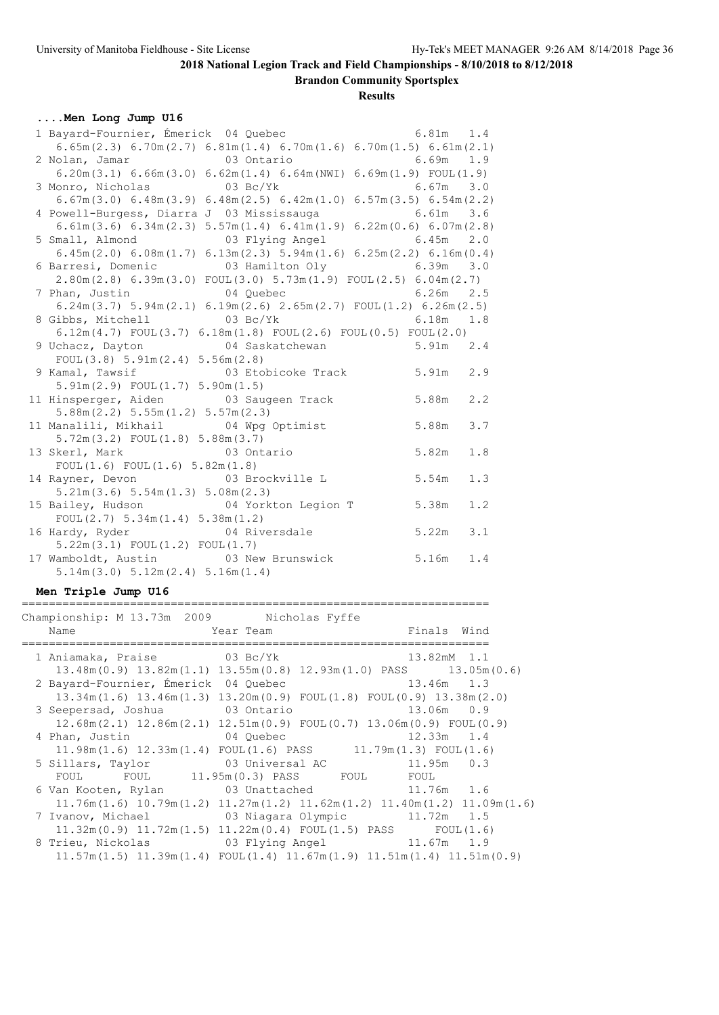**Brandon Community Sportsplex**

| 1 Bayard-Fournier, Émerick 04 Quebec 6.81m 1.4<br>$6.65m(2.3)$ $6.70m(2.7)$ $6.81m(1.4)$ $6.70m(1.6)$ $6.70m(1.5)$ $6.61m(2.1)$<br>2 Nolan, Jamar 63 Ontario<br>$6.69m$ 1.9<br>$6.20m(3.1) 6.66m(3.0) 6.62m(1.4) 6.64m(NWI) 6.69m(1.9) FOUL(1.9)$<br>3 Monro, Nicholas 03 Bc/Yk<br>$6.67m$ 3.0 |     |
|------------------------------------------------------------------------------------------------------------------------------------------------------------------------------------------------------------------------------------------------------------------------------------------------|-----|
|                                                                                                                                                                                                                                                                                                |     |
|                                                                                                                                                                                                                                                                                                |     |
|                                                                                                                                                                                                                                                                                                |     |
|                                                                                                                                                                                                                                                                                                |     |
|                                                                                                                                                                                                                                                                                                |     |
| $6.67m(3.0)$ $6.48m(3.9)$ $6.48m(2.5)$ $6.42m(1.0)$ $6.57m(3.5)$ $6.54m(2.2)$                                                                                                                                                                                                                  |     |
| 4 Powell-Burgess, Diarra J 03 Mississauga<br>$6.61m$ 3.6                                                                                                                                                                                                                                       |     |
| 6.61m (3.6) 6.34m (2.3) 5.57m (1.4) 6.41m (1.9) 6.22m (0.6) 6.07m (2.8)                                                                                                                                                                                                                        |     |
| 5 Small, Almond 6.45m 2.0                                                                                                                                                                                                                                                                      |     |
| $6.45m(2.0)$ $6.08m(1.7)$ $6.13m(2.3)$ $5.94m(1.6)$ $6.25m(2.2)$ $6.16m(0.4)$                                                                                                                                                                                                                  |     |
| 6 Barresi, Domenic 6.39m 3.0                                                                                                                                                                                                                                                                   |     |
| $2.80$ m $(2.8)$ 6.39m $(3.0)$ FOUL $(3.0)$ 5.73m $(1.9)$ FOUL $(2.5)$ 6.04m $(2.7)$                                                                                                                                                                                                           |     |
| 7 Phan, Justin 04 Quebec<br>$6.26m$ 2.5                                                                                                                                                                                                                                                        |     |
| $6.24$ m $(3.7)$ $5.94$ m $(2.1)$ $6.19$ m $(2.6)$ $2.65$ m $(2.7)$ $FOUT(1.2)$ $6.26$ m $(2.5)$                                                                                                                                                                                               |     |
| 8 Gibbs, Mitchell 63 Bc/Yk<br>6.18m 1.8                                                                                                                                                                                                                                                        |     |
| $6.12m(4.7)$ FOUL $(3.7)$ $6.18m(1.8)$ FOUL $(2.6)$ FOUL $(0.5)$ FOUL $(2.0)$                                                                                                                                                                                                                  |     |
| 9 Uchacz, Dayton 64 Saskatchewan 5.91m 2.4                                                                                                                                                                                                                                                     |     |
| FOUL $(3.8)$ 5.91m $(2.4)$ 5.56m $(2.8)$                                                                                                                                                                                                                                                       |     |
| 9 Kamal, Tawsif 63 Etobicoke Track 5.91m 2.9                                                                                                                                                                                                                                                   |     |
| $5.91m(2.9)$ FOUL $(1.7)$ $5.90m(1.5)$                                                                                                                                                                                                                                                         |     |
| 5.88m<br>11 Hinsperger, Aiden 63 Saugeen Track                                                                                                                                                                                                                                                 | 2.2 |
| 5.88m(2.2) 5.55m(1.2) 5.57m(2.3)                                                                                                                                                                                                                                                               |     |
| 11 Manalili, Mikhail (04 Wpg Optimist 1 9.88m                                                                                                                                                                                                                                                  | 3.7 |
| $5.72m(3.2)$ FOUL $(1.8)$ $5.88m(3.7)$<br>5.82m                                                                                                                                                                                                                                                | 1.8 |
| 03 Ontario<br>13 Skerl, Mark                                                                                                                                                                                                                                                                   |     |
| FOUL $(1.6)$ FOUL $(1.6)$ 5.82m $(1.8)$                                                                                                                                                                                                                                                        | 1.3 |
| 14 Rayner, Devon 63 Brockville L 5.54m<br>5.21m(3.6) 5.54m(1.3) 5.08m(2.3)                                                                                                                                                                                                                     |     |
| 15 Bailey, Hudson 64 Yorkton Legion T 5.38m                                                                                                                                                                                                                                                    | 1.2 |
| FOUL $(2.7)$ 5.34m $(1.4)$ 5.38m $(1.2)$                                                                                                                                                                                                                                                       |     |
| 04 Riversdale 5.22m<br>16 Hardy, Ryder                                                                                                                                                                                                                                                         | 3.1 |
| $5.22m(3.1)$ FOUL $(1.2)$ FOUL $(1.7)$                                                                                                                                                                                                                                                         |     |
| 17 Wamboldt, Austin 03 New Brunswick 5.16m<br>1.4                                                                                                                                                                                                                                              |     |
| 5.14m(3.0) 5.12m(2.4) 5.16m(1.4)                                                                                                                                                                                                                                                               |     |
|                                                                                                                                                                                                                                                                                                |     |
| Men Triple Jump U16                                                                                                                                                                                                                                                                            |     |

| Championship: M 13.73m 2009 Nicholas Fyffe |                                                                                                   |                |
|--------------------------------------------|---------------------------------------------------------------------------------------------------|----------------|
| Name<br><b>Example 21 Year Team</b>        |                                                                                                   | Finals Wind    |
| 1 Aniamaka, Praise 03 Bc/Yk                |                                                                                                   | 13.82mM 1.1    |
|                                            | $13.48$ m $(0.9)$ $13.82$ m $(1.1)$ $13.55$ m $(0.8)$ $12.93$ m $(1.0)$ PASS $13.05$ m $(0.6)$    |                |
| 2 Bayard-Fournier, Émerick 04 Quebec       | 13.46m 1.3                                                                                        |                |
|                                            | $13.34$ m $(1.6)$ $13.46$ m $(1.3)$ $13.20$ m $(0.9)$ FOUL $(1.8)$ FOUL $(0.9)$ $13.38$ m $(2.0)$ |                |
|                                            | 3 Seepersad, Joshua 63 Ontario                                                                    | 13.06m 0.9     |
|                                            | $12.68$ m $(2.1)$ $12.86$ m $(2.1)$ $12.51$ m $(0.9)$ FOUL $(0.7)$ $13.06$ m $(0.9)$ FOUL $(0.9)$ |                |
| 4 Phan, Justin 04 Quebec                   |                                                                                                   | $12.33m$ $1.4$ |
|                                            | $11.98m(1.6)$ $12.33m(1.4)$ $FOUL(1.6)$ $PASS$ $11.79m(1.3)$ $FOUL(1.6)$                          |                |
|                                            | 5 Sillars, Taylor 63 Universal AC                                                                 | $11.95m$ 0.3   |
|                                            | FOUL FOUL 11.95m(0.3) PASS FOUL FOUL                                                              |                |
|                                            | 6 Van Kooten, Rylan and 03 Unattached 11.76m 1.6                                                  |                |
|                                            | $11.76m(1.6)$ $10.79m(1.2)$ $11.27m(1.2)$ $11.62m(1.2)$ $11.40m(1.2)$ $11.09m(1.6)$               |                |
|                                            | 7 Ivanov, Michael 03 Niagara Olympic 11.72m 1.5                                                   |                |
|                                            | $11.32m(0.9)$ $11.72m(1.5)$ $11.22m(0.4)$ FOUL $(1.5)$ PASS FOUL $(1.6)$                          |                |
|                                            | 8 Trieu, Nickolas (3 Plying Angel (11.67m 1.9)                                                    |                |
|                                            | $11.57m(1.5)$ $11.39m(1.4)$ $FOUL(1.4)$ $11.67m(1.9)$ $11.51m(1.4)$ $11.51m(0.9)$                 |                |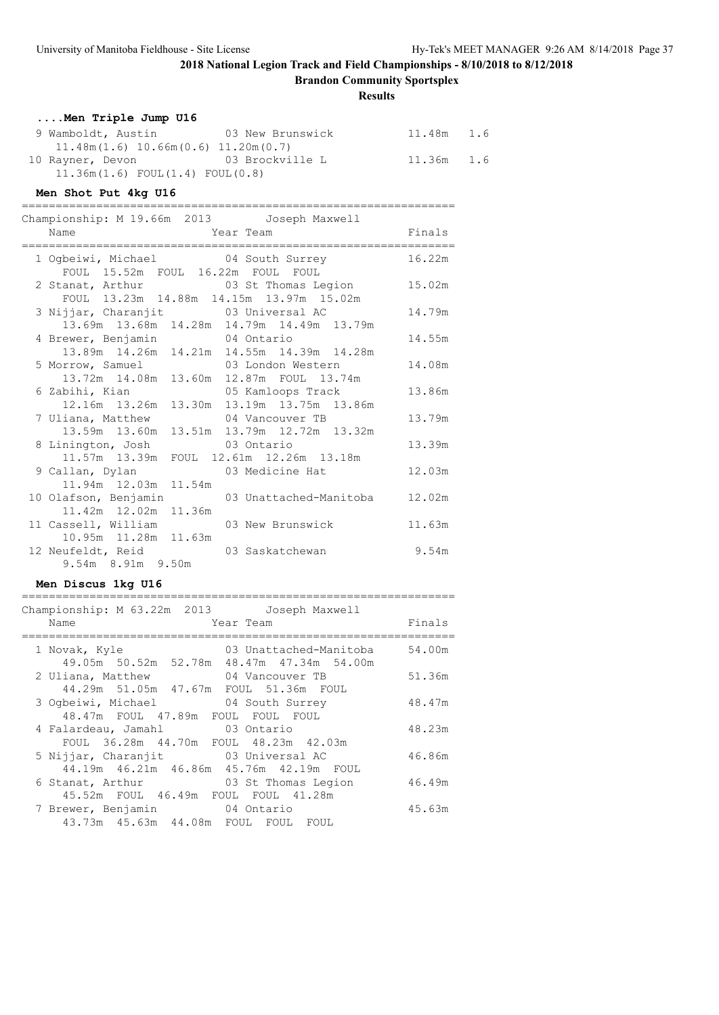**Brandon Community Sportsplex**

### **Results**

| Men Triple Jump U16                       |                  |              |  |
|-------------------------------------------|------------------|--------------|--|
| 9 Wamboldt, Austin                        | 03 New Brunswick | 11.48m 1.6   |  |
| $11.48m(1.6)$ $10.66m(0.6)$ $11.20m(0.7)$ |                  |              |  |
| 10 Rayner, Devon                          | 03 Brockville L  | $11.36m$ 1.6 |  |
| $11.36m(1.6)$ FOUL $(1.4)$ FOUL $(0.8)$   |                  |              |  |

## **Men Shot Put 4kg U16**

| Championship: M 19.66m 2013 Joseph Maxwell                                         |                                                                |        |
|------------------------------------------------------------------------------------|----------------------------------------------------------------|--------|
| Name<br>;======================                                                    | Year Team                                                      | Finals |
| FOUL 15.52m FOUL 16.22m FOUL FOUL                                                  | 1 Ogbeiwi, Michael 04 South Surrey                             | 16.22m |
| FOUL 13.23m 14.88m 14.15m 13.97m 15.02m                                            | 2 Stanat, Arthur 103 St Thomas Legion                          | 15.02m |
| 3 Nijjar, Charanjit 03 Universal AC                                                | 13.69m  13.68m  14.28m  14.79m  14.49m  13.79m                 | 14.79m |
| 4 Brewer, Benjamin 14 Ontario                                                      | 13.89m  14.26m  14.21m  14.55m  14.39m  14.28m                 | 14.55m |
| 5 Morrow, Samuel 63 London Western<br>13.72m  14.08m  13.60m  12.87m  FOUL  13.74m |                                                                | 14.08m |
| 6 Zabihi, Kian                                                                     | 05 Kamloops Track<br>12.16m 13.26m 13.30m 13.19m 13.75m 13.86m | 13.86m |
| 7 Uliana, Matthew                                                                  | 04 Vancouver TB<br>13.59m 13.60m 13.51m 13.79m 12.72m 13.32m   | 13.79m |
| 8 Linington, Josh 03 Ontario<br>11.57m 13.39m FOUL 12.61m 12.26m 13.18m            |                                                                | 13.39m |
| 9 Callan, Dylan<br>11.94m 12.03m 11.54m                                            | 03 Medicine Hat                                                | 12.03m |
| 10 Olafson, Benjamin<br>11.42m  12.02m  11.36m                                     | 03 Unattached-Manitoba                                         | 12.02m |
| 11 Cassell, William<br>10.95m 11.28m 11.63m                                        | 03 New Brunswick                                               | 11.63m |
| 12 Neufeldt, Reid<br>9.54m 8.91m 9.50m                                             | 03 Saskatchewan                                                | 9.54m  |

### **Men Discus 1kg U16**

| Championship: M 63.22m 2013 Joseph Maxwell<br>Name<br>Year Team                        | Finals |
|----------------------------------------------------------------------------------------|--------|
| 03 Unattached-Manitoba<br>1 Novak, Kyle<br>49.05m 50.52m 52.78m 48.47m 47.34m 54.00m   | 54.00m |
| 2 Uliana, Matthew 64 Vancouver TB<br>44.29m 51.05m 47.67m FOUL 51.36m FOUL             | 51.36m |
| 3 Ogbeiwi, Michael 04 South Surrey<br>48.47m FOUL 47.89m FOUL FOUL FOUL                | 48.47m |
| 4 Falardeau, Jamahl 03 Ontario<br>FOUL 36.28m 44.70m FOUL 48.23m 42.03m                | 48.23m |
| 03 Universal AC<br>5 Nijjar, Charanjit<br>44.19m  46.21m  46.86m  45.76m  42.19m  FOUL | 46.86m |
| 03 St Thomas Legion<br>6 Stanat, Arthur<br>45.52m FOUL 46.49m FOUL FOUL 41.28m         | 46.49m |
| 7 Brewer, Benjamin 04 Ontario<br>43.73m  45.63m  44.08m  FOUL  FOUL  FOUL              | 45.63m |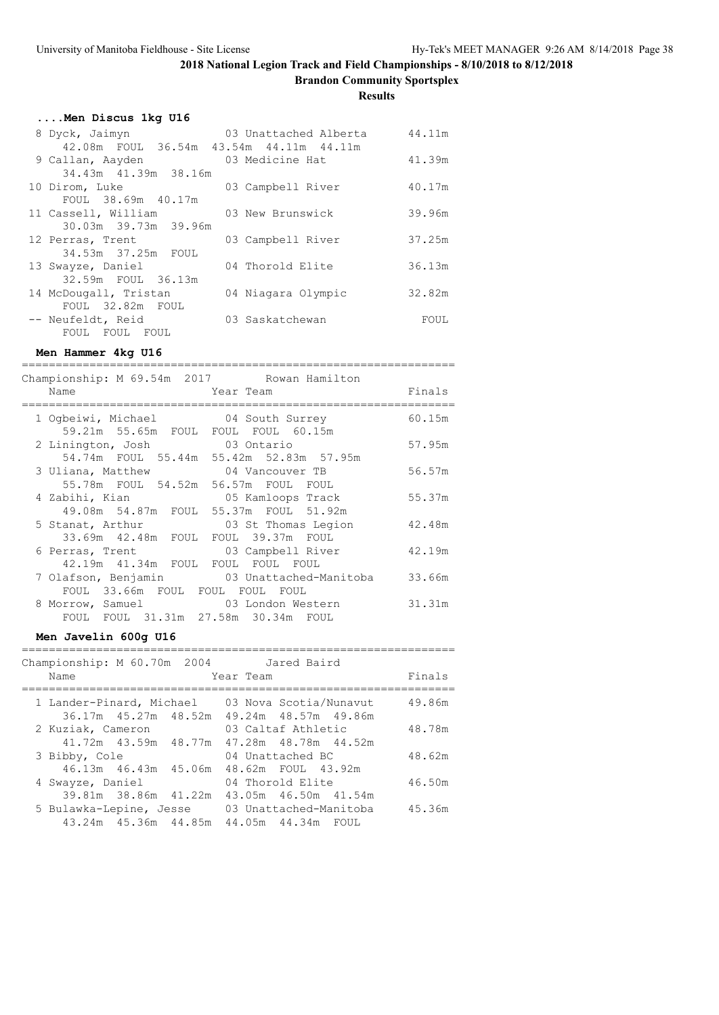**Brandon Community Sportsplex**

**Results**

| Men Discus 1kg U16                      |                       |        |
|-----------------------------------------|-----------------------|--------|
| 8 Dyck, Jaimyn                          | 03 Unattached Alberta | 44.11m |
| 42.08m FOUL 36.54m 43.54m 44.11m 44.11m |                       |        |
| 9 Callan, Aayden                        | 03 Medicine Hat       | 41.39m |
| 34.43m 41.39m 38.16m                    |                       |        |
| 10 Dirom, Luke                          | 03 Campbell River     | 40.17m |
| FOUL 38.69m 40.17m                      |                       |        |
| 11 Cassell, William                     | 03 New Brunswick      | 39.96m |
| 30.03m 39.73m 39.96m                    |                       |        |
| 12 Perras, Trent                        | 03 Campbell River     | 37.25m |
| 34.53m 37.25m FOUL                      |                       |        |
| 13 Swayze, Daniel                       | 04 Thorold Elite      | 36.13m |
| 32.59m FOUL 36.13m                      |                       |        |
| 14 McDougall, Tristan                   | 04 Niagara Olympic    | 32.82m |
| FOUL 32.82m FOUL                        |                       |        |
| -- Neufeldt, Reid                       | 03 Saskatchewan       | FOUL   |
| FOUL FOUL FOUL                          |                       |        |

**Men Hammer 4kg U16**

================================================================ Championship: M 69.54m 2017 Rowan Hamilton Name Tear Team Team Finals ================================================================ 1 Ogbeiwi, Michael 04 South Surrey 60.15m 59.21m 55.65m FOUL FOUL FOUL 60.15m<br>inington, Josh 03 Ontario 2 Linington, Josh 03 Ontario 57.95m 54.74m FOUL 55.44m 55.42m 52.83m 57.95m 3 Uliana, Matthew 04 Vancouver TB 56.57m 55.78m FOUL 54.52m 56.57m FOUL FOUL 4 Zabihi, Kian 05 Kamloops Track 55.37m 49.08m 54.87m FOUL 55.37m FOUL 51.92m 5 Stanat, Arthur 03 St Thomas Legion 42.48m 33.69m 42.48m FOUL FOUL 39.37m FOUL 6 Perras, Trent 03 Campbell River 42.19m 42.19m 41.34m FOUL FOUL FOUL FOUL 7 Olafson, Benjamin 03 Unattached-Manitoba 33.66m FOUL 33.66m FOUL FOUL FOUL FOUL 8 Morrow, Samuel 03 London Western 31.31m FOUL FOUL 31.31m 27.58m 30.34m FOUL

### **Men Javelin 600g U16**

| Championship: M 60.70m 2004<br>Name |                      | Jared Baird<br>Year Team                                            | Finals |
|-------------------------------------|----------------------|---------------------------------------------------------------------|--------|
| 1 Lander-Pinard, Michael            |                      | 03 Nova Scotia/Nunavut<br>36.17m 45.27m 48.52m 49.24m 48.57m 49.86m | 49.86m |
| 2 Kuziak, Cameron                   |                      | 03 Caltaf Athletic                                                  | 48.78m |
| 3 Bibby, Cole                       | 41.72m 43.59m 48.77m | 47.28m 48.78m 44.52m<br>04 Unattached BC                            | 48.62m |
|                                     |                      | 46.13m  46.43m  45.06m  48.62m  FOUL  43.92m                        |        |
| 4 Swayze, Daniel                    |                      | 04 Thorold Elite                                                    | 46.50m |
|                                     | 39.81m 38.86m 41.22m | 43.05m 46.50m 41.54m                                                |        |
| 5 Bulawka-Lepine, Jesse             |                      | 03 Unattached-Manitoba                                              | 45.36m |
|                                     | 43.24m 45.36m 44.85m | 44.05m 44.34m FOUL                                                  |        |

================================================================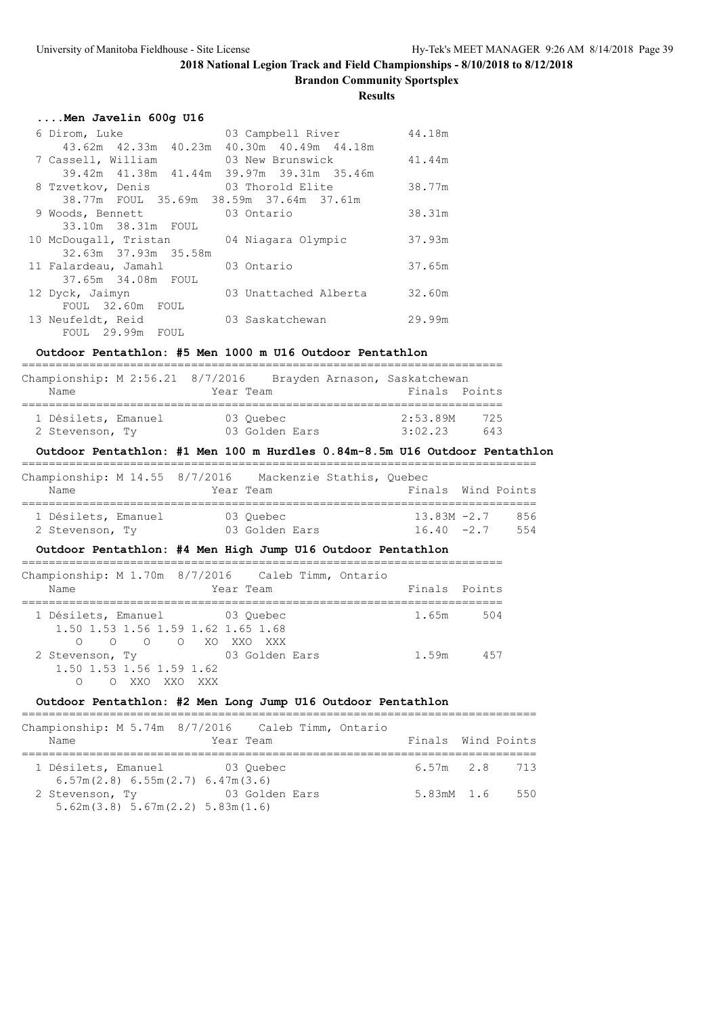**Brandon Community Sportsplex**

### **Results**

|  |  |  |  | Men Javelin 600g U16 |  |  |
|--|--|--|--|----------------------|--|--|
|--|--|--|--|----------------------|--|--|

| 6 Dirom, Luke                             | 03 Campbell River     | 44.18m |
|-------------------------------------------|-----------------------|--------|
| 43.62m 42.33m 40.23m 40.30m 40.49m 44.18m |                       |        |
| 7 Cassell, William                        | 03 New Brunswick      | 41.44m |
| 39.42m 41.38m 41.44m 39.97m 39.31m 35.46m |                       |        |
| 8 Tzvetkov, Denis                         | 03 Thorold Elite      | 38.77m |
| 38.77m FOUL 35.69m 38.59m 37.64m 37.61m   |                       |        |
| 9 Woods, Bennett                          | 03 Ontario            | 38.31m |
| 33.10m 38.31m FOUL                        |                       |        |
| 10 McDougall, Tristan                     | 04 Niagara Olympic    | 37.93m |
| 32.63m 37.93m 35.58m                      |                       |        |
| 11 Falardeau, Jamahl                      | 03 Ontario            | 37.65m |
| 37.65m 34.08m FOUL                        |                       |        |
| 12 Dyck, Jaimyn                           | 03 Unattached Alberta | 32.60m |
| FOUL 32.60m FOUL                          |                       |        |
| 13 Neufeldt, Reid                         | 03 Saskatchewan       | 29.99m |
| FOUL 29.99m FOUL                          |                       |        |

### **Outdoor Pentathlon: #5 Men 1000 m U16 Outdoor Pentathlon**

| Championship: M 2:56.21 8/7/2016 | Brayden Arnason, Saskatchewan |               |     |
|----------------------------------|-------------------------------|---------------|-----|
| Name                             | Year Team                     | Finals Points |     |
|                                  |                               |               |     |
| 1 Désilets, Emanuel              | 03 Ouebec                     | 2:53.89M      | 725 |
| 2 Stevenson, Ty                  | 03 Golden Ears                | 3:02.23       | 643 |
|                                  |                               |               |     |

#### **Outdoor Pentathlon: #1 Men 100 m Hurdles 0.84m-8.5m U16 Outdoor Pentathlon** ============================================================================

| Championship: M 14.55 8/7/2016<br>Name |  | Mackenzie Stathis, Ouebec<br>Year Team | Finals Wind Points             |            |
|----------------------------------------|--|----------------------------------------|--------------------------------|------------|
| 1 Désilets, Emanuel<br>2 Stevenson, Ty |  | 03 Ouebec<br>03 Golden Ears            | $13.83M - 2.7$<br>$16.40 -2.7$ | 856<br>554 |

### **Outdoor Pentathlon: #4 Men High Jump U16 Outdoor Pentathlon**

| Championship: M 1.70m 8/7/2016 Caleb Timm, Ontario<br>Year Team<br>Name                            | Finals Points |     |
|----------------------------------------------------------------------------------------------------|---------------|-----|
| 1 Désilets, Emanuel 03 Ouebec<br>1.50 1.53 1.56 1.59 1.62 1.65 1.68<br>0 0 0 0 XOXXOXXX            | 1.65m         | 504 |
| 03 Golden Ears<br>2 Stevenson, Ty<br>1.50 1.53 1.56 1.59 1.62<br>XXO<br>XXO<br>XXX<br>∩<br>$\circ$ | 1.59m         | 457 |

### **Outdoor Pentathlon: #2 Men Long Jump U16 Outdoor Pentathlon**

|                 | Championship: M 5.74m 8/7/2016 Caleb Timm, Ontario |                        |           |  |                     |  |
|-----------------|----------------------------------------------------|------------------------|-----------|--|---------------------|--|
| Name            |                                                    |                        | Year Team |  | Finals Wind Points  |  |
|                 |                                                    |                        |           |  |                     |  |
|                 | 1 Désilets, Emanuel (3 Ouebec                      |                        |           |  | $6.57m$ $2.8$ $713$ |  |
|                 | 6.57m(2.8) 6.55m(2.7) 6.47m(3.6)                   |                        |           |  |                     |  |
| 2 Stevenson, Ty |                                                    | and the US Golden Ears |           |  | 5.83mM 1.6 550      |  |
|                 | 5.62m(3.8) 5.67m(2.2) 5.83m(1.6)                   |                        |           |  |                     |  |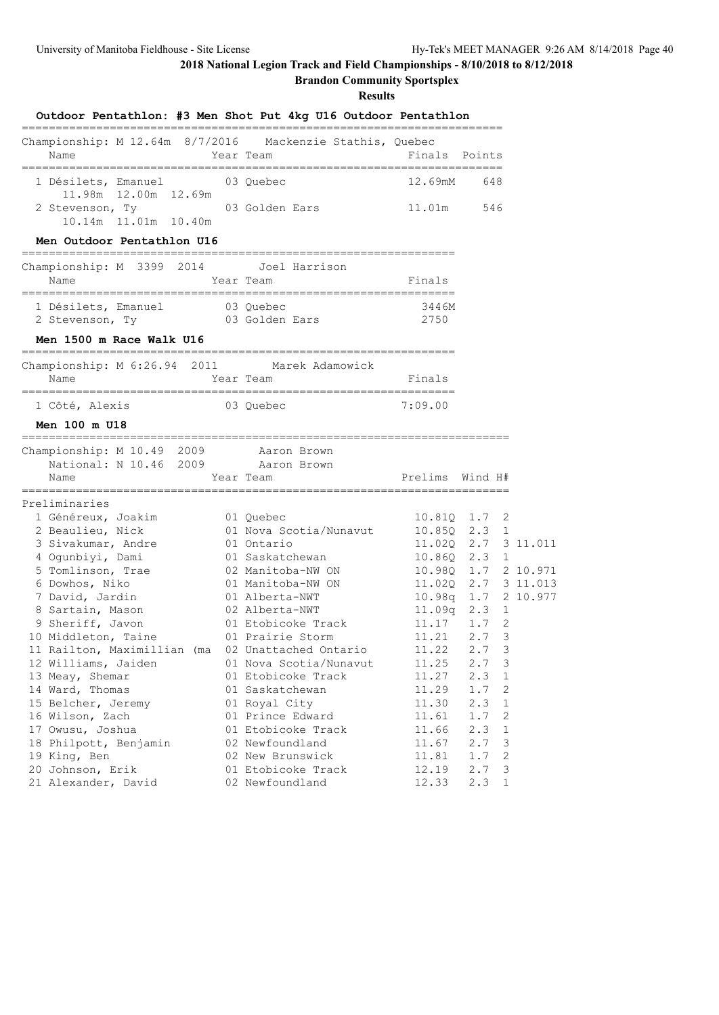**Brandon Community Sportsplex**

| Outdoor Pentathlon: #3 Men Shot Put 4kg U16 Outdoor Pentathlon                     |                                                   |                        |                                     |  |
|------------------------------------------------------------------------------------|---------------------------------------------------|------------------------|-------------------------------------|--|
| Championship: M 12.64m 8/7/2016 Mackenzie Stathis, Quebec<br>Name                  | Year Team                                         | Finals Points          |                                     |  |
| 1 Désilets, Emanuel 03 Quebec                                                      |                                                   | 12.69mM 648            |                                     |  |
| 11.98m  12.00m  12.69m<br>2 Stevenson, Ty 63 Golden Ears<br>10.14m  11.01m  10.40m |                                                   | 11.01m 546             |                                     |  |
| Men Outdoor Pentathlon U16                                                         |                                                   |                        |                                     |  |
| Championship: M 3399 2014 Joel Harrison<br>Year Team<br>Name                       |                                                   | Finals                 |                                     |  |
| 1 Désilets, Emanuel 03 Quebec<br>2 Stevenson, Ty 03 Golden Ears                    |                                                   | 3446M<br>2750          |                                     |  |
| Men 1500 m Race Walk U16                                                           |                                                   |                        |                                     |  |
| Championship: M 6:26.94 2011 Marek Adamowick<br>Name                               | Year Team                                         | Finals                 |                                     |  |
| 03 Quebec<br>1 Côté, Alexis                                                        |                                                   | 7:09.00                |                                     |  |
| Men 100 m U18                                                                      |                                                   |                        |                                     |  |
| Championship: M 10.49 2009 Aaron Brown<br>National: N 10.46 2009 Aaron Brown       |                                                   |                        |                                     |  |
| Name                                                                               | Year Team                                         | Prelims Wind H#        |                                     |  |
| Preliminaries                                                                      |                                                   |                        |                                     |  |
| 1 Généreux, Joakim<br>2 Beaulieu, Nick<br>3 Sivakumar, Andre                       | 01 Quebec<br>01 Nova Scotia/Nunavut<br>01 Ontario | 10.850 2.3 1           | 10.81Q 1.7 2<br>11.020 2.7 3 11.011 |  |
| 4 Ogunbiyi, Dami                                                                   | 01 Saskatchewan                                   |                        | 10.86Q 2.3 1                        |  |
| 5 Tomlinson, Trae                                                                  | 02 Manitoba-NW ON                                 |                        | 10.98Q 1.7 2 10.971                 |  |
| 6 Dowhos, Niko                                                                     | 01 Manitoba-NW ON                                 | 10.98q  1.7  2  10.977 | 11.020 2.7 3 11.013                 |  |
| 7 David, Jardin<br>8 Sartain, Mason                                                | 01 Alberta-NWT<br>02 Alberta-NWT                  |                        | $11.09q$ 2.3 1                      |  |
| 9 Sheriff, Javon                                                                   | 01 Etobicoke Track                                | $11.17$ 1.7            | 2                                   |  |
| 10 Middleton, Taine                                                                | 01 Prairie Storm                                  | 11.21 2.7              | 3                                   |  |
| 11 Railton, Maximillian (ma 02 Unattached Ontario                                  |                                                   | $11.22$ 2.7            | 3                                   |  |
| 12 Williams, Jaiden                                                                | 01 Nova Scotia/Nunavut                            | 11.25                  | 2.7<br>3                            |  |
| 13 Meay, Shemar                                                                    | 01 Etobicoke Track                                | 11.27                  | 2.3<br>1                            |  |
| 14 Ward, Thomas                                                                    | 01 Saskatchewan                                   | 11.29                  | 1.7<br>2                            |  |
| 15 Belcher, Jeremy                                                                 | 01 Royal City                                     | 11.30                  | 2.3<br>$\mathbf 1$                  |  |
| 16 Wilson, Zach                                                                    | 01 Prince Edward                                  | 11.61                  | 1.7<br>2                            |  |
| 17 Owusu, Joshua                                                                   | 01 Etobicoke Track                                | 11.66                  | 2.3<br>1                            |  |
| 18 Philpott, Benjamin                                                              | 02 Newfoundland                                   | 11.67                  | 2.7<br>3                            |  |
| 19 King, Ben                                                                       | 02 New Brunswick                                  | 11.81                  | 1.7<br>2                            |  |
| 20 Johnson, Erik                                                                   | 01 Etobicoke Track                                | 12.19                  | 2.7<br>3                            |  |
| 21 Alexander, David                                                                | 02 Newfoundland                                   | 12.33                  | 2.3<br>$\mathbf{1}$                 |  |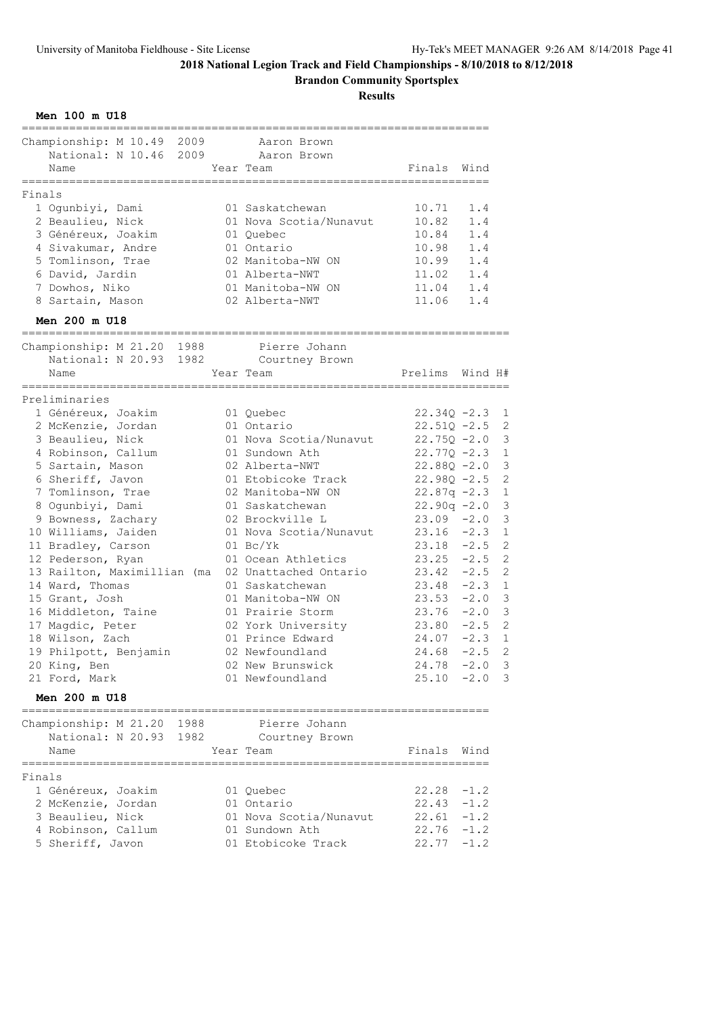**Brandon Community Sportsplex**

| Championship: M 10.49 2009                     | Aaron Brown                               |                                |          |
|------------------------------------------------|-------------------------------------------|--------------------------------|----------|
| National: N 10.46 2009<br>Name                 | Aaron Brown<br>Year Team                  | Finals Wind                    |          |
| ==================<br>Finals                   | ==============                            | _________________              |          |
| 1 Ogunbiyi, Dami                               | 01 Saskatchewan                           | 10.71                          | 1.4      |
| 2 Beaulieu, Nick                               | 01 Nova Scotia/Nunavut                    | 10.82                          | 1.4      |
| 3 Généreux, Joakim                             | 01 Quebec                                 | 10.84                          | 1.4      |
| 4 Sivakumar, Andre                             | 01 Ontario                                | 10.98                          | 1.4      |
| 5 Tomlinson, Trae                              | 02 Manitoba-NW ON                         | 10.99 1.4                      |          |
| 6 David, Jardin                                | 01 Alberta-NWT                            | $11.02 \t1.4$                  |          |
| 7 Dowhos, Niko                                 | 01 Manitoba-NW ON                         | 11.04 1.4                      |          |
| 8 Sartain, Mason                               | 02 Alberta-NWT                            | 11.06 1.4                      |          |
| Men 200 m U18                                  |                                           |                                |          |
| Championship: M 21.20 1988                     | Pierre Johann                             |                                |          |
| National: N 20.93 1982                         | Courtney Brown                            |                                |          |
| Name<br>-------------------------              | Year Team                                 | Prelims Wind H#                |          |
| Preliminaries                                  |                                           |                                |          |
| 1 Généreux, Joakim                             | 01 Quebec                                 | $22.34Q - 2.3$                 |          |
| 2 McKenzie, Jordan                             | 01 Ontario                                | $22.51Q - 2.5$                 |          |
| 3 Beaulieu, Nick                               | 01 Nova Scotia/Nunavut                    | $22.75Q - 2.0$                 |          |
| 4 Robinson, Callum                             | 01 Sundown Ath                            | $22.77Q - 2.3$                 |          |
| 5 Sartain, Mason                               | 02 Alberta-NWT                            | $22.88Q - 2.0$                 |          |
| 6 Sheriff, Javon                               | 01 Etobicoke Track                        | $22.98Q - 2.5$                 |          |
| 7 Tomlinson, Trae                              | 02 Manitoba-NW ON                         | $22.87q -2.3$                  |          |
| 8 Ogunbiyi, Dami                               | 01 Saskatchewan                           | $22.90q -2.0$                  |          |
| 9 Bowness, Zachary                             | 02 Brockville L<br>01 Nova Scotia/Nunavut | $23.09 - 2.0$                  |          |
| 10 Williams, Jaiden                            | $01 \text{ Bc/Yk}$                        | $23.16 - 2.3$<br>$23.18 - 2.5$ |          |
| 11 Bradley, Carson<br>12 Pederson, Ryan        | 01 Ocean Athletics                        | $23.25 -2.5$                   |          |
| 13 Railton, Maximillian (ma                    | 02 Unattached Ontario                     | $23.42 -2.5$                   |          |
| 14 Ward, Thomas                                | 01 Saskatchewan                           | $23.48 - 2.3$                  |          |
| 15 Grant, Josh                                 | 01 Manitoba-NW ON                         | $23.53 -2.0$                   |          |
| 16 Middleton, Taine                            | 01 Prairie Storm                          | $23.76 - 2.0$                  |          |
| 17 Magdic, Peter                               | 02 York University                        | $23.80 -2.5$                   |          |
| 18 Wilson, Zach                                | 01 Prince Edward                          | $24.07 - 2.3$                  |          |
| 19 Philpott, Benjamin                          | 02 Newfoundland                           | 24.68                          | $-2.5$ 2 |
| 20 King, Ben                                   | 02 New Brunswick                          | $24.78 - 2.0$                  |          |
| 21 Ford, Mark                                  | 01 Newfoundland                           | $25.10 -2.0$                   |          |
| Men 200 m U18<br>============================= | =============================             |                                |          |
| Championship: M 21.20 1988                     | Pierre Johann                             |                                |          |
| National: N 20.93 1982 Courtney Brown          |                                           |                                |          |
| Name                                           | Year Team                                 | Finals Wind                    |          |
| Finals                                         |                                           |                                |          |
| 1 Généreux, Joakim                             | 01 Quebec                                 | $22.28 - 1.2$                  |          |
| 2 McKenzie, Jordan                             | 01 Ontario                                | $22.43 - 1.2$                  |          |
| 3 Beaulieu, Nick                               | 01 Nova Scotia/Nunavut                    | $22.61 - 1.2$                  |          |
| 4 Robinson, Callum                             | 01 Sundown Ath                            | $22.76 - 1.2$                  |          |
| 5 Sheriff, Javon                               | 01 Etobicoke Track                        | $22.77 - 1.2$                  |          |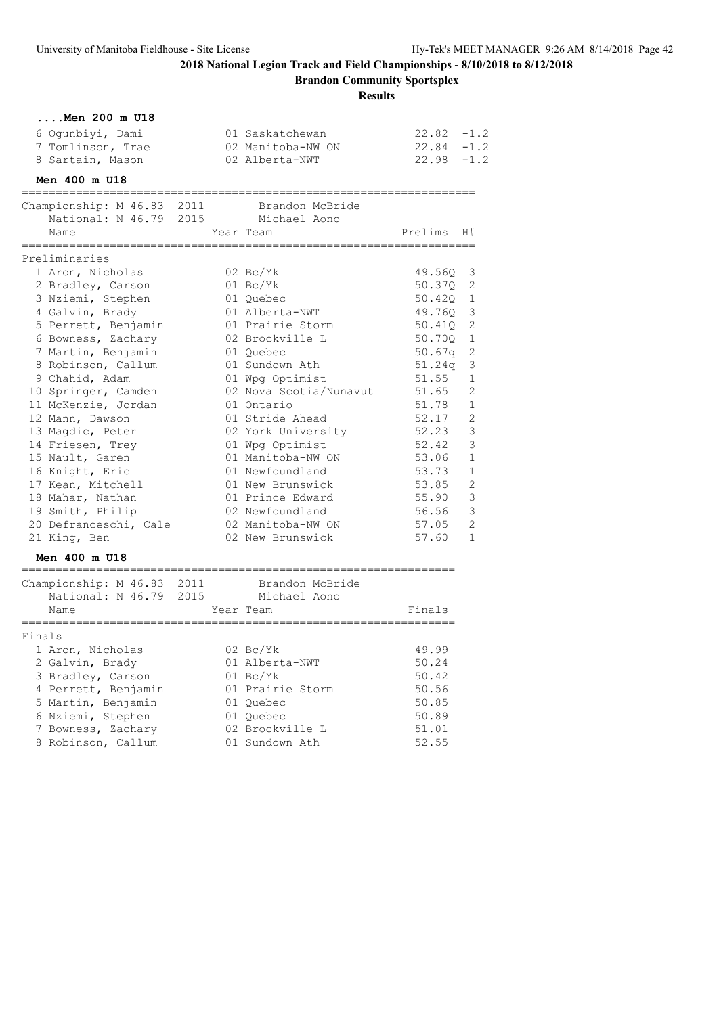**Brandon Community Sportsplex**

|        | Men 200 m U18                              |                        |               |                |
|--------|--------------------------------------------|------------------------|---------------|----------------|
|        | 6 Ogunbiyi, Dami                           | 01 Saskatchewan        | $22.82 - 1.2$ |                |
|        | 7 Tomlinson, Trae                          | 02 Manitoba-NW ON      | $22.84 - 1.2$ |                |
|        | 8 Sartain, Mason                           | 02 Alberta-NWT         | $22.98 - 1.2$ |                |
|        | Men 400 m U18                              |                        |               |                |
|        | Championship: M 46.83 2011                 | Brandon McBride        |               |                |
|        | National: N 46.79 2015 Michael Aono        |                        |               |                |
|        | Name                                       | Year Team              | Prelims       | H#             |
|        | Preliminaries                              |                        |               |                |
|        | 1 Aron, Nicholas                           | 02 Bc/Yk               | 49.56Q        | 3              |
|        | 2 Bradley, Carson                          | 01 Bc/Yk               | 50.370        | 2              |
|        | 3 Nziemi, Stephen                          | 01 Quebec              | 50.420        | 1              |
|        | 4 Galvin, Brady                            | 01 Alberta-NWT         | 49.76Q        | 3              |
|        | 5 Perrett, Benjamin                        | 01 Prairie Storm       | 50.410        | $\overline{2}$ |
|        | 6 Bowness, Zachary                         | 02 Brockville L        | 50.70Q        | $\mathbf 1$    |
|        | 7 Martin, Benjamin                         | 01 Ouebec              | 50.67q        | 2              |
|        | 8 Robinson, Callum                         | 01 Sundown Ath         | 51.24q        | 3              |
|        | 9 Chahid, Adam                             | 01 Wpg Optimist        | 51.55         | 1              |
|        | 10 Springer, Camden                        | 02 Nova Scotia/Nunavut | 51.65         | 2              |
|        | 11 McKenzie, Jordan                        | 01 Ontario             | 51.78         | 1              |
|        | 12 Mann, Dawson                            | 01 Stride Ahead        | 52.17         | $\overline{2}$ |
|        | 13 Magdic, Peter                           | 02 York University     | 52.23         | 3              |
|        | 14 Friesen, Trey                           | 01 Wpg Optimist        | 52.42         | 3              |
|        | 15 Nault, Garen                            | 01 Manitoba-NW ON      | 53.06         | 1              |
|        | 16 Knight, Eric                            | 01 Newfoundland        | 53.73         | $\mathbf{1}$   |
|        | 17 Kean, Mitchell                          | 01 New Brunswick       | 53.85         | $\overline{2}$ |
|        | 18 Mahar, Nathan                           | 01 Prince Edward       | 55.90         | 3              |
|        | 19 Smith, Philip                           | 02 Newfoundland        | 56.56         | 3              |
|        | 20 Defranceschi, Cale                      | 02 Manitoba-NW ON      | 57.05         | $\mathbf{2}$   |
|        | 21 King, Ben                               | 02 New Brunswick       | 57.60         | $\mathbf 1$    |
|        | Men 400 m U18                              |                        |               |                |
|        | Championship: M 46.83 2011 Brandon McBride |                        |               |                |
|        | National: N 46.79 2015                     | Michael Aono           |               |                |
|        | Name                                       | Year Team              | Finals        |                |
| Finals |                                            |                        |               |                |
|        | 1 Aron, Nicholas                           | $02\ \text{Bc/Yk}$     | 49.99         |                |
|        | 2 Galvin, Brady                            | 01 Alberta-NWT         | 50.24         |                |
|        | 3 Bradley, Carson                          | $01$ Bc/Yk             | 50.42         |                |
|        | 4 Perrett, Benjamin                        | 01 Prairie Storm       | 50.56         |                |
|        | 5 Martin, Benjamin                         | 01 Quebec              | 50.85         |                |
|        | 6 Nziemi, Stephen                          | 01 Quebec              | 50.89         |                |
|        | 7 Bowness, Zachary                         | 02 Brockville L        | 51.01         |                |
|        | 8 Robinson, Callum                         | 01 Sundown Ath         | 52.55         |                |
|        |                                            |                        |               |                |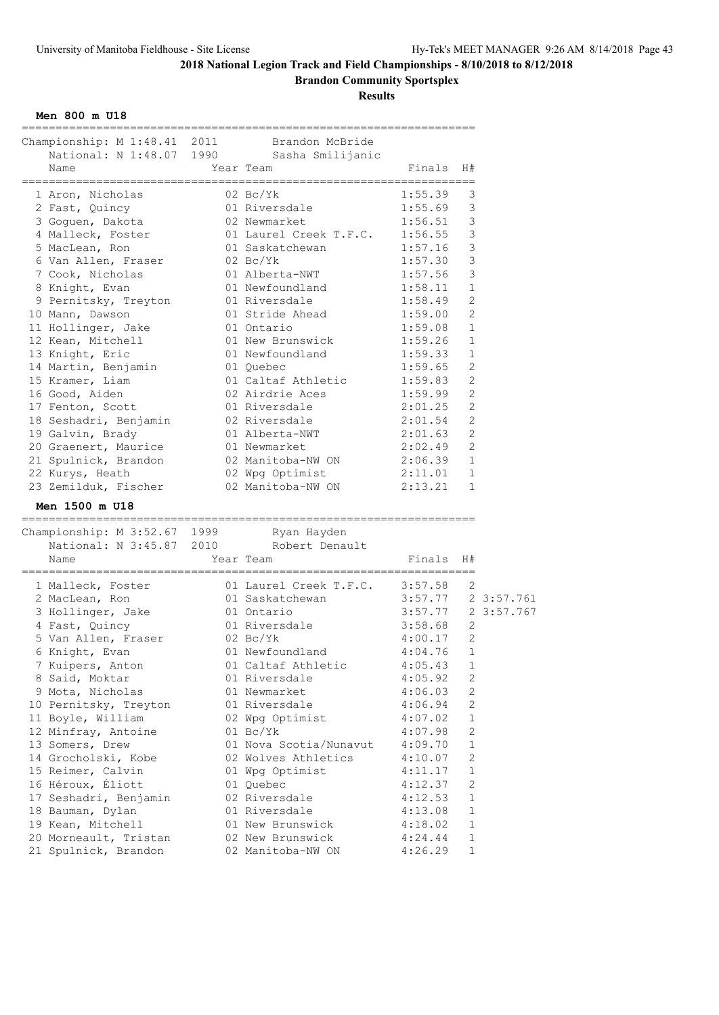**Brandon Community Sportsplex**

**Results**

**Men 800 m U18**

| Championship: M 1:48.41 2011 Brandon McBride |                                           |                             |                |  |
|----------------------------------------------|-------------------------------------------|-----------------------------|----------------|--|
|                                              | National: N 1:48.07 1990 Sasha Smilijanic |                             |                |  |
| Name                                         | Year Team                                 | Finals<br>----------------- | H#             |  |
| 1 Aron, Nicholas                             | 02 Bc/Yk                                  | 1:55.39                     | 3              |  |
| 2 Fast, Quincy                               | 01 Riversdale                             | 1:55.69                     | 3              |  |
| 3 Goguen, Dakota                             | 02 Newmarket                              | 1:56.51                     | 3              |  |
| 4 Malleck, Foster                            | 01 Laurel Creek T.F.C. 1:56.55            |                             | 3              |  |
| 5 MacLean, Ron                               | 01 Saskatchewan                           | 1:57.16                     | 3              |  |
| 6 Van Allen, Fraser                          | $02\ \text{Bc/Yk}$                        | 1:57.30                     | 3              |  |
| 7 Cook, Nicholas                             | 01 Alberta-NWT                            | 1:57.56                     | 3              |  |
| 8 Knight, Evan                               | 01 Newfoundland                           | 1:58.11                     | 1              |  |
| 9 Pernitsky, Treyton                         | 01 Riversdale                             | 1:58.49                     | $\overline{2}$ |  |
| 10 Mann, Dawson                              | 01 Stride Ahead                           | 1:59.00                     | 2              |  |
| 11 Hollinger, Jake                           | 01 Ontario                                | 1:59.08                     | $\mathbf 1$    |  |
| 12 Kean, Mitchell                            | 01 New Brunswick                          | 1:59.26                     | $\mathbf 1$    |  |
| 13 Knight, Eric                              | 01 Newfoundland                           | 1:59.33                     | 1              |  |
| 14 Martin, Benjamin                          | 01 Quebec                                 | 1:59.65                     | 2              |  |
| 15 Kramer, Liam                              | 01 Caltaf Athletic                        | 1:59.83                     | $\mathbf{2}$   |  |
|                                              |                                           |                             | $\mathbf{2}$   |  |
| 16 Good, Aiden                               | 02 Airdrie Aces                           | 1:59.99                     | $\overline{2}$ |  |
| 17 Fenton, Scott                             | 01 Riversdale                             | 2:01.25                     |                |  |
| 18 Seshadri, Benjamin                        | 02 Riversdale                             | 2:01.54                     | $\overline{2}$ |  |
| 19 Galvin, Brady                             | 01 Alberta-NWT                            | 2:01.63                     | 2              |  |
| 20 Graenert, Maurice                         | 01 Newmarket                              | 2:02.49                     | 2              |  |
| 21 Spulnick, Brandon                         | 02 Manitoba-NW ON 2:06.39                 |                             | $\mathbf{1}$   |  |
| 22 Kurys, Heath                              | 02 Wpg Optimist                           | 2:11.01                     | $\mathbf{1}$   |  |
| 23 Zemilduk, Fischer                         | 02 Manitoba-NW ON                         | 2:13.21                     | $\mathbf{1}$   |  |
| Men 1500 m U18<br>======================     |                                           |                             |                |  |
| Championship: M 3:52.67 1999 Ryan Hayden     |                                           |                             |                |  |
| National: N 3:45.87 2010 Robert Denault      |                                           |                             |                |  |
| Name                                         | Year Team                                 | Finals                      | H#             |  |
|                                              |                                           |                             |                |  |
| 1 Malleck, Foster                            |                                           |                             |                |  |
|                                              | 01 Laurel Creek T.F.C. 3:57.58            |                             | -2             |  |
| 2 MacLean, Ron                               | 01 Saskatchewan 3:57.77 2 3:57.761        |                             |                |  |
| 3 Hollinger, Jake                            | 01 Ontario                                | 3:57.77 2 3:57.767          |                |  |
| 4 Fast, Quincy                               | 01 Riversdale                             | 3:58.68                     | 2              |  |
| 5 Van Allen, Fraser                          | $02 \text{ Bc/Yk}$                        | 4:00.17                     | 2              |  |
| 6 Knight, Evan                               | 01 Newfoundland                           | 4:04.76                     | $\mathbf{1}$   |  |
| 7 Kuipers, Anton                             | 01 Caltaf Athletic 4:05.43                |                             | $\mathbf{1}$   |  |
| 8 Said, Moktar                               | 01 Riversdale                             | 4:05.92                     | 2              |  |
| 9 Mota, Nicholas                             | 01 Newmarket                              | 4:06.03                     | 2              |  |
| 10 Pernitsky, Treyton                        | 01 Riversdale                             | 4:06.94                     | 2              |  |
| 11 Boyle, William                            | 02 Wpg Optimist                           | 4:07.02                     | 1              |  |
| 12 Minfray, Antoine                          | $01 \text{BC/Yk}$                         | 4:07.98                     | 2              |  |
| 13 Somers, Drew                              | 01 Nova Scotia/Nunavut                    | 4:09.70                     | 1              |  |
| 14 Grocholski, Kobe                          | 02 Wolves Athletics                       | 4:10.07                     | 2              |  |
| 15 Reimer, Calvin                            | 01 Wpg Optimist                           | 4:11.17                     | 1              |  |
| 16 Héroux, Éliott                            | 01 Quebec                                 | 4:12.37                     | $\mathbf{2}$   |  |
| 17 Seshadri, Benjamin                        | 02 Riversdale                             | 4:12.53                     | 1              |  |
| 18 Bauman, Dylan                             | 01 Riversdale                             | 4:13.08                     | 1              |  |
| 19 Kean, Mitchell                            | 01 New Brunswick                          | 4:18.02                     | 1              |  |
| 20 Morneault, Tristan                        | 02 New Brunswick                          | 4:24.44                     | 1              |  |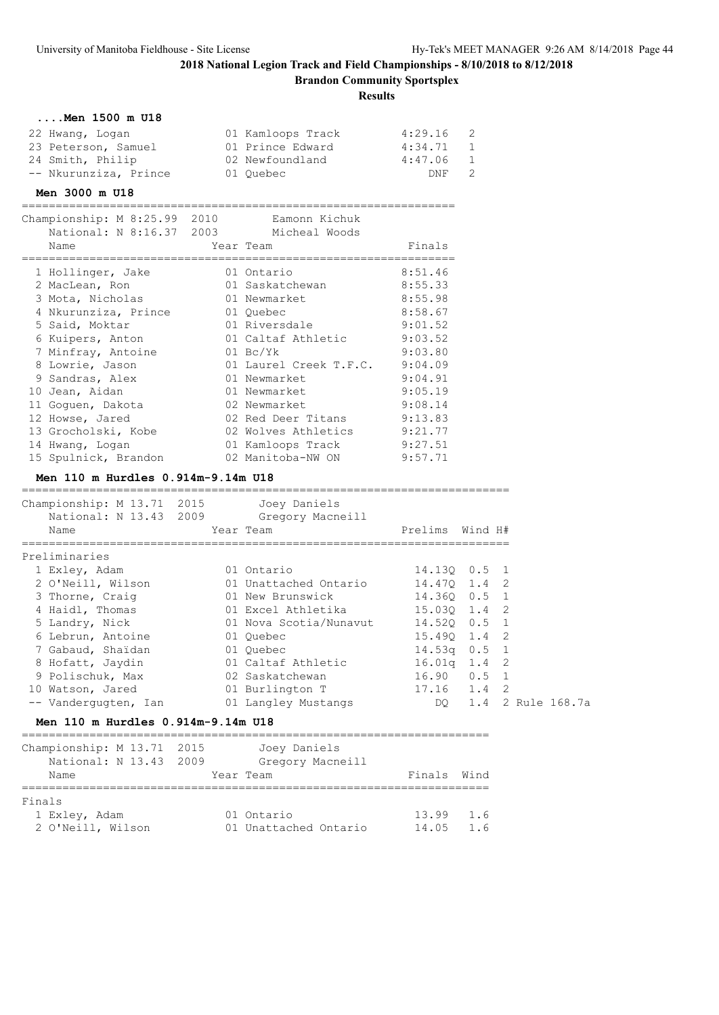**Brandon Community Sportsplex**

### **Results**

| $\ldots$ . Men 1500 m U18 |                   |         |                |
|---------------------------|-------------------|---------|----------------|
| 22 Hwang, Logan           | 01 Kamloops Track | 4:29.16 | $\overline{2}$ |
| 23 Peterson, Samuel       | 01 Prince Edward  | 4:34.71 | $\overline{1}$ |
| 24 Smith, Philip          | 02 Newfoundland   | 4:47.06 | 1              |
| -- Nkurunziza, Prince     | 01 Ouebec         | DNF.    | -2             |

### **Men 3000 m U18**

================================================================

| Championship: M 8:25.99 2010<br>National: N 8:16.37 2003 Micheal Woods | Eamonn Kichuk          |         |
|------------------------------------------------------------------------|------------------------|---------|
| Name                                                                   | Year Team              | Finals  |
| 1 Hollinger, Jake                                                      | 01 Ontario             | 8:51.46 |
| 2 MacLean, Ron                                                         | 01 Saskatchewan        | 8:55.33 |
| 3 Mota, Nicholas                                                       | 01 Newmarket           | 8:55.98 |
| 4 Nkurunziza, Prince                                                   | 01 Ouebec              | 8:58.67 |
| 5 Said, Moktar                                                         | 01 Riversdale          | 9:01.52 |
| 6 Kuipers, Anton                                                       | 01 Caltaf Athletic     | 9:03.52 |
| 7 Minfray, Antoine                                                     | $01 \text{ Bc/Yk}$     | 9:03.80 |
| 8 Lowrie, Jason                                                        | 01 Laurel Creek T.F.C. | 9:04.09 |
| 9 Sandras, Alex                                                        | 01 Newmarket           | 9:04.91 |
| 10 Jean, Aidan                                                         | 01 Newmarket           | 9:05.19 |
| 11 Goguen, Dakota                                                      | 02 Newmarket           | 9:08.14 |
| 12 Howse, Jared                                                        | 02 Red Deer Titans     | 9:13.83 |
| 13 Grocholski, Kobe                                                    | 02 Wolves Athletics    | 9:21.77 |
| 14 Hwang, Logan                                                        | 01 Kamloops Track      | 9:27.51 |
| 15 Spulnick, Brandon                                                   | 02 Manitoba-NW ON      | 9:57.71 |

### **Men 110 m Hurdles 0.914m-9.14m U18**

| Championship: M 13.71 2015         |  | Joey Daniels           |                     |  |                      |  |  |  |
|------------------------------------|--|------------------------|---------------------|--|----------------------|--|--|--|
| National: N 13.43 2009             |  | Gregory Macneill       |                     |  |                      |  |  |  |
| Name                               |  | Year Team              | Prelims Wind H#     |  |                      |  |  |  |
| Preliminaries                      |  |                        |                     |  |                      |  |  |  |
| 1 Exley, Adam                      |  | 01 Ontario             | 14.130 0.5 1        |  |                      |  |  |  |
| 2 O'Neill, Wilson                  |  | 01 Unattached Ontario  | 14.470 1.4 2        |  |                      |  |  |  |
| 3 Thorne, Craig                    |  | 01 New Brunswick       | 14.360 0.5 1        |  |                      |  |  |  |
| 4 Haidl, Thomas                    |  |                        |                     |  |                      |  |  |  |
| 5 Landry, Nick                     |  | 01 Nova Scotia/Nunavut | 14.520 0.5 1        |  |                      |  |  |  |
| 6 Lebrun, Antoine                  |  | 01 Ouebec              | 15.490 1.4 2        |  |                      |  |  |  |
| 7 Gabaud, Shaidan                  |  | 01 Ouebec              | $14.53q$ 0.5 1      |  |                      |  |  |  |
| 8 Hofatt, Jaydin                   |  | 01 Caltaf Athletic     | $16.01q$ 1.4 2      |  |                      |  |  |  |
| 9 Polischuk, Max                   |  | 02 Saskatchewan        | $16.90 \t 0.5 \t 1$ |  |                      |  |  |  |
| 10 Watson, Jared                   |  | 01 Burlington T        | 17.16 1.4           |  | 2                    |  |  |  |
| -- Vanderquqten, Ian               |  | 01 Langley Mustangs    |                     |  | DQ 1.4 2 Rule 168.7a |  |  |  |
| Men 110 m Hurdles 0.914m-9.14m U18 |  |                        |                     |  |                      |  |  |  |

| Championship: M 13.71 2015 | Joey Daniels          |             |                 |
|----------------------------|-----------------------|-------------|-----------------|
| National: N 13.43 2009     | Gregory Macneill      |             |                 |
| Name                       | Year Team             | Finals Wind |                 |
|                            |                       |             |                 |
| Finals                     |                       |             |                 |
| 1 Exley, Adam              | 01 Ontario            | 13.99       | 1.6             |
| 2 O'Neill, Wilson          | 01 Unattached Ontario | 14.05       | $1\overline{6}$ |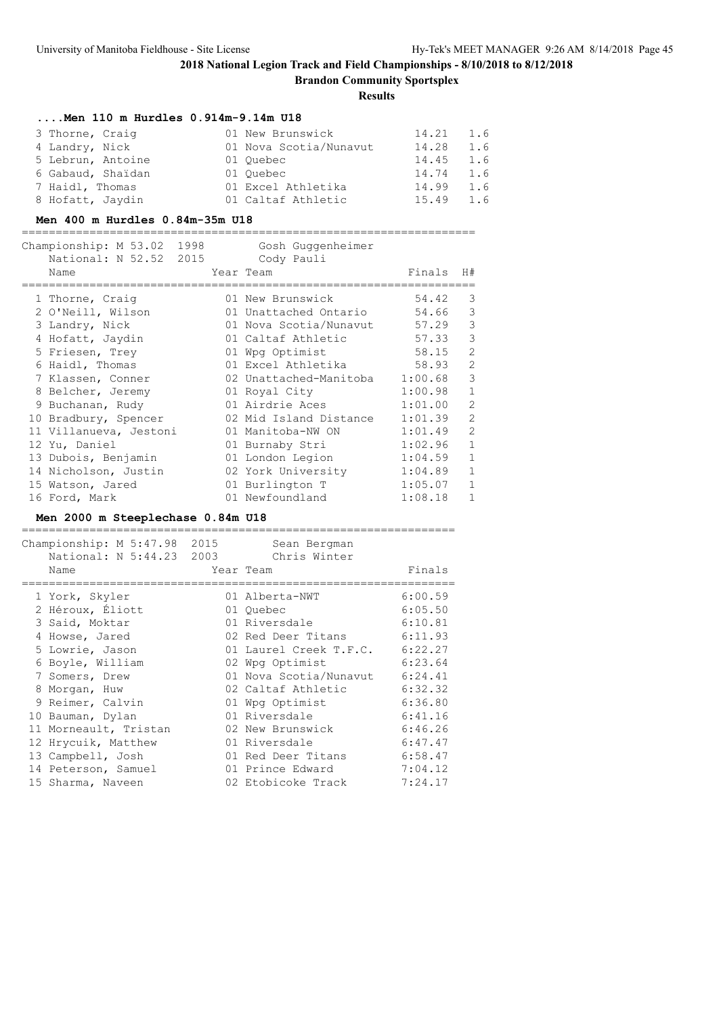**Brandon Community Sportsplex**

**Results**

### **....Men 110 m Hurdles 0.914m-9.14m U18**

| 3 Thorne, Craig   |                   | 01 New Brunswick       | 14.21 1.6 |     |
|-------------------|-------------------|------------------------|-----------|-----|
| 4 Landry, Nick    |                   | 01 Nova Scotia/Nunavut | 14.28     | 1.6 |
| 5 Lebrun, Antoine |                   | 01 Ouebec              | 14.45 1.6 |     |
|                   | 6 Gabaud, Shaidan | 01 Ouebec              | 14.74     | 1.6 |
| 7 Haidl, Thomas   |                   | 01 Excel Athletika     | 14.99     | 1.6 |
| 8 Hofatt, Jaydin  |                   | 01 Caltaf Athletic     | 15.49     | 1.6 |

### **Men 400 m Hurdles 0.84m-35m U18**

|  | Championship: M 53.02 1998<br>National: N 52.52 2015<br>Name |  | Gosh Guggenheimer<br>Cody Pauli<br>Year Team | Finals  | H#             |  |  |  |
|--|--------------------------------------------------------------|--|----------------------------------------------|---------|----------------|--|--|--|
|  | 1 Thorne, Craiq                                              |  | 01 New Brunswick                             | 54.42   | 3              |  |  |  |
|  | 2 O'Neill, Wilson                                            |  | 01 Unattached Ontario                        | 54.66   | 3              |  |  |  |
|  | 3 Landry, Nick                                               |  | 01 Nova Scotia/Nunavut                       | 57.29   | 3              |  |  |  |
|  | 4 Hofatt, Jaydin                                             |  | 01 Caltaf Athletic                           | 57.33   | 3              |  |  |  |
|  | 5 Friesen, Trey                                              |  | 01 Wpg Optimist                              | 58.15   | $\overline{2}$ |  |  |  |
|  | 6 Haidl, Thomas                                              |  | 01 Excel Athletika                           | 58.93   | $\overline{2}$ |  |  |  |
|  | 7 Klassen, Conner                                            |  | 02 Unattached-Manitoba                       | 1:00.68 | 3              |  |  |  |
|  | 8 Belcher, Jeremy                                            |  | 01 Royal City                                | 1:00.98 | $\mathbf{1}$   |  |  |  |
|  | 9 Buchanan, Rudy                                             |  | 01 Airdrie Aces                              | 1:01.00 | $\mathfrak{D}$ |  |  |  |
|  | 10 Bradbury, Spencer                                         |  | 02 Mid Island Distance                       | 1:01.39 | $\mathcal{L}$  |  |  |  |
|  | 11 Villanueva, Jestoni                                       |  | 01 Manitoba-NW ON                            | 1:01.49 | $\mathcal{L}$  |  |  |  |
|  | 12 Yu, Daniel                                                |  | 01 Burnaby Stri                              | 1:02.96 | $\mathbf{1}$   |  |  |  |
|  | 13 Dubois, Benjamin                                          |  | 01 London Legion                             | 1:04.59 | $\mathbf{1}$   |  |  |  |
|  | 14 Nicholson, Justin                                         |  | 02 York University                           | 1:04.89 | $\mathbf{1}$   |  |  |  |
|  | 15 Watson, Jared                                             |  | 01 Burlington T                              | 1:05.07 | $\mathbf{1}$   |  |  |  |
|  | 16 Ford, Mark                                                |  | 01 Newfoundland                              | 1:08.18 | $\mathbf{1}$   |  |  |  |

### **Men 2000 m Steeplechase 0.84m U18**

| Name                  | Sean Bergman<br>Chris Winter | Finals                                                                                                                                                                                                                                                                                                                                                                                            |
|-----------------------|------------------------------|---------------------------------------------------------------------------------------------------------------------------------------------------------------------------------------------------------------------------------------------------------------------------------------------------------------------------------------------------------------------------------------------------|
| 1 York, Skyler        |                              | 6:00.59                                                                                                                                                                                                                                                                                                                                                                                           |
| 2 Héroux, Éliott      |                              | 6:05.50                                                                                                                                                                                                                                                                                                                                                                                           |
| 3 Said, Moktar        |                              | 6:10.81                                                                                                                                                                                                                                                                                                                                                                                           |
| 4 Howse, Jared        |                              |                                                                                                                                                                                                                                                                                                                                                                                                   |
| 5 Lowrie, Jason       |                              |                                                                                                                                                                                                                                                                                                                                                                                                   |
| 6 Boyle, William      |                              | 6:23.64                                                                                                                                                                                                                                                                                                                                                                                           |
| 7 Somers, Drew        |                              | 6:24.41                                                                                                                                                                                                                                                                                                                                                                                           |
| 8 Morgan, Huw         |                              | 6:32.32                                                                                                                                                                                                                                                                                                                                                                                           |
| 9 Reimer, Calvin      |                              | 6:36.80                                                                                                                                                                                                                                                                                                                                                                                           |
| 10 Bauman, Dylan      |                              | 6:41.16                                                                                                                                                                                                                                                                                                                                                                                           |
| 11 Morneault, Tristan |                              | 6:46.26                                                                                                                                                                                                                                                                                                                                                                                           |
| 12 Hrycuik, Matthew   |                              | 6:47.47                                                                                                                                                                                                                                                                                                                                                                                           |
| 13 Campbell, Josh     |                              | 6:58.47                                                                                                                                                                                                                                                                                                                                                                                           |
| 14 Peterson, Samuel   |                              | 7:04.12                                                                                                                                                                                                                                                                                                                                                                                           |
| 15 Sharma, Naveen     |                              | 7:24.17                                                                                                                                                                                                                                                                                                                                                                                           |
|                       |                              | Championship: M 5:47.98 2015<br>National: N 5:44.23 2003<br>Year Team<br>01 Alberta-NWT<br>01 Ouebec<br>01 Riversdale<br>02 Red Deer Titans 6:11.93<br>01 Laurel Creek T.F.C. 6:22.27<br>02 Wpg Optimist<br>01 Nova Scotia/Nunavut<br>02 Caltaf Athletic<br>01 Wpg Optimist<br>01 Riversdale<br>02 New Brunswick<br>01 Riversdale<br>01 Red Deer Titans<br>01 Prince Edward<br>02 Etobicoke Track |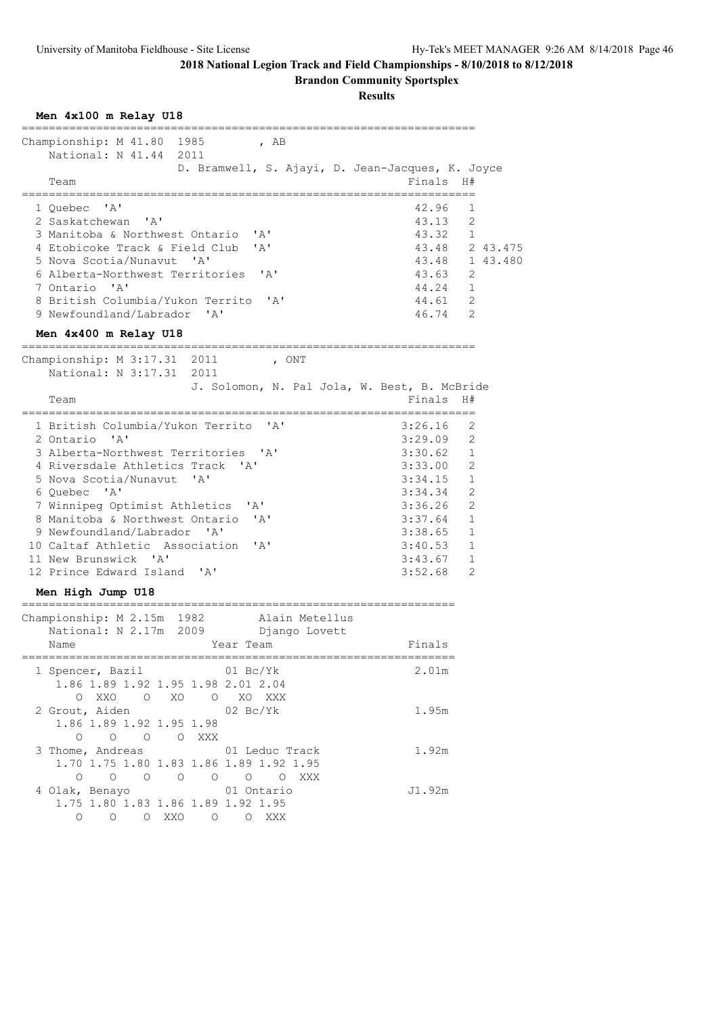**Men 4x100 m Relay U18**

# **2018 National Legion Track and Field Championships - 8/10/2018 to 8/12/2018**

**Brandon Community Sportsplex**

| Championship: M 41.80 1985 , AB<br>National: N 41.44 2011<br>D. Bramwell, S. Ajayi, D. Jean-Jacques, K. Joyce                                                                                                                                                                                                                                                                                                                                        |                                                                                                                                    |                                                                                                                           |                |
|------------------------------------------------------------------------------------------------------------------------------------------------------------------------------------------------------------------------------------------------------------------------------------------------------------------------------------------------------------------------------------------------------------------------------------------------------|------------------------------------------------------------------------------------------------------------------------------------|---------------------------------------------------------------------------------------------------------------------------|----------------|
| Team                                                                                                                                                                                                                                                                                                                                                                                                                                                 | Finals                                                                                                                             | H#                                                                                                                        |                |
| 1 Ouebec 'A'<br>2 Saskatchewan 'A'<br>3 Manitoba & Northwest Ontario 'A'<br>4 Etobicoke Track & Field Club<br>' A'<br>5 Nova Scotia/Nunavut 'A'<br>6 Alberta-Northwest Territories 'A'<br>7 Ontario 'A'<br>8 British Columbia/Yukon Territo<br>$^{\prime}$ A $^{\prime}$<br>9 Newfoundland/Labrador 'A'<br>Men 4x400 m Relay U18                                                                                                                     | 42.96<br>43.13<br>43.32 1<br>43.48 1 43.480<br>43.63 2<br>44.24 1<br>44.61 2<br>46.74 2                                            | 1<br>$\overline{2}$                                                                                                       | 43.48 2 43.475 |
| .========================                                                                                                                                                                                                                                                                                                                                                                                                                            |                                                                                                                                    |                                                                                                                           |                |
| Championship: M 3:17.31 2011<br>, ONT<br>National: N 3:17.31 2011<br>J. Solomon, N. Pal Jola, W. Best, B. McBride<br>Team                                                                                                                                                                                                                                                                                                                            | Finals                                                                                                                             | H#                                                                                                                        |                |
| 1 British Columbia/Yukon Territo 'A'<br>2 Ontario 'A'<br>3 Alberta-Northwest Territories 'A'<br>4 Riversdale Athletics Track 'A'<br>5 Nova Scotia/Nunavut<br>$^{\prime}$ A $^{\prime}$<br>6 Quebec 'A'<br>7 Winnipeg Optimist Athletics 'A'<br>8 Manitoba & Northwest Ontario<br>' A'<br>9 Newfoundland/Labrador 'A'<br>10 Caltaf Athletic Association<br>$\overline{A}$<br>11 New Brunswick 'A'<br>12 Prince Edward Island 'A'<br>Men High Jump U18 | 3:26.16<br>3:29.09<br>3:30.62<br>3:33.00 2<br>3:34.15<br>3:34.34<br>3:36.26<br>3:37.64<br>3:38.65<br>3:40.53<br>3:43.67<br>3:52.68 | 2<br>2<br>$\overline{1}$<br>$\mathbf{1}$<br>2<br>$\overline{2}$<br>$\mathbf{1}$<br>$\mathbf{1}$<br>1<br>$\mathbf{1}$<br>2 |                |
| --------------------------<br>Championship: M 2.15m 1982 Alain Metellus<br>National: N 2.17m 2009 Django Lovett<br>Year Team<br>Name                                                                                                                                                                                                                                                                                                                 | Finals                                                                                                                             |                                                                                                                           |                |
| =======================<br>1 Spencer, Bazil 61 Bc/Yk<br>1.86 1.89 1.92 1.95 1.98 2.01 2.04<br>O XXO O XO O XO XXX<br>2 Grout, Aiden 62 Bc/Yk                                                                                                                                                                                                                                                                                                         | 2.01m<br>1.95m                                                                                                                     |                                                                                                                           |                |
| 1.86 1.89 1.92 1.95 1.98<br>0 0 0 0 XXX<br>3 Thome, Andreas<br>01 Leduc Track<br>1.70 1.75 1.80 1.83 1.86 1.89 1.92 1.95                                                                                                                                                                                                                                                                                                                             | 1.92m                                                                                                                              |                                                                                                                           |                |
| 0 0 0 0 0 0 0 XXX<br>4 Olak, Benayo 61 Ontario<br>1.75 1.80 1.83 1.86 1.89 1.92 1.95<br>0 0 0 XXO 0 0 XXX                                                                                                                                                                                                                                                                                                                                            | J1.92m                                                                                                                             |                                                                                                                           |                |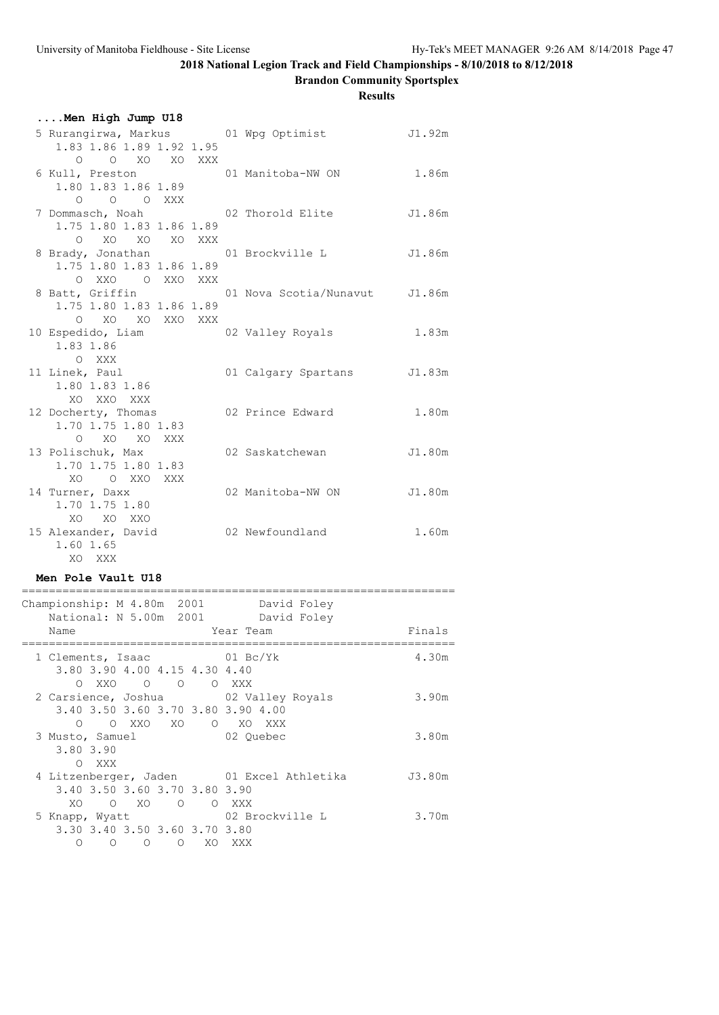**Brandon Community Sportsplex**

**Results**

| Men High Jump U18                                                                               |                               |        |
|-------------------------------------------------------------------------------------------------|-------------------------------|--------|
| 5 Rurangirwa, Markus (01 Wpg Optimist<br>1.83 1.86 1.89 1.92 1.95<br>O O XO XO XXX              |                               | J1.92m |
| 6 Kull, Preston 61 Manitoba-NW ON<br>1.80 1.83 1.86 1.89<br>$O$ $O$ $O$ XXX                     |                               | 1.86m  |
| 7 Dommasch, Noah<br>1.75 1.80 1.83 1.86 1.89<br>O XO XO XO XXX                                  | 02 Thorold Elite              | J1.86m |
| 8 Brady, Jonathan<br>1.75 1.80 1.83 1.86 1.89<br>O XXO O XXO XXX                                | 01 Brockville L               | J1.86m |
| 8 Batt, Griffin<br>1.75 1.80 1.83 1.86 1.89<br>O XO XO XXO XXX                                  | 01 Nova Scotia/Nunavut J1.86m |        |
| 10 Espedido, Liam<br>1.83 1.86<br>O XXX                                                         | 02 Valley Royals              | 1.83m  |
| 11 Linek, Paul<br>1.80 1.83 1.86<br>XO XXO XXX                                                  | 01 Calgary Spartans J1.83m    |        |
| 12 Docherty, Thomas<br>1.70 1.75 1.80 1.83<br>O XO XO XXX                                       | 02 Prince Edward              | 1.80m  |
| 13 Polischuk, Max<br>1.70 1.75 1.80 1.83<br>XO O XXO XXX                                        | 02 Saskatchewan               | J1.80m |
| 14 Turner, Daxx<br>1.70 1.75 1.80<br>XO XO XXO                                                  | 02 Manitoba-NW ON J1.80m      |        |
| 15 Alexander, David<br>1.60 1.65<br>XO XXX                                                      | 02 Newfoundland               | 1.60m  |
| Men Pole Vault U18<br>__________________________________                                        |                               |        |
| Championship: M 4.80m 2001<br>National: N 5.00m 2001 David Foley<br>Year Team<br>Name           | David Foley                   | Finals |
| $01\ \text{BC/Yk}$<br>1 Clements, Isaac<br>3.80 3.90 4.00 4.15 4.30 4.40<br>OXXO O O OXXX       |                               | 4.30m  |
| 2 Carsience, Joshua 02 Valley Royals<br>3.40 3.50 3.60 3.70 3.80 3.90 4.00<br>O OXXO XO OXO XXX |                               | 3.90m  |
| 3 Musto, Samuel<br>3.80 3.90                                                                    | 02 Quebec                     | 3.80m  |

 O XXX 4 Litzenberger, Jaden 01 Excel Athletika J3.80m 3.40 3.50 3.60 3.70 3.80 3.90 XO O XO O O XXX<br>5 Knapp, Wyatt 02 Br 02 Brockville L 3.70m 3.30 3.40 3.50 3.60 3.70 3.80

O O O O XO XXX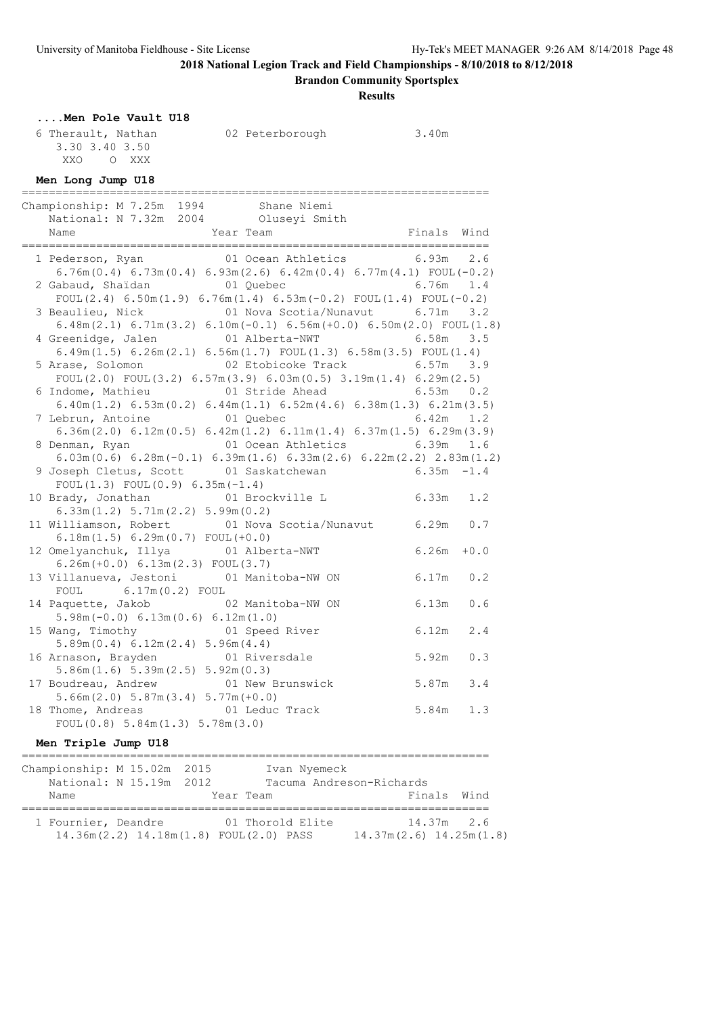**Brandon Community Sportsplex**

| Men Pole Vault U18                                                                                                                             |                       |               |
|------------------------------------------------------------------------------------------------------------------------------------------------|-----------------------|---------------|
| 6 Therault, Nathan                                                                                                                             | 02 Peterborough 3.40m |               |
| 3.30 3.40 3.50                                                                                                                                 |                       |               |
| XXO O XXX                                                                                                                                      |                       |               |
| Men Long Jump U18                                                                                                                              |                       |               |
| Championship: M 7.25m 1994 Shane Niemi                                                                                                         |                       |               |
| National: N 7.32m 2004 Oluseyi Smith                                                                                                           |                       |               |
|                                                                                                                                                |                       | Finals Wind   |
| 1 Pederson, Ryan 01 Ocean Athletics 6.93m 2.6                                                                                                  |                       |               |
| $6.76m(0.4)$ $6.73m(0.4)$ $6.93m(2.6)$ $6.42m(0.4)$ $6.77m(4.1)$ FOUL(-0.2)                                                                    |                       |               |
| 2 Gabaud, Shaidan and 1 Quebec 3 01 Cuebec 6.76m 1.4                                                                                           |                       |               |
| FOUL(2.4) $6.50m(1.9) 6.76m(1.4) 6.53m(-0.2)$ FOUL(1.4) FOUL(-0.2)                                                                             |                       |               |
| 3 Beaulieu, Nick 6.71m 3.2                                                                                                                     |                       |               |
| $6.48m(2.1)$ $6.71m(3.2)$ $6.10m(-0.1)$ $6.56m(+0.0)$ $6.50m(2.0)$ $F\text{OUL}(1.8)$                                                          |                       |               |
|                                                                                                                                                |                       |               |
| $6.49m(1.5) 6.26m(2.1) 6.56m(1.7) FOUL(1.3) 6.58m(3.5) FOUL(1.4)$                                                                              |                       |               |
| 5 Arase, Solomon 62 Etobicoke Track 6.57m 3.9                                                                                                  |                       |               |
| FOUL $(2.0)$ FOUL $(3.2)$ 6.57m $(3.9)$ 6.03m $(0.5)$ 3.19m $(1.4)$ 6.29m $(2.5)$                                                              |                       |               |
| 6 Indome, Mathieu 		 01 Stride Ahead 		 6.53m 0.2                                                                                              |                       |               |
| $6.40$ m $(1.2)$ $6.53$ m $(0.2)$ $6.44$ m $(1.1)$ $6.52$ m $(4.6)$ $6.38$ m $(1.3)$ $6.21$ m $(3.5)$<br>7 Lebrun, Antoine 01 Quebec 6.42m 1.2 |                       |               |
| $6.36m(2.0)$ $6.12m(0.5)$ $6.42m(1.2)$ $6.11m(1.4)$ $6.37m(1.5)$ $6.29m(3.9)$                                                                  |                       |               |
| 8 Denman, Ryan 6.39m                                                                                                                           |                       | 1.6           |
| $6.03m(0.6)$ $6.28m(-0.1)$ $6.39m(1.6)$ $6.33m(2.6)$ $6.22m(2.2)$ $2.83m(1.2)$                                                                 |                       |               |
| 9 Joseph Cletus, Scott 01 Saskatchewan 6.35m -1.4                                                                                              |                       |               |
| FOUL $(1.3)$ FOUL $(0.9)$ 6.35m $(-1.4)$                                                                                                       |                       |               |
| 10 Brady, Jonathan (01 Brockville L 6.33m 1.2                                                                                                  |                       |               |
| 6.33m(1.2) 5.71m(2.2) 5.99m(0.2)                                                                                                               |                       |               |
| 11 Williamson, Robert 01 Nova Scotia/Nunavut 6.29m 0.7                                                                                         |                       |               |
| $6.18m(1.5) 6.29m(0.7) FOUT(+0.0)$                                                                                                             |                       |               |
| 12 Omelyanchuk, Illya 61 Alberta-NWT<br>$6.26m(+0.0) 6.13m(2.3) FOUT(3.7)$                                                                     |                       | $6.26m + 0.0$ |
| 13 Villanueva, Jestoni 01 Manitoba-NW ON                                                                                                       |                       | $6.17m$ $0.2$ |
| $6.17m(0.2)$ FOUL<br>FOUL                                                                                                                      |                       |               |
| 14 Paquette, Jakob 02 Manitoba-NW ON                                                                                                           |                       | 6.13m<br>0.6  |
| $5.98m(-0.0) 6.13m(0.6) 6.12m(1.0)$                                                                                                            |                       |               |
| 15 Wang, Timothy 61 Speed River                                                                                                                |                       | $6.12m$ 2.4   |
| 5.89m(0.4) 6.12m(2.4) 5.96m(4.4)                                                                                                               |                       |               |
| 16 Arnason, Brayden                                                                                                                            | 01 Riversdale         | 5.92m<br>0.3  |
| 5.86m(1.6) 5.39m(2.5) 5.92m(0.3)                                                                                                               |                       |               |
| 17 Boudreau, Andrew                                                                                                                            | 01 New Brunswick      | 5.87m<br>3.4  |
| $5.66m(2.0) 5.87m(3.4) 5.77m(+0.0)$                                                                                                            |                       |               |
| 18 Thome, Andreas<br>FOUL $(0.8)$ 5.84m $(1.3)$ 5.78m $(3.0)$                                                                                  | 01 Leduc Track        | 5.84m<br>1.3  |
|                                                                                                                                                |                       |               |
| Men Triple Jump U18                                                                                                                            |                       |               |
| ===================================                                                                                                            |                       |               |

| Championship: M 15.02m 2015 |                         | Ivan Nyemeck                           |                             |  |
|-----------------------------|-------------------------|----------------------------------------|-----------------------------|--|
|                             | National: N 15.19m 2012 |                                        | Tacuma Andreson-Richards    |  |
| Name                        |                         | Year Team                              | Finals Wind                 |  |
|                             |                         |                                        |                             |  |
| 1 Fournier, Deandre         |                         | 01 Thorold Elite                       | 14.37m 2.6                  |  |
|                             |                         | 14.36m(2.2) 14.18m(1.8) FOUL(2.0) PASS | $14.37m(2.6)$ $14.25m(1.8)$ |  |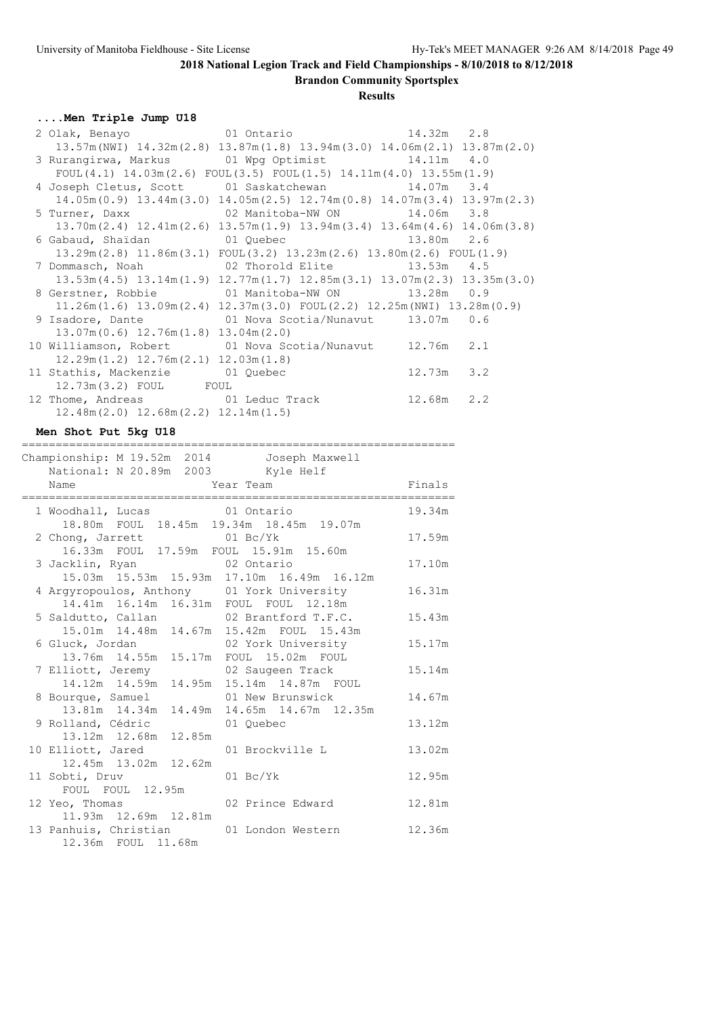**Brandon Community Sportsplex**

**Results**

**....Men Triple Jump U18**

| 2 Olak, Benayo                 01 Ontario               14.32m   2.8 |                                                                                                             |                |  |
|----------------------------------------------------------------------|-------------------------------------------------------------------------------------------------------------|----------------|--|
|                                                                      | $13.57m(NWI)$ $14.32m(2.8)$ $13.87m(1.8)$ $13.94m(3.0)$ $14.06m(2.1)$ $13.87m(2.0)$                         |                |  |
| 3 Rurangirwa, Markus (01 Wpg Optimist 14.11m 4.0                     |                                                                                                             |                |  |
|                                                                      | FOUL $(4.1)$ 14.03m $(2.6)$ FOUL $(3.5)$ FOUL $(1.5)$ 14.11m $(4.0)$ 13.55m $(1.9)$                         |                |  |
| 4 Joseph Cletus, Scott 01 Saskatchewan 14.07m 3.4                    |                                                                                                             |                |  |
|                                                                      | $14.05m(0.9)$ $13.44m(3.0)$ $14.05m(2.5)$ $12.74m(0.8)$ $14.07m(3.4)$ $13.97m(2.3)$                         |                |  |
| 5 Turner, Daxx 62 Manitoba-NW ON 3.8                                 |                                                                                                             |                |  |
|                                                                      | $13.70$ m $(2.4)$ $12.41$ m $(2.6)$ $13.57$ m $(1.9)$ $13.94$ m $(3.4)$ $13.64$ m $(4.6)$ $14.06$ m $(3.8)$ |                |  |
|                                                                      |                                                                                                             |                |  |
|                                                                      | $13.29$ m $(2.8)$ $11.86$ m $(3.1)$ FOUL $(3.2)$ $13.23$ m $(2.6)$ $13.80$ m $(2.6)$ FOUL $(1.9)$           |                |  |
|                                                                      |                                                                                                             |                |  |
|                                                                      | $13.53m(4.5)$ $13.14m(1.9)$ $12.77m(1.7)$ $12.85m(3.1)$ $13.07m(2.3)$ $13.35m(3.0)$                         |                |  |
| 8 Gerstner, Robbie 6 01 Manitoba-NW ON 3.28m 0.9                     |                                                                                                             |                |  |
|                                                                      | $11.26m(1.6)$ $13.09m(2.4)$ $12.37m(3.0)$ $FOUL(2.2)$ $12.25m(NWI)$ $13.28m(0.9)$                           |                |  |
| 9 Isadore, Dante 		 01 Nova Scotia/Nunavut 13.07m 0.6                |                                                                                                             |                |  |
| $13.07m(0.6)$ $12.76m(1.8)$ $13.04m(2.0)$                            |                                                                                                             |                |  |
| 10 Williamson, Robert 01 Nova Scotia/Nunavut 12.76m 2.1              |                                                                                                             |                |  |
| $12.29m(1.2)$ $12.76m(2.1)$ $12.03m(1.8)$                            |                                                                                                             |                |  |
| 11 Stathis, Mackenzie 01 Quebec                                      |                                                                                                             | $12.73m$ 3.2   |  |
| 12.73m(3.2) FOUL FOUL                                                |                                                                                                             |                |  |
| 12 Thome, Andreas 61 Leduc Track                                     |                                                                                                             | $12.68m$ $2.2$ |  |
| $12.48$ m $(2.0)$ $12.68$ m $(2.2)$ $12.14$ m $(1.5)$                |                                                                                                             |                |  |

### **Men Shot Put 5kg U18**

|                                         | =====================                          |        |
|-----------------------------------------|------------------------------------------------|--------|
| National: N 20.89m 2003 Kyle Helf       | Championship: M 19.52m 2014 Joseph Maxwell     |        |
| Name                                    | Year Team                                      | Finals |
| 1 Woodhall, Lucas 01 Ontario            |                                                | 19.34m |
|                                         | 18.80m FOUL 18.45m 19.34m 18.45m 19.07m        |        |
| 2 Chong, Jarrett 01 Bc/Yk               |                                                | 17.59m |
|                                         | 16.33m FOUL 17.59m FOUL 15.91m 15.60m          |        |
| 3 Jacklin, Ryan 02 Ontario              |                                                | 17.10m |
|                                         | 15.03m  15.53m  15.93m  17.10m  16.49m  16.12m |        |
|                                         | 4 Argyropoulos, Anthony 01 York University     | 16.31m |
|                                         | 14.41m  16.14m  16.31m  FOUL  FOUL  12.18m     |        |
|                                         | 5 Saldutto, Callan 62 Brantford T.F.C.         | 15.43m |
|                                         | 15.01m  14.48m  14.67m  15.42m  FOUL  15.43m   |        |
|                                         |                                                | 15.17m |
|                                         | 13.76m  14.55m  15.17m  FOUL  15.02m  FOUL     |        |
|                                         | 7 Elliott, Jeremy 62 Saugeen Track             | 15.14m |
|                                         | 14.12m  14.59m  14.95m  15.14m  14.87m  FOUL   |        |
|                                         | 8 Bourque, Samuel 01 New Brunswick             | 14.67m |
|                                         | 13.81m 14.34m 14.49m 14.65m 14.67m 12.35m      |        |
| 9 Rolland, Cédric (01 Quebec            |                                                | 13.12m |
| 13.12m  12.68m  12.85m                  |                                                |        |
| 10 Elliott, Jared                       | 01 Brockville L                                | 13.02m |
| 12.45m 13.02m 12.62m                    |                                                |        |
| 11 Sobti, Druv                          | $01$ Bc/Yk                                     | 12.95m |
| FOUL FOUL 12.95m                        |                                                |        |
| 12 Yeo, Thomas                          | 02 Prince Edward                               | 12.81m |
| 11.93m 12.69m 12.81m                    |                                                |        |
| 13 Panhuis, Christian 01 London Western |                                                | 12.36m |

12.36m FOUL 11.68m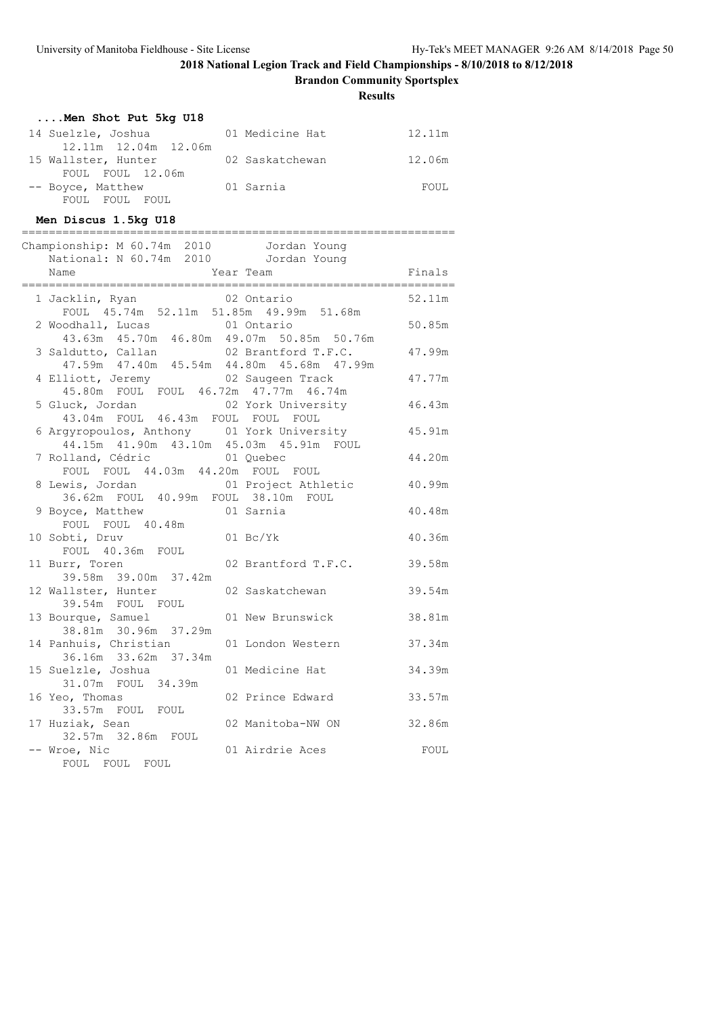**Brandon Community Sportsplex**

**Results**

| Men Shot Put 5kg U18 |                 |        |
|----------------------|-----------------|--------|
| 14 Suelzle, Joshua   | 01 Medicine Hat | 12.11m |
| 12.11m 12.04m 12.06m |                 |        |
| 15 Wallster, Hunter  | 02 Saskatchewan | 12.06m |
| FOUL FOUL 12.06m     |                 |        |
| -- Boyce, Matthew    | 01 Sarnia       | FOUL.  |
| FOUL FOUL<br>FOUL.   |                 |        |

**Men Discus 1.5kg U18**

| --------------------------                                                                 |                    | ;===============           |        |
|--------------------------------------------------------------------------------------------|--------------------|----------------------------|--------|
| Championship: M 60.74m 2010 Jordan Young                                                   |                    |                            |        |
| National: N 60.74m 2010 Jordan Young                                                       |                    |                            |        |
|                                                                                            |                    |                            |        |
|                                                                                            |                    |                            |        |
| 1 Jacklin, Ryan 02 Ontario<br>FOUL 45.74m 52.11m 51.85m 49.99m 51.68m                      |                    |                            | 52.11m |
| 2 Woodhall, Lucas 01 Ontario<br>43.63m 45.70m 46.80m 49.07m 50.85m 50.76m                  |                    |                            | 50.85m |
| 3 Saldutto, Callan<br>47.59m  47.40m  45.54m  44.80m  45.68m  47.99m                       |                    | 02 Brantford T.F.C.        | 47.99m |
| 4 Elliott, Jeremy 62 Saugeen Track<br>45.80m FOUL FOUL 46.72m 47.77m 46.74m                |                    |                            | 47.77m |
| 5 Gluck, Jordan<br>43.04m FOUL 46.43m FOUL FOUL FOUL                                       |                    | 02 York University 46.43m  |        |
| 6 Argyropoulos, Anthony 01 York University<br>44.15m  41.90m  43.10m  45.03m  45.91m  FOUL |                    |                            | 45.91m |
| 7 Rolland, Cédric 61 Quebec<br>FOUL FOUL 44.03m 44.20m FOUL FOUL                           |                    |                            | 44.20m |
| 8 Lewis, Jordan 61 Project Athletic 40.99m<br>36.62m FOUL 40.99m FOUL 38.10m FOUL          |                    |                            |        |
| 9 Boyce, Matthew 01 Sarnia<br>FOUL FOUL 40.48m                                             |                    |                            | 40.48m |
| 10 Sobti, Druv<br>FOUL 40.36m FOUL                                                         | $01\ \text{Bc/Yk}$ |                            | 40.36m |
| 11 Burr, Toren<br>39.58m 39.00m 37.42m                                                     |                    | 02 Brantford T.F.C. 39.58m |        |
| 12 Wallster, Hunter<br>39.54m FOUL FOUL                                                    | 02 Saskatchewan    |                            | 39.54m |
| 13 Bourque, Samuel<br>38.81m 30.96m 37.29m                                                 |                    | 01 New Brunswick           | 38.81m |
| 14 Panhuis, Christian<br>36.16m 33.62m 37.34m                                              |                    | 01 London Western          | 37.34m |
| 15 Suelzle, Joshua<br>31.07m FOUL 34.39m                                                   | 01 Medicine Hat    |                            | 34.39m |
| 16 Yeo, Thomas<br>33.57m FOUL FOUL                                                         | 02 Prince Edward   |                            | 33.57m |
| 17 Huziak, Sean<br>32.57m 32.86m FOUL                                                      |                    | 02 Manitoba-NW ON 32.86m   |        |
| -- Wroe, Nic                                                                               | 01 Airdrie Aces    |                            | FOUL   |

FOUL FOUL FOUL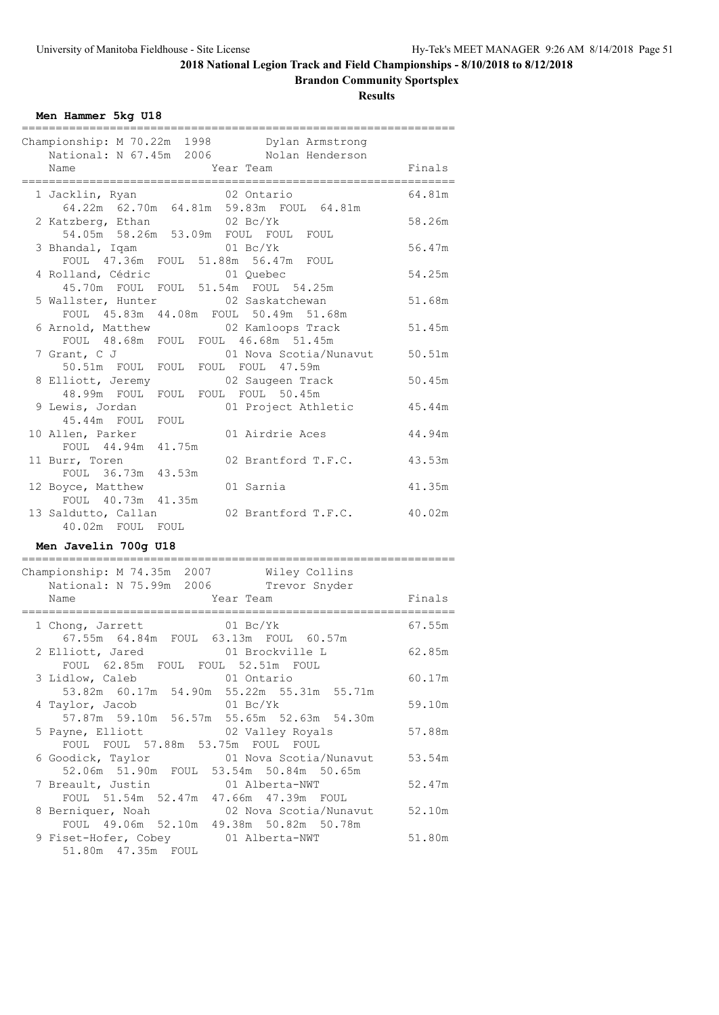**Brandon Community Sportsplex**

|  | Men Hammer 5kg U18 |  |  |
|--|--------------------|--|--|
|--|--------------------|--|--|

| Championship: M 70.22m 1998 Dylan Armstrong                         |        |
|---------------------------------------------------------------------|--------|
| National: N 67.45m 2006 Nolan Henderson                             |        |
| Name<br>Year Team                                                   | Finals |
|                                                                     |        |
| 1 Jacklin, Ryan<br>02 Ontario                                       | 64.81m |
| 64.22m 62.70m 64.81m 59.83m FOUL 64.81m                             |        |
| $02\ \text{Bc/Yk}$<br>2 Katzberg, Ethan                             | 58.26m |
| 54.05m 58.26m 53.09m FOUL FOUL FOUL                                 |        |
| $01$ Bc/Yk<br>3 Bhandal, Iqam                                       | 56.47m |
| FOUL 47.36m FOUL 51.88m 56.47m FOUL                                 |        |
| 4 Rolland, Cédric<br>01 Quebec                                      | 54.25m |
| 45.70m FOUL FOUL 51.54m FOUL 54.25m                                 |        |
| 02 Saskatchewan<br>5 Wallster, Hunter                               | 51.68m |
| FOUL 45.83m 44.08m FOUL 50.49m 51.68m                               |        |
| 6 Arnold, Matthew<br>02 Kamloops Track                              | 51.45m |
| FOUL 48.68m FOUL FOUL 46.68m 51.45m                                 |        |
| 7 Grant, C J<br>01 Nova Scotia/Nunavut                              | 50.51m |
| FOUL FOUL FOUL 47.59m<br>$50.51m$ FOUL                              |        |
| 8 Elliott, Jeremy<br>02 Saugeen Track                               | 50.45m |
| 48.99m FOUL<br>FOUL FOUL FOUL 50.45m                                |        |
| 9 Lewis, Jordan<br>01 Project Athletic                              | 45.44m |
| 45.44m FOUL FOUL                                                    |        |
| 10 Allen, Parker<br>01 Airdrie Aces                                 | 44.94m |
| FOUL 44.94m 41.75m                                                  |        |
| 11 Burr, Toren<br>02 Brantford T.F.C.                               | 43.53m |
| FOUL 36.73m 43.53m                                                  |        |
| 12 Boyce, Matthew<br>01 Sarnia                                      | 41.35m |
| FOUL 40.73m 41.35m                                                  |        |
| 13 Saldutto, Callan<br>02 Brantford T.F.C.                          | 40.02m |
| 40.02m FOUL FOUL                                                    |        |
| Men Javelin 700g U18                                                |        |
|                                                                     |        |
| Championship: M 74.35m 2007<br>Wiley Collins                        |        |
| National: N 75.99m 2006<br>Trevor Snyder                            |        |
| Name<br>Year Team                                                   | Finals |
| ___________________________<br>;=================================== |        |
| $01\ \text{Bc/Yk}$<br>1 Chong, Jarrett                              | 67.55m |
| 67.55m  64.84m  FOUL  63.13m  FOUL  60.57m                          |        |
| 2 Elliott, Jared<br>01 Brockville L                                 | 62.85m |
| FOUL 62.85m FOUL FOUL 52.51m FOUL                                   |        |
| 3 Lidlow, Caleb<br>01 Ontario                                       | 60.17m |
| 53.82m 60.17m 54.90m 55.22m 55.31m 55.71m                           |        |
| 4 Taylor, Jacob<br>$01\;\mathrm{Bc/Yk}$                             | 59.10m |
| 57.87m 59.10m 56.57m 55.65m 52.63m 54.30m                           |        |
| 5 Payne, Elliott<br>02 Valley Royals                                | 57.88m |
| FOUL FOUL 57.88m 53.75m FOUL FOUL                                   |        |
| 6 Goodick, Taylor<br>01 Nova Scotia/Nunavut                         | 53.54m |
| 52.06m 51.90m FOUL 53.54m 50.84m 50.65m                             |        |
| 7 Breault, Justin<br>01 Alberta-NWT                                 | 52.47m |
| FOUL 51.54m 52.47m 47.66m 47.39m FOUL                               |        |
| 8 Berniquer, Noah<br>02 Nova Scotia/Nunavut                         | 52.10m |
| FOUL 49.06m 52.10m 49.38m 50.82m 50.78m                             |        |
| 9 Fiset-Hofer, Cobey<br>01 Alberta-NWT                              | 51.80m |
| 51.80m  47.35m  FOUL                                                |        |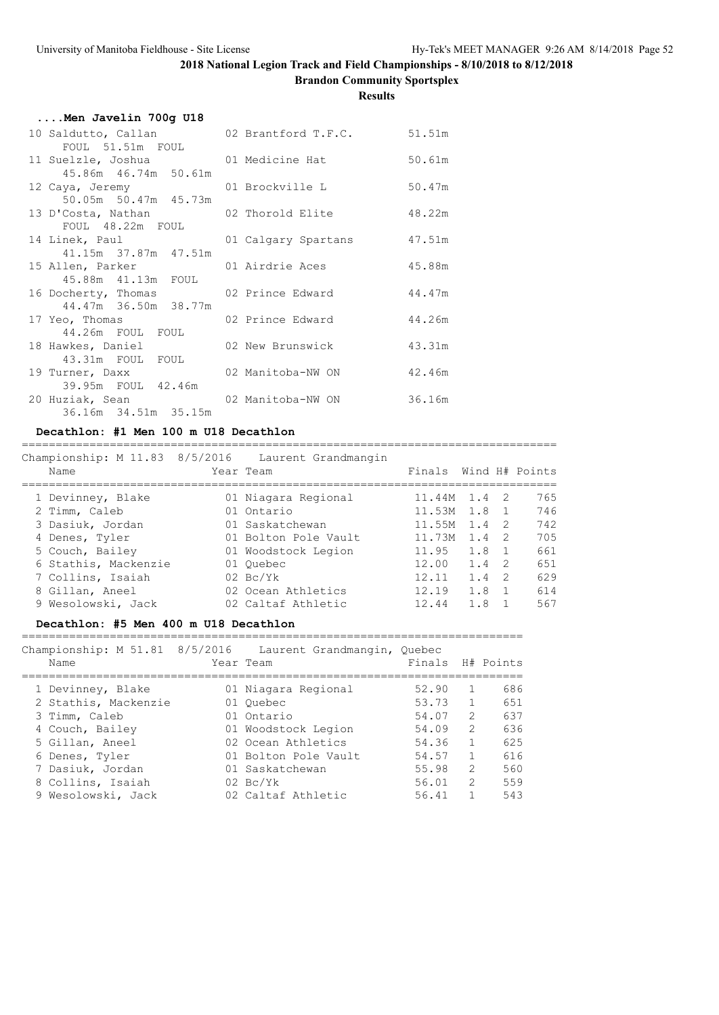**Brandon Community Sportsplex**

### **Results**

| Men Javelin 700g U18                       |                     |        |  |  |  |  |  |
|--------------------------------------------|---------------------|--------|--|--|--|--|--|
| 10 Saldutto, Callan 62 Brantford T.F.C.    |                     | 51.51m |  |  |  |  |  |
| FOUL 51.51m FOUL                           |                     |        |  |  |  |  |  |
| 11 Suelzle, Joshua 61 Medicine Hat         |                     | 50.61m |  |  |  |  |  |
| 45.86m 46.74m 50.61m                       |                     |        |  |  |  |  |  |
| 12 Caya, Jeremy 61 Brockville L            |                     | 50.47m |  |  |  |  |  |
| 50.05m 50.47m 45.73m                       |                     |        |  |  |  |  |  |
| 13 D'Costa, Nathan (2011) 02 Thorold Elite |                     | 48.22m |  |  |  |  |  |
| FOUL 48.22m FOUL                           |                     |        |  |  |  |  |  |
| 14 Linek, Paul                             | 01 Calgary Spartans | 47.51m |  |  |  |  |  |
| 41.15m 37.87m 47.51m                       |                     |        |  |  |  |  |  |
| 15 Allen, Parker                           | 01 Airdrie Aces     | 45.88m |  |  |  |  |  |
| 45.88m  41.13m  FOUL                       |                     |        |  |  |  |  |  |
| 16 Docherty, Thomas 62 Prince Edward       |                     | 44.47m |  |  |  |  |  |
| 44.47m 36.50m 38.77m                       |                     |        |  |  |  |  |  |
| 17 Yeo, Thomas                             | 02 Prince Edward    | 44.26m |  |  |  |  |  |
| 44.26m FOUL FOUL                           |                     |        |  |  |  |  |  |
| 18 Hawkes, Daniel                          | 02 New Brunswick    | 43.31m |  |  |  |  |  |
| 43.31m FOUL FOUL                           |                     |        |  |  |  |  |  |
| 19 Turner, Daxx                            | 02 Manitoba-NW ON   | 42.46m |  |  |  |  |  |
| 39.95m FOUL 42.46m                         |                     |        |  |  |  |  |  |
| 20 Huziak, Sean                            | 02 Manitoba-NW ON   | 36.16m |  |  |  |  |  |
| 36.16m 34.51m 35.15m                       |                     |        |  |  |  |  |  |

#### **Decathlon: #1 Men 100 m U18 Decathlon**

=============================================================================== Championship: M 11.83 8/5/2016 Laurent Grandmangin

| Name                 | Year Team            | Finals           |               |          | Wind H# Points |
|----------------------|----------------------|------------------|---------------|----------|----------------|
| 1 Devinney, Blake    | 01 Niagara Regional  | $11.44M$ $1.4$ 2 |               |          | 765            |
| 2 Timm, Caleb        | 01 Ontario           | 11.53M 1.8 1     |               |          | 746            |
| 3 Dasiuk, Jordan     | 01 Saskatchewan      | 11.55M           | $1.4 \quad 2$ |          | 742            |
| 4 Denes, Tyler       | 01 Bolton Pole Vault | 11.73M           | $1.4 \quad 2$ |          | 705            |
| 5 Couch, Bailey      | 01 Woodstock Legion  | 11.95            | 1.8 1         |          | 661            |
| 6 Stathis, Mackenzie | 01 Ouebec            | 12.00            | 1.4           | - 2      | 651            |
| 7 Collins, Isaiah    | $02 \text{ Bc/Yk}$   | 12.11            | 1.4           | - 2      | 629            |
| 8 Gillan, Aneel      | 02 Ocean Athletics   | 12.19            | 1.8           | $\sim$ 1 | 614            |
| 9 Wesolowski, Jack   | 02 Caltaf Athletic   | 12.44            | 1.8           |          | 567            |

### **Decathlon: #5 Men 400 m U18 Decathlon**

==========================================================================

Championship: M 51.81 8/5/2016 Laurent Grandmangin, Quebec

| Name                 | Year Team            | Finals |               | H# Points |
|----------------------|----------------------|--------|---------------|-----------|
| 1 Devinney, Blake    | 01 Niagara Regional  | 52.90  |               | 686       |
| 2 Stathis, Mackenzie | 01 Ouebec            | 53.73  | 1             | 651       |
| 3 Timm, Caleb        | 01 Ontario           | 54.07  | $\mathcal{L}$ | 637       |
| 4 Couch, Bailey      | 01 Woodstock Legion  | 54.09  | $\mathcal{L}$ | 636       |
| 5 Gillan, Aneel      | 02 Ocean Athletics   | 54.36  | $\mathbf{1}$  | 625       |
| 6 Denes, Tyler       | 01 Bolton Pole Vault | 54.57  | $\mathbf{1}$  | 616       |
| 7 Dasiuk, Jordan     | 01 Saskatchewan      | 55.98  | 2             | 560       |
| 8 Collins, Isaiah    | $02 \text{ Bc/Yk}$   | 56.01  | $\mathcal{L}$ | 559       |
| 9 Wesolowski, Jack   | 02 Caltaf Athletic   | 56.41  |               | 543       |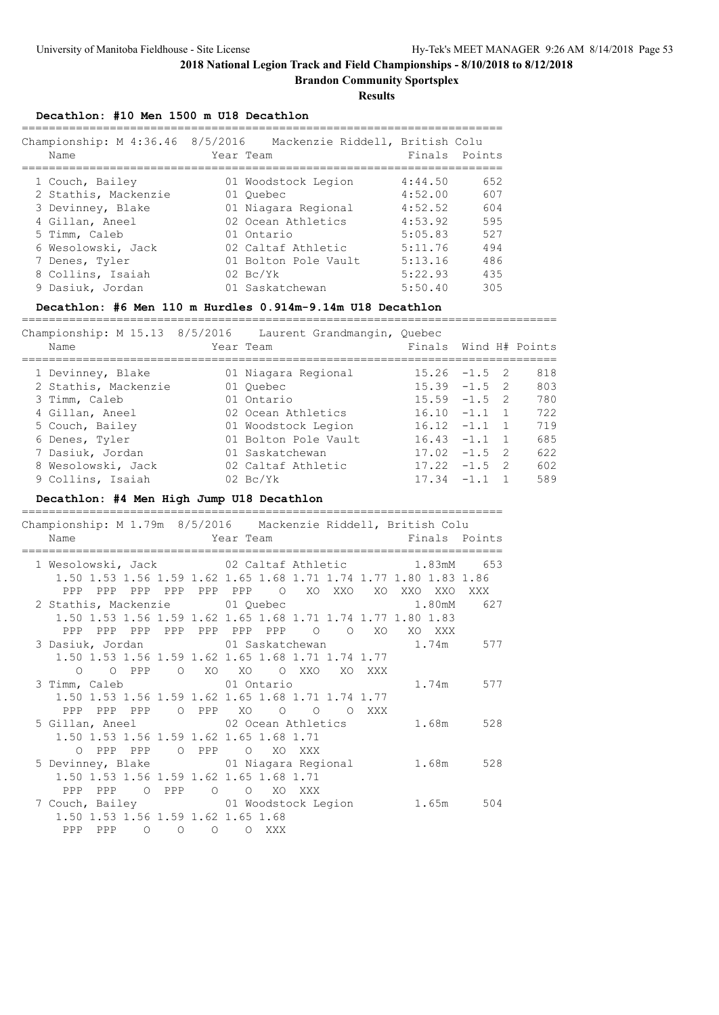**Brandon Community Sportsplex**

**Results**

#### **Decathlon: #10 Men 1500 m U18 Decathlon**

| Championship: M 4:36.46 8/5/2016<br>Name                                                                                                 | Mackenzie Riddell, British Colu<br>Year Team                                                                                              |                                                                           | Finals Points                                 |
|------------------------------------------------------------------------------------------------------------------------------------------|-------------------------------------------------------------------------------------------------------------------------------------------|---------------------------------------------------------------------------|-----------------------------------------------|
| 1 Couch, Bailey<br>2 Stathis, Mackenzie<br>3 Devinney, Blake<br>4 Gillan, Aneel<br>5 Timm, Caleb<br>6 Wesolowski, Jack<br>7 Denes, Tyler | 01 Woodstock Legion<br>01 Ouebec<br>01 Niagara Regional<br>02 Ocean Athletics<br>01 Ontario<br>02 Caltaf Athletic<br>01 Bolton Pole Vault | 4:44.50<br>4:52.00<br>4:52.52<br>4:53.92<br>5:05.83<br>5:11.76<br>5:13.16 | 652<br>607<br>604<br>595<br>527<br>494<br>486 |
| 8 Collins, Isaiah<br>9 Dasiuk, Jordan                                                                                                    | $02 \text{ Bc/Yk}$<br>01 Saskatchewan                                                                                                     | 5:22.93<br>5:50.40                                                        | 435<br>305                                    |

#### **Decathlon: #6 Men 110 m Hurdles 0.914m-9.14m U18 Decathlon** ===============================================================================

Championship: M 15.13 8/5/2016 Laurent Grandmangin, Quebec Name Team Team Finals Wind H# Points =============================================================================== 1 Devinney, Blake 01 Niagara Regional 15.26 -1.5 2 818 2 Stathis, Mackenzie 01 Quebec 15.39 -1.5 2 803 3 Timm, Caleb 01 Ontario 15.59 -1.5 2 780 4 Gillan, Aneel 02 Ocean Athletics 16.10 -1.1 1 722 5 Couch, Bailey 01 Woodstock Legion 16.12 -1.1 1 719 6 Denes, Tyler 01 Bolton Pole Vault 16.43 -1.1 1 685 7 Dasiuk, Jordan 01 Saskatchewan 17.02 -1.5 2 622 8 Wesolowski, Jack 02 Caltaf Athletic 17.22 -1.5 2 602 9 Collins, Isaiah 02 Bc/Yk 17.34 -1.1 1 589

### **Decathlon: #4 Men High Jump U18 Decathlon**

| Championship: M 1.79m 8/5/2016 Mackenzie Riddell, British Colu                 |  |  |          |    |                                                                                                                        |  |
|--------------------------------------------------------------------------------|--|--|----------|----|------------------------------------------------------------------------------------------------------------------------|--|
| Name                                                                           |  |  |          |    | <b>Example 2</b> Year Team and the State of Team and Team and Team and Team and Team and Team and Team and Team and Te |  |
| 1 Wesolowski, Jack 02 Caltaf Athletic 1.83mM 653                               |  |  |          |    |                                                                                                                        |  |
| 1.50 1.53 1.56 1.59 1.62 1.65 1.68 1.71 1.74 1.77 1.80 1.83 1.86               |  |  |          |    |                                                                                                                        |  |
|                                                                                |  |  |          |    |                                                                                                                        |  |
| 2 Stathis, Mackenzie $01$ Quebec $1.80 \text{m}$ 627                           |  |  |          |    |                                                                                                                        |  |
| 1.50 1.53 1.56 1.59 1.62 1.65 1.68 1.71 1.74 1.77 1.80 1.83                    |  |  |          |    |                                                                                                                        |  |
| PPP PPP PPP PPP PPP PPP PPP O                                                  |  |  | $\Omega$ | XO | XO XXX                                                                                                                 |  |
| 3 Dasiuk, Jordan                 01 Saskatchewan               1.74m       577 |  |  |          |    |                                                                                                                        |  |
| 1.50 1.53 1.56 1.59 1.62 1.65 1.68 1.71 1.74 1.77                              |  |  |          |    |                                                                                                                        |  |
| O OPPP OXO XO OXXO XOXXX                                                       |  |  |          |    |                                                                                                                        |  |
| 3 Timm, Caleb 01 Ontario                                                       |  |  |          |    | 1.74m 577                                                                                                              |  |
| 1.50 1.53 1.56 1.59 1.62 1.65 1.68 1.71 1.74 1.77                              |  |  |          |    |                                                                                                                        |  |
| PPP PPP PPP O PPP XO O O O XXX                                                 |  |  |          |    |                                                                                                                        |  |
| 5 Gillan, Aneel 62 Ocean Athletics 1.68m 528                                   |  |  |          |    |                                                                                                                        |  |
| 1.50 1.53 1.56 1.59 1.62 1.65 1.68 1.71                                        |  |  |          |    |                                                                                                                        |  |
| O PPP PPP O PPP O XO XXX                                                       |  |  |          |    |                                                                                                                        |  |
| 5 Devinney, Blake 61 Niagara Regional 1.68m 528                                |  |  |          |    |                                                                                                                        |  |
| 1.50 1.53 1.56 1.59 1.62 1.65 1.68 1.71                                        |  |  |          |    |                                                                                                                        |  |
| PPP PPP 0 PPP 0 0 XO XXX                                                       |  |  |          |    |                                                                                                                        |  |
| 7 Couch, Bailey <b>31 Couch</b> , Bailey <b>31 Couch, Bailey 304</b>           |  |  |          |    |                                                                                                                        |  |
| 1.50 1.53 1.56 1.59 1.62 1.65 1.68                                             |  |  |          |    |                                                                                                                        |  |
| PPP PPP 0 0 0 0 XXX                                                            |  |  |          |    |                                                                                                                        |  |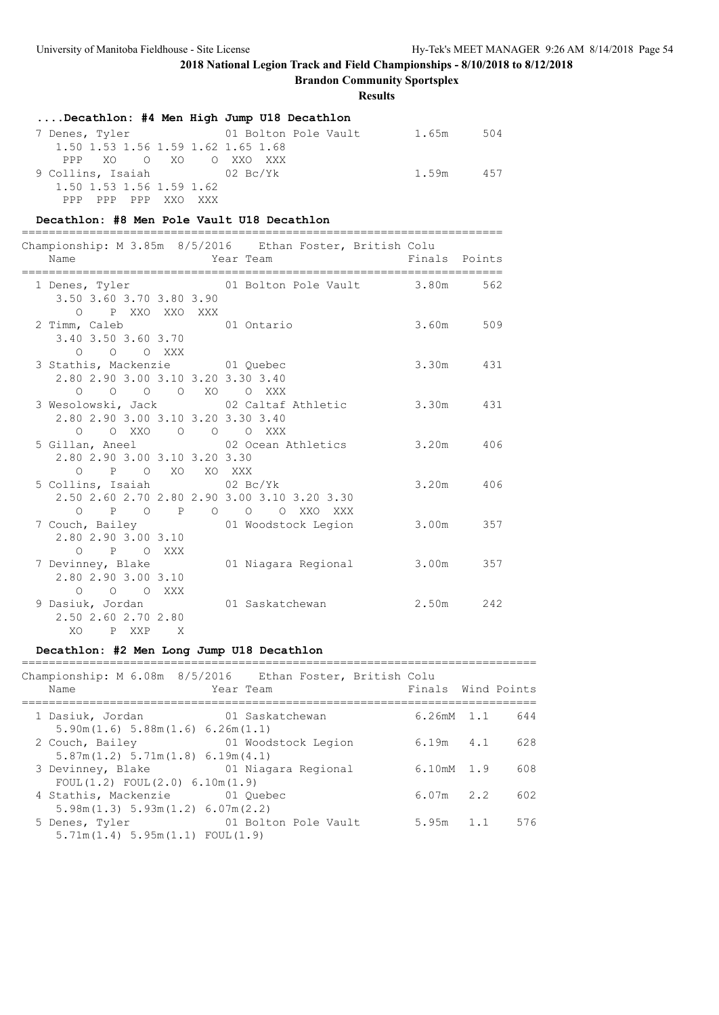**Brandon Community Sportsplex**

**Results**

|                                    | Decathlon: #4 Men High Jump U18 Decathlon |       |     |
|------------------------------------|-------------------------------------------|-------|-----|
| 7 Denes, Tyler                     | 01 Bolton Pole Vault 1.65m                |       | 504 |
| 1.50 1.53 1.56 1.59 1.62 1.65 1.68 |                                           |       |     |
| PPP XO O XO O XXO XXX              |                                           |       |     |
| 9 Collins, Isaiah (02 Bc/Yk        |                                           | 1.59m | 457 |
| 1.50 1.53 1.56 1.59 1.62           |                                           |       |     |
| PPP PPP PPP XXO XXX                |                                           |       |     |

### **Decathlon: #8 Men Pole Vault U18 Decathlon**

| Year Team<br>Name                                                                              | Championship: M 3.85m 8/5/2016 Ethan Foster, British Colu | Finals Points |           |
|------------------------------------------------------------------------------------------------|-----------------------------------------------------------|---------------|-----------|
| 3.50 3.60 3.70 3.80 3.90                                                                       | 1 Denes, Tyler 62 01 Bolton Pole Vault 3.80m 562          |               |           |
| O PXXOXXOXXX<br>2 Timm, Caleb 01 Ontario<br>3.40 3.50 3.60 3.70                                |                                                           |               | 3.60m 509 |
| $O$ $O$ $O$ $XXX$<br>3 Stathis, Mackenzie 01 Quebec<br>2.80 2.90 3.00 3.10 3.20 3.30 3.40      |                                                           |               | 3.30m 431 |
| 0 0 0 0 XO 0 XXX<br>2.80 2.90 3.00 3.10 3.20 3.30 3.40                                         | 3 Wesolowski, Jack and 2 Caltaf Athletic 3.30m 431        |               |           |
| 0 0 XXO 0 0 0 XXX<br>2.80 2.90 3.00 3.10 3.20 3.30                                             | 5 Gillan, Aneel 62 Ocean Athletics 3.20m 406              |               |           |
| O P O XO XO XXX<br>5 Collins, Isaiah (02 Bc/Yk<br>2.50 2.60 2.70 2.80 2.90 3.00 3.10 3.20 3.30 |                                                           |               | 3.20m 406 |
| 0 P O P O O O XXO XXX<br>2.80 2.90 3.00 3.10                                                   | 7 Couch, Bailey 61 Woodstock Legion                       |               | 3.00m 357 |
| O P O XXX<br>2.80 2.90 3.00 3.10                                                               | 7 Devinney, Blake 61 Niagara Regional                     |               | 3.00m 357 |
| O O O XXX<br>9 Dasiuk, Jordan 101 Saskatchewan<br>2.50 2.60 2.70 2.80<br>XO PXXP X             |                                                           | 2.50m 242     |           |

## **Decathlon: #2 Men Long Jump U18 Decathlon**

#### ============================================================================  $Chamnionshin: M 6.08m 8/5/2016$

| Championship: M 6.08m   8/9/2016     Ethan Foster, British Colu<br>Name                         | Year Team | Finals Wind Points           |     |
|-------------------------------------------------------------------------------------------------|-----------|------------------------------|-----|
| 1 Dasiuk, Jordan 61 Saskatchewan<br>5.90m(1.6) 5.88m(1.6) 6.26m(1.1)                            |           | $6.26mM$ 1.1                 | 644 |
| 2 Couch, Bailey <b>12 Couch, Bailey</b> 11 Woodstock Legion<br>5.87m(1.2) 5.71m(1.8) 6.19m(4.1) |           | $6.19m$ $4.1$                | 628 |
| 3 Devinney, Blake 61 Niagara Regional<br>FOUL(1.2) FOUL(2.0) 6.10m(1.9)                         |           | $6.10 \text{m} \text{M}$ 1.9 | 608 |
| 4 Stathis, Mackenzie 01 Ouebec<br>5.98m(1.3) 5.93m(1.2) 6.07m(2.2)                              |           | $6.07m$ 2.2                  | 602 |
| 5 Denes, Tyler 61 Bolton Pole Vault<br>5.71m(1.4) 5.95m(1.1) F0UL(1.9)                          |           | $5.95m$ 1.1                  | 576 |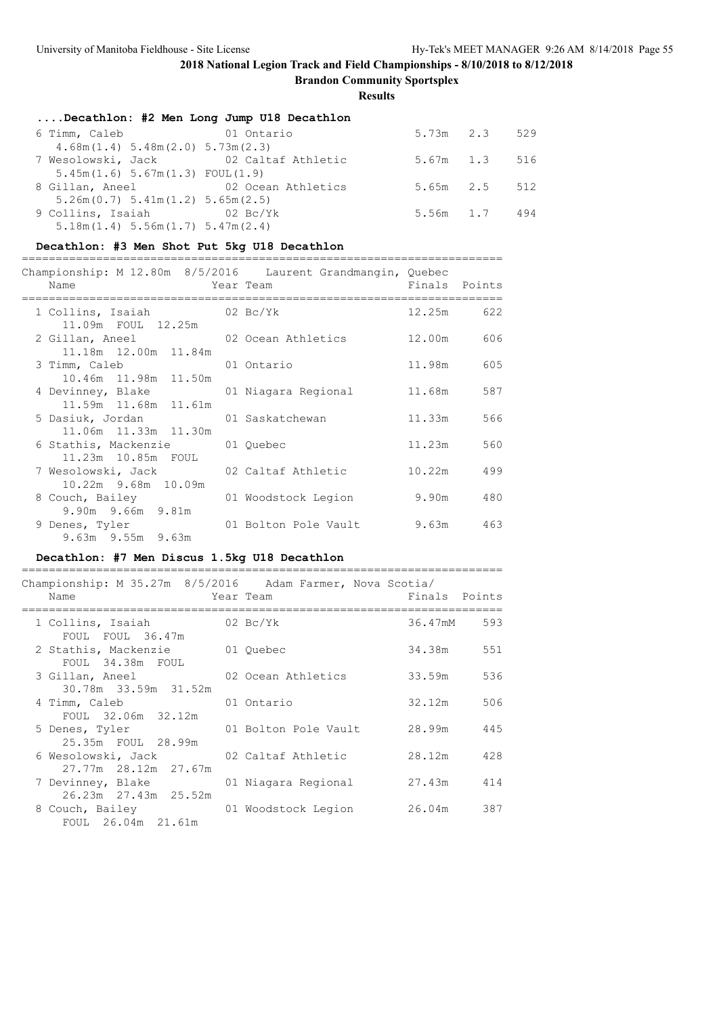**Brandon Community Sportsplex**

**Results**

| Decathlon: #2 Men Long Jump U18 Decathlon    |            |                     |  |
|----------------------------------------------|------------|---------------------|--|
| 6 Timm, Caleb                                | 01 Ontario | $5.73m$ $2.3$ $529$ |  |
| $4.68$ m $(1.4)$ 5.48m $(2.0)$ 5.73m $(2.3)$ |            |                     |  |
| 7 Wesolowski, Jack 62 Caltaf Athletic        |            | 5.67m 1.3 516       |  |
| 5.45m(1.6) 5.67m(1.3) FOUL(1.9)              |            |                     |  |
| 8 Gillan, Aneel 62 Ocean Athletics           |            | $5.65m$ $2.5$ $512$ |  |
| 5.26m(0.7) 5.41m(1.2) 5.65m(2.5)             |            |                     |  |
| 9 Collins, Isaiah (02 Bc/Yk                  |            | 5.56m 1.7 494       |  |
| $5.18$ m $(1.4)$ 5.56m $(1.7)$ 5.47m $(2.4)$ |            |                     |  |

### **Decathlon: #3 Men Shot Put 5kg U18 Decathlon**

| Championship: M 12.80m 8/5/2016 Laurent Grandmangin, Quebec<br>Name | Year Team                  | Finals Points   |     |
|---------------------------------------------------------------------|----------------------------|-----------------|-----|
|                                                                     |                            |                 |     |
| 1 Collins, Isaiah (02 Bc/Yk<br>11.09m FOUL 12.25m                   |                            | 12.25m 622      |     |
| 2 Gillan, Aneel 62 Ocean Athletics<br>11.18m  12.00m  11.84m        |                            | 12.00m 606      |     |
| 3 Timm, Caleb<br>10.46m 11.98m 11.50m                               | 01 Ontario                 | 11.98m 605      |     |
| 4 Devinney, Blake<br>11.59m 11.68m 11.61m                           | 01 Niagara Regional        | 11 <b>.</b> 68m | 587 |
| 5 Dasiuk, Jordan<br>11.06m  11.33m  11.30m                          | 01 Saskatchewan            | 11.33m          | 566 |
| 6 Stathis, Mackenzie 101 Quebec<br>11.23m 10.85m FOUL               |                            | 11.23m          | 560 |
| 7 Wesolowski, Jack 02 Caltaf Athletic<br>10.22m 9.68m 10.09m        |                            | 10.22m 499      |     |
| 8 Couch, Bailey                                                     | 01 Woodstock Legion        | 9.90m           | 480 |
| 9.90m 9.66m 9.81m<br>9 Denes, Tyler<br>9.63m 9.55m 9.63m            | 01 Bolton Pole Vault 9.63m |                 | 463 |

## **Decathlon: #7 Men Discus 1.5kg U18 Decathlon**

| Championship: M 35.27m 8/5/2016 Adam Farmer, Nova Scotia/<br>Name | Year Team            | Finals Points |     |
|-------------------------------------------------------------------|----------------------|---------------|-----|
| 1 Collins, Isaiah (02 Bc/Yk<br>FOUL FOUL 36.47m                   |                      | 36.47mM 593   |     |
| 2 Stathis, Mackenzie 61 Ouebec<br>FOUL 34.38m FOUL                |                      | 34.38m        | 551 |
| 3 Gillan, Aneel<br>30.78m 33.59m 31.52m                           | 02 Ocean Athletics   | 33.59m        | 536 |
| 4 Timm, Caleb<br>FOUL 32.06m 32.12m                               | 01 Ontario           | 32.12m        | 506 |
| 5 Denes, Tyler<br>25.35m FOUL 28.99m                              | 01 Bolton Pole Vault | 28.99m        | 445 |
| 6 Wesolowski, Jack 62 Caltaf Athletic<br>27.77m 28.12m 27.67m     |                      | 28.12m        | 428 |
| 7 Devinney, Blake<br>26.23m 27.43m 25.52m                         | 01 Niagara Regional  | 27.43m        | 414 |
| 8 Couch, Bailey<br>FOUL 26.04m 21.61m                             | 01 Woodstock Legion  | 26.04m        | 387 |